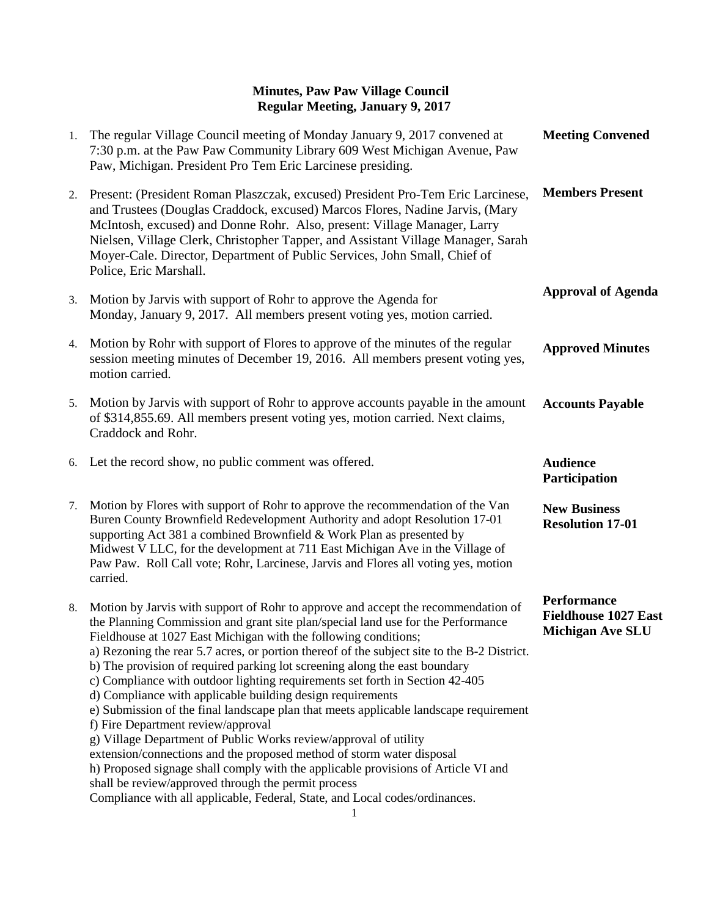| 1. | The regular Village Council meeting of Monday January 9, 2017 convened at<br>7:30 p.m. at the Paw Paw Community Library 609 West Michigan Avenue, Paw<br>Paw, Michigan. President Pro Tem Eric Larcinese presiding.                                                                                                                                                                                                                                                                                                                                                                                                                                                                                                                                                                                                                                                                                                                                                                                                                                                        | <b>Meeting Convened</b>                                                      |
|----|----------------------------------------------------------------------------------------------------------------------------------------------------------------------------------------------------------------------------------------------------------------------------------------------------------------------------------------------------------------------------------------------------------------------------------------------------------------------------------------------------------------------------------------------------------------------------------------------------------------------------------------------------------------------------------------------------------------------------------------------------------------------------------------------------------------------------------------------------------------------------------------------------------------------------------------------------------------------------------------------------------------------------------------------------------------------------|------------------------------------------------------------------------------|
| 2. | Present: (President Roman Plaszczak, excused) President Pro-Tem Eric Larcinese,<br>and Trustees (Douglas Craddock, excused) Marcos Flores, Nadine Jarvis, (Mary<br>McIntosh, excused) and Donne Rohr. Also, present: Village Manager, Larry<br>Nielsen, Village Clerk, Christopher Tapper, and Assistant Village Manager, Sarah<br>Moyer-Cale. Director, Department of Public Services, John Small, Chief of<br>Police, Eric Marshall.                                                                                                                                                                                                                                                                                                                                                                                                                                                                                                                                                                                                                                     | <b>Members Present</b>                                                       |
| 3. | Motion by Jarvis with support of Rohr to approve the Agenda for<br>Monday, January 9, 2017. All members present voting yes, motion carried.                                                                                                                                                                                                                                                                                                                                                                                                                                                                                                                                                                                                                                                                                                                                                                                                                                                                                                                                | <b>Approval of Agenda</b>                                                    |
| 4. | Motion by Rohr with support of Flores to approve of the minutes of the regular<br>session meeting minutes of December 19, 2016. All members present voting yes,<br>motion carried.                                                                                                                                                                                                                                                                                                                                                                                                                                                                                                                                                                                                                                                                                                                                                                                                                                                                                         | <b>Approved Minutes</b>                                                      |
| 5. | Motion by Jarvis with support of Rohr to approve accounts payable in the amount<br>of \$314,855.69. All members present voting yes, motion carried. Next claims,<br>Craddock and Rohr.                                                                                                                                                                                                                                                                                                                                                                                                                                                                                                                                                                                                                                                                                                                                                                                                                                                                                     | <b>Accounts Payable</b>                                                      |
| 6. | Let the record show, no public comment was offered.                                                                                                                                                                                                                                                                                                                                                                                                                                                                                                                                                                                                                                                                                                                                                                                                                                                                                                                                                                                                                        | <b>Audience</b><br>Participation                                             |
| 7. | Motion by Flores with support of Rohr to approve the recommendation of the Van<br>Buren County Brownfield Redevelopment Authority and adopt Resolution 17-01<br>supporting Act 381 a combined Brownfield & Work Plan as presented by<br>Midwest V LLC, for the development at 711 East Michigan Ave in the Village of<br>Paw Paw. Roll Call vote; Rohr, Larcinese, Jarvis and Flores all voting yes, motion<br>carried.                                                                                                                                                                                                                                                                                                                                                                                                                                                                                                                                                                                                                                                    | <b>New Business</b><br><b>Resolution 17-01</b>                               |
| 8. | Motion by Jarvis with support of Rohr to approve and accept the recommendation of<br>the Planning Commission and grant site plan/special land use for the Performance<br>Fieldhouse at 1027 East Michigan with the following conditions;<br>a) Rezoning the rear 5.7 acres, or portion thereof of the subject site to the B-2 District.<br>b) The provision of required parking lot screening along the east boundary<br>c) Compliance with outdoor lighting requirements set forth in Section 42-405<br>d) Compliance with applicable building design requirements<br>e) Submission of the final landscape plan that meets applicable landscape requirement<br>f) Fire Department review/approval<br>g) Village Department of Public Works review/approval of utility<br>extension/connections and the proposed method of storm water disposal<br>h) Proposed signage shall comply with the applicable provisions of Article VI and<br>shall be review/approved through the permit process<br>Compliance with all applicable, Federal, State, and Local codes/ordinances. | <b>Performance</b><br><b>Fieldhouse 1027 East</b><br><b>Michigan Ave SLU</b> |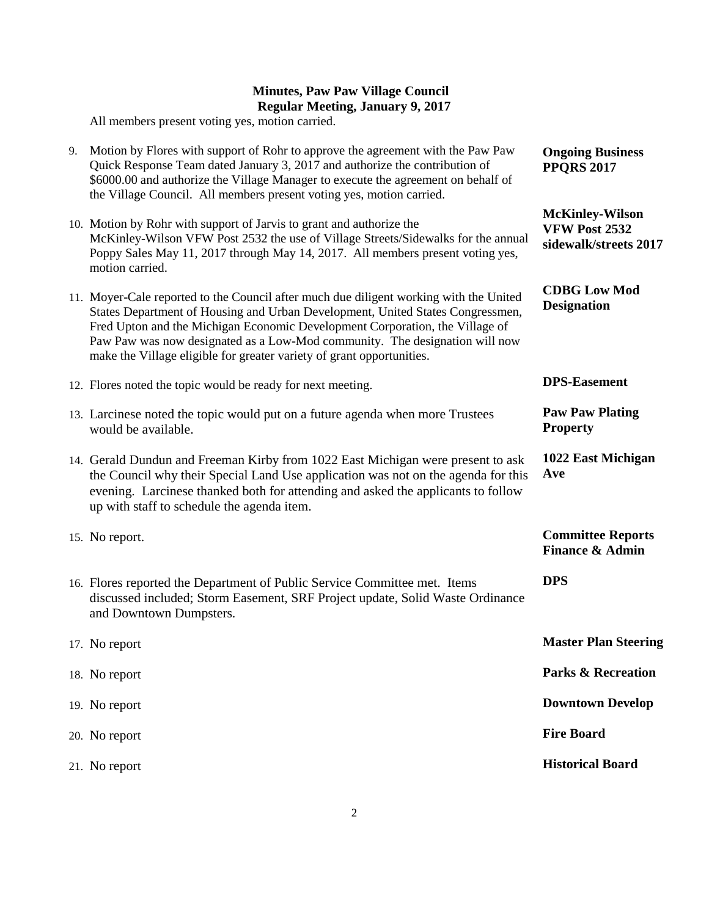All members present voting yes, motion carried.

| 9. | Motion by Flores with support of Rohr to approve the agreement with the Paw Paw<br>Quick Response Team dated January 3, 2017 and authorize the contribution of<br>\$6000.00 and authorize the Village Manager to execute the agreement on behalf of<br>the Village Council. All members present voting yes, motion carried.                                                                                      | <b>Ongoing Business</b><br><b>PPQRS 2017</b>                            |
|----|------------------------------------------------------------------------------------------------------------------------------------------------------------------------------------------------------------------------------------------------------------------------------------------------------------------------------------------------------------------------------------------------------------------|-------------------------------------------------------------------------|
|    | 10. Motion by Rohr with support of Jarvis to grant and authorize the<br>McKinley-Wilson VFW Post 2532 the use of Village Streets/Sidewalks for the annual<br>Poppy Sales May 11, 2017 through May 14, 2017. All members present voting yes,<br>motion carried.                                                                                                                                                   | <b>McKinley-Wilson</b><br><b>VFW Post 2532</b><br>sidewalk/streets 2017 |
|    | 11. Moyer-Cale reported to the Council after much due diligent working with the United<br>States Department of Housing and Urban Development, United States Congressmen,<br>Fred Upton and the Michigan Economic Development Corporation, the Village of<br>Paw Paw was now designated as a Low-Mod community. The designation will now<br>make the Village eligible for greater variety of grant opportunities. | <b>CDBG Low Mod</b><br><b>Designation</b>                               |
|    | 12. Flores noted the topic would be ready for next meeting.                                                                                                                                                                                                                                                                                                                                                      | <b>DPS-Easement</b>                                                     |
|    | 13. Larcinese noted the topic would put on a future agenda when more Trustees<br>would be available.                                                                                                                                                                                                                                                                                                             | <b>Paw Paw Plating</b><br><b>Property</b>                               |
|    | 14. Gerald Dundun and Freeman Kirby from 1022 East Michigan were present to ask<br>the Council why their Special Land Use application was not on the agenda for this<br>evening. Larcinese thanked both for attending and asked the applicants to follow<br>up with staff to schedule the agenda item.                                                                                                           | 1022 East Michigan<br>Ave                                               |
|    | 15. No report.                                                                                                                                                                                                                                                                                                                                                                                                   | <b>Committee Reports</b><br><b>Finance &amp; Admin</b>                  |
|    | 16. Flores reported the Department of Public Service Committee met. Items<br>discussed included; Storm Easement, SRF Project update, Solid Waste Ordinance<br>and Downtown Dumpsters.                                                                                                                                                                                                                            | <b>DPS</b>                                                              |
|    | 17. No report                                                                                                                                                                                                                                                                                                                                                                                                    | <b>Master Plan Steering</b>                                             |
|    | 18. No report                                                                                                                                                                                                                                                                                                                                                                                                    | <b>Parks &amp; Recreation</b>                                           |
|    | 19. No report                                                                                                                                                                                                                                                                                                                                                                                                    | <b>Downtown Develop</b>                                                 |
|    | 20. No report                                                                                                                                                                                                                                                                                                                                                                                                    | <b>Fire Board</b>                                                       |
|    | 21. No report                                                                                                                                                                                                                                                                                                                                                                                                    | <b>Historical Board</b>                                                 |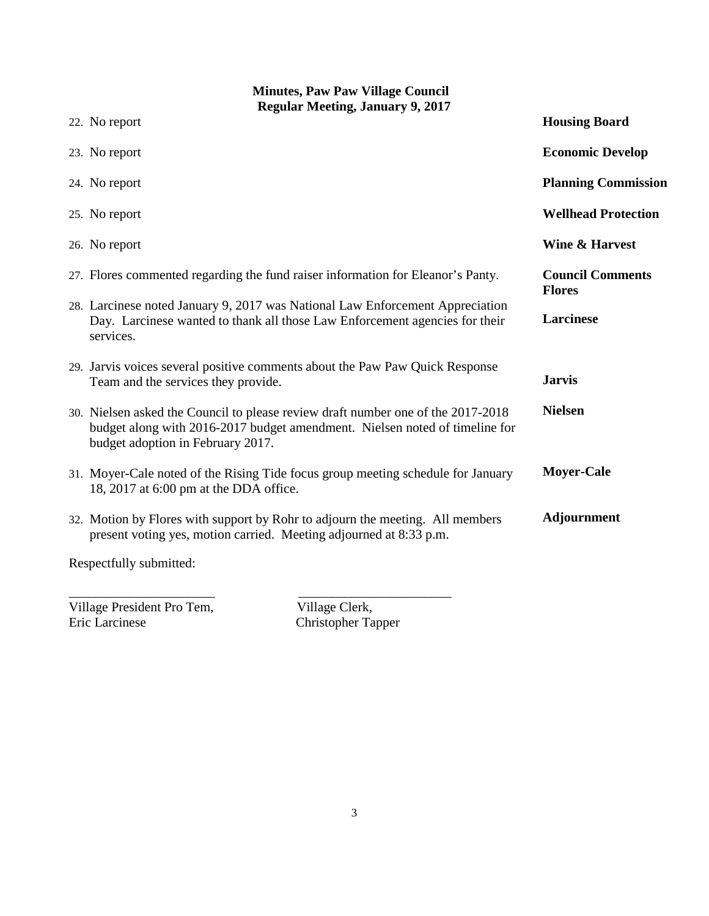| <b>Minutes, Paw Paw Village Council</b><br><b>Regular Meeting, January 9, 2017</b>                                                                                                                   |                                          |  |
|------------------------------------------------------------------------------------------------------------------------------------------------------------------------------------------------------|------------------------------------------|--|
| 22. No report                                                                                                                                                                                        | <b>Housing Board</b>                     |  |
| 23. No report                                                                                                                                                                                        | <b>Economic Develop</b>                  |  |
| 24. No report                                                                                                                                                                                        | <b>Planning Commission</b>               |  |
| 25. No report                                                                                                                                                                                        | <b>Wellhead Protection</b>               |  |
| 26. No report                                                                                                                                                                                        | <b>Wine &amp; Harvest</b>                |  |
| 27. Flores commented regarding the fund raiser information for Eleanor's Panty.                                                                                                                      | <b>Council Comments</b><br><b>Flores</b> |  |
| 28. Larcinese noted January 9, 2017 was National Law Enforcement Appreciation<br>Day. Larcinese wanted to thank all those Law Enforcement agencies for their<br>services.                            | Larcinese                                |  |
| 29. Jarvis voices several positive comments about the Paw Paw Quick Response<br>Team and the services they provide.                                                                                  | <b>Jarvis</b>                            |  |
| 30. Nielsen asked the Council to please review draft number one of the 2017-2018<br>budget along with 2016-2017 budget amendment. Nielsen noted of timeline for<br>budget adoption in February 2017. | <b>Nielsen</b>                           |  |
| 31. Moyer-Cale noted of the Rising Tide focus group meeting schedule for January<br>18, 2017 at 6:00 pm at the DDA office.                                                                           | <b>Moyer-Cale</b>                        |  |
| 32. Motion by Flores with support by Rohr to adjourn the meeting. All members<br>present voting yes, motion carried. Meeting adjourned at 8:33 p.m.                                                  | <b>Adjournment</b>                       |  |
| Respectfully submitted:                                                                                                                                                                              |                                          |  |

\_\_\_\_\_\_\_\_\_\_\_\_\_\_\_\_\_\_\_\_\_\_ \_\_\_\_\_\_\_\_\_\_\_\_\_\_\_\_\_\_\_\_\_\_\_ Village President Pro Tem, Village Clerk,

Eric Larcinese Christopher Tapper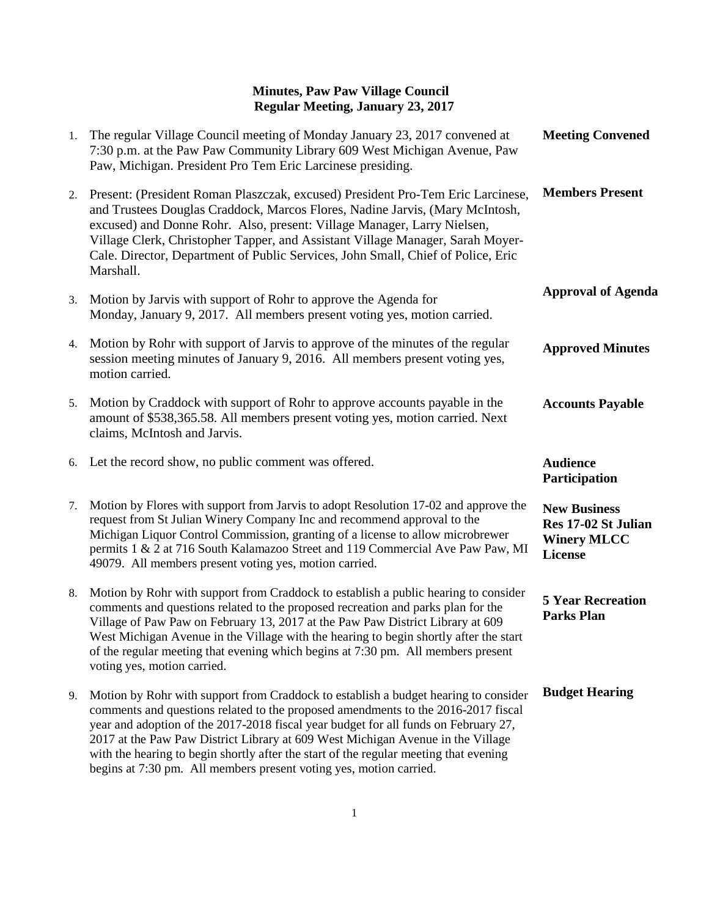| 1. | The regular Village Council meeting of Monday January 23, 2017 convened at<br>7:30 p.m. at the Paw Paw Community Library 609 West Michigan Avenue, Paw<br>Paw, Michigan. President Pro Tem Eric Larcinese presiding.                                                                                                                                                                                                                                                  | <b>Meeting Convened</b>                                                            |
|----|-----------------------------------------------------------------------------------------------------------------------------------------------------------------------------------------------------------------------------------------------------------------------------------------------------------------------------------------------------------------------------------------------------------------------------------------------------------------------|------------------------------------------------------------------------------------|
| 2. | Present: (President Roman Plaszczak, excused) President Pro-Tem Eric Larcinese,<br>and Trustees Douglas Craddock, Marcos Flores, Nadine Jarvis, (Mary McIntosh,<br>excused) and Donne Rohr. Also, present: Village Manager, Larry Nielsen,<br>Village Clerk, Christopher Tapper, and Assistant Village Manager, Sarah Moyer-<br>Cale. Director, Department of Public Services, John Small, Chief of Police, Eric<br>Marshall.                                         | <b>Members Present</b>                                                             |
| 3. | Motion by Jarvis with support of Rohr to approve the Agenda for<br>Monday, January 9, 2017. All members present voting yes, motion carried.                                                                                                                                                                                                                                                                                                                           | <b>Approval of Agenda</b>                                                          |
| 4. | Motion by Rohr with support of Jarvis to approve of the minutes of the regular<br>session meeting minutes of January 9, 2016. All members present voting yes,<br>motion carried.                                                                                                                                                                                                                                                                                      | <b>Approved Minutes</b>                                                            |
| 5. | Motion by Craddock with support of Rohr to approve accounts payable in the<br>amount of \$538,365.58. All members present voting yes, motion carried. Next<br>claims, McIntosh and Jarvis.                                                                                                                                                                                                                                                                            | <b>Accounts Payable</b>                                                            |
| 6. | Let the record show, no public comment was offered.                                                                                                                                                                                                                                                                                                                                                                                                                   | <b>Audience</b><br>Participation                                                   |
| 7. | Motion by Flores with support from Jarvis to adopt Resolution 17-02 and approve the<br>request from St Julian Winery Company Inc and recommend approval to the<br>Michigan Liquor Control Commission, granting of a license to allow microbrewer<br>permits 1 & 2 at 716 South Kalamazoo Street and 119 Commercial Ave Paw Paw, MI<br>49079. All members present voting yes, motion carried.                                                                          | <b>New Business</b><br>Res 17-02 St Julian<br><b>Winery MLCC</b><br><b>License</b> |
| 8. |                                                                                                                                                                                                                                                                                                                                                                                                                                                                       |                                                                                    |
|    | Motion by Rohr with support from Craddock to establish a public hearing to consider<br>comments and questions related to the proposed recreation and parks plan for the<br>Village of Paw Paw on February 13, 2017 at the Paw Paw District Library at 609<br>West Michigan Avenue in the Village with the hearing to begin shortly after the start<br>of the regular meeting that evening which begins at 7:30 pm. All members present<br>voting yes, motion carried. | <b>5 Year Recreation</b><br><b>Parks Plan</b>                                      |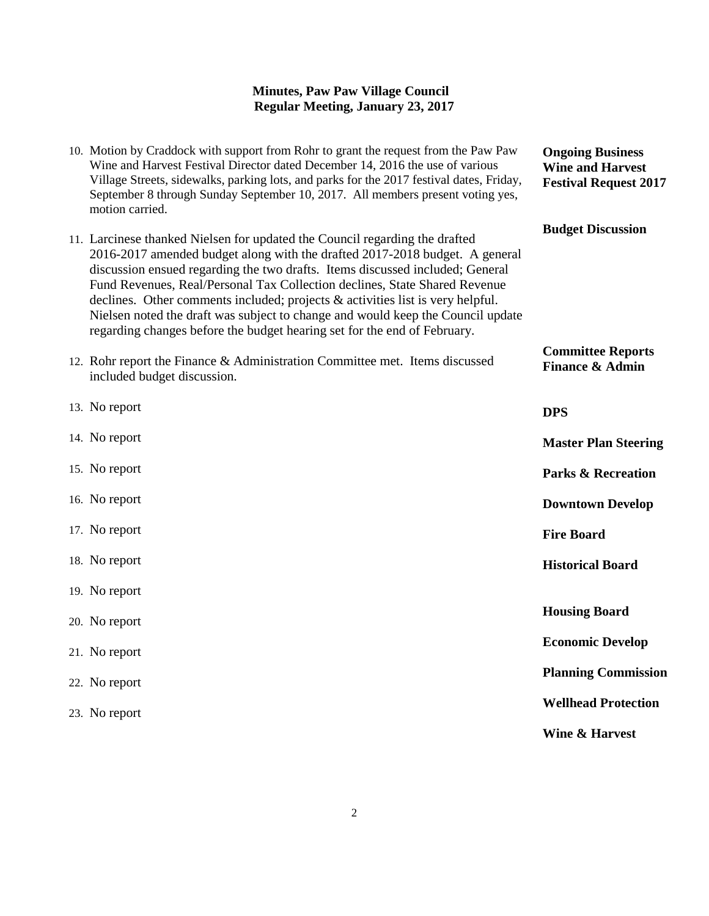| 10. Motion by Craddock with support from Rohr to grant the request from the Paw Paw<br>Wine and Harvest Festival Director dated December 14, 2016 the use of various<br>Village Streets, sidewalks, parking lots, and parks for the 2017 festival dates, Friday,<br>September 8 through Sunday September 10, 2017. All members present voting yes,<br>motion carried.                                                                                                                                                                                                      | <b>Ongoing Business</b><br><b>Wine and Harvest</b><br><b>Festival Request 2017</b> |
|----------------------------------------------------------------------------------------------------------------------------------------------------------------------------------------------------------------------------------------------------------------------------------------------------------------------------------------------------------------------------------------------------------------------------------------------------------------------------------------------------------------------------------------------------------------------------|------------------------------------------------------------------------------------|
| 11. Larcinese thanked Nielsen for updated the Council regarding the drafted<br>2016-2017 amended budget along with the drafted 2017-2018 budget. A general<br>discussion ensued regarding the two drafts. Items discussed included; General<br>Fund Revenues, Real/Personal Tax Collection declines, State Shared Revenue<br>declines. Other comments included; projects & activities list is very helpful.<br>Nielsen noted the draft was subject to change and would keep the Council update<br>regarding changes before the budget hearing set for the end of February. | <b>Budget Discussion</b>                                                           |
| 12. Rohr report the Finance & Administration Committee met. Items discussed<br>included budget discussion.                                                                                                                                                                                                                                                                                                                                                                                                                                                                 | <b>Committee Reports</b><br><b>Finance &amp; Admin</b>                             |
| 13. No report                                                                                                                                                                                                                                                                                                                                                                                                                                                                                                                                                              | <b>DPS</b>                                                                         |
| 14. No report                                                                                                                                                                                                                                                                                                                                                                                                                                                                                                                                                              | <b>Master Plan Steering</b>                                                        |
| 15. No report                                                                                                                                                                                                                                                                                                                                                                                                                                                                                                                                                              | <b>Parks &amp; Recreation</b>                                                      |
| 16. No report                                                                                                                                                                                                                                                                                                                                                                                                                                                                                                                                                              | <b>Downtown Develop</b>                                                            |
| 17. No report                                                                                                                                                                                                                                                                                                                                                                                                                                                                                                                                                              | <b>Fire Board</b>                                                                  |
| 18. No report                                                                                                                                                                                                                                                                                                                                                                                                                                                                                                                                                              | <b>Historical Board</b>                                                            |
| 19. No report                                                                                                                                                                                                                                                                                                                                                                                                                                                                                                                                                              |                                                                                    |
| 20. No report                                                                                                                                                                                                                                                                                                                                                                                                                                                                                                                                                              | <b>Housing Board</b>                                                               |
| 21. No report                                                                                                                                                                                                                                                                                                                                                                                                                                                                                                                                                              | <b>Economic Develop</b>                                                            |
| 22. No report                                                                                                                                                                                                                                                                                                                                                                                                                                                                                                                                                              | <b>Planning Commission</b>                                                         |
| 23. No report                                                                                                                                                                                                                                                                                                                                                                                                                                                                                                                                                              | <b>Wellhead Protection</b>                                                         |
|                                                                                                                                                                                                                                                                                                                                                                                                                                                                                                                                                                            | <b>Wine &amp; Harvest</b>                                                          |
|                                                                                                                                                                                                                                                                                                                                                                                                                                                                                                                                                                            |                                                                                    |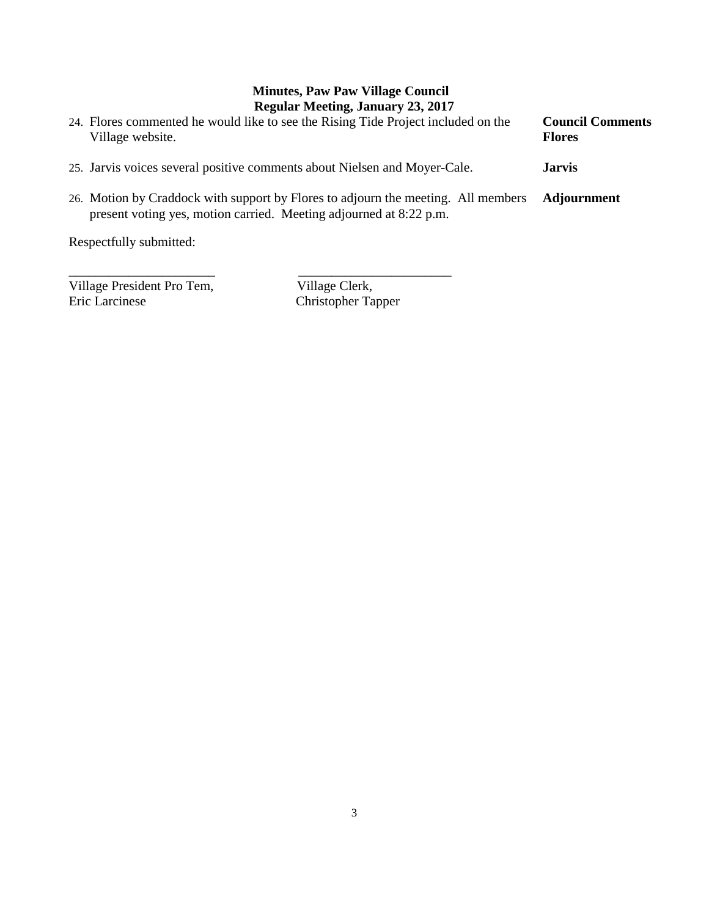| 24. Flores commented he would like to see the Rising Tide Project included on the<br>Village website.                                                   | <b>Council Comments</b><br><b>Flores</b> |
|---------------------------------------------------------------------------------------------------------------------------------------------------------|------------------------------------------|
| 25. Jarvis voices several positive comments about Nielsen and Moyer-Cale.                                                                               | <b>Jarvis</b>                            |
| 26. Motion by Craddock with support by Flores to adjourn the meeting. All members<br>present voting yes, motion carried. Meeting adjourned at 8:22 p.m. | Adjournment                              |

Respectfully submitted:

\_\_\_\_\_\_\_\_\_\_\_\_\_\_\_\_\_\_\_\_\_\_ \_\_\_\_\_\_\_\_\_\_\_\_\_\_\_\_\_\_\_\_\_\_\_ Village President Pro Tem, Village Clerk, Eric Larcinese Christopher Tapper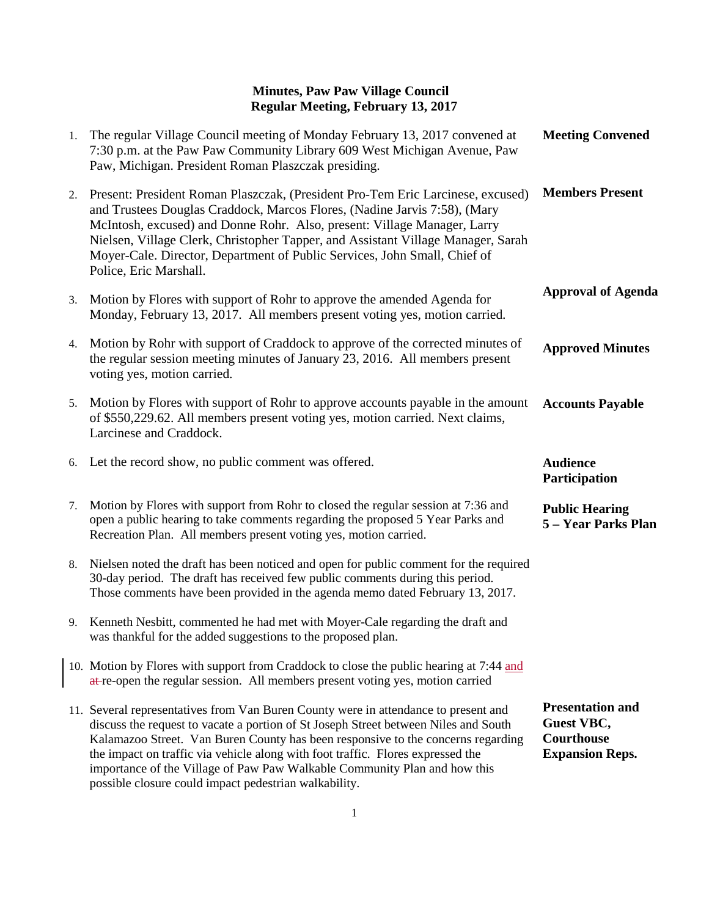| 1. | The regular Village Council meeting of Monday February 13, 2017 convened at<br>7:30 p.m. at the Paw Paw Community Library 609 West Michigan Avenue, Paw<br>Paw, Michigan. President Roman Plaszczak presiding.                                                                                                                                                                                                                      | <b>Meeting Convened</b>                      |
|----|-------------------------------------------------------------------------------------------------------------------------------------------------------------------------------------------------------------------------------------------------------------------------------------------------------------------------------------------------------------------------------------------------------------------------------------|----------------------------------------------|
| 2. | Present: President Roman Plaszczak, (President Pro-Tem Eric Larcinese, excused)<br>and Trustees Douglas Craddock, Marcos Flores, (Nadine Jarvis 7:58), (Mary<br>McIntosh, excused) and Donne Rohr. Also, present: Village Manager, Larry<br>Nielsen, Village Clerk, Christopher Tapper, and Assistant Village Manager, Sarah<br>Moyer-Cale. Director, Department of Public Services, John Small, Chief of<br>Police, Eric Marshall. | <b>Members Present</b>                       |
| 3. | Motion by Flores with support of Rohr to approve the amended Agenda for<br>Monday, February 13, 2017. All members present voting yes, motion carried.                                                                                                                                                                                                                                                                               | <b>Approval of Agenda</b>                    |
| 4. | Motion by Rohr with support of Craddock to approve of the corrected minutes of<br>the regular session meeting minutes of January 23, 2016. All members present<br>voting yes, motion carried.                                                                                                                                                                                                                                       | <b>Approved Minutes</b>                      |
|    | 5. Motion by Flores with support of Rohr to approve accounts payable in the amount<br>of \$550,229.62. All members present voting yes, motion carried. Next claims,<br>Larcinese and Craddock.                                                                                                                                                                                                                                      | <b>Accounts Payable</b>                      |
|    | 6. Let the record show, no public comment was offered.                                                                                                                                                                                                                                                                                                                                                                              | <b>Audience</b><br>Participation             |
| 7. | Motion by Flores with support from Rohr to closed the regular session at 7:36 and<br>open a public hearing to take comments regarding the proposed 5 Year Parks and<br>Recreation Plan. All members present voting yes, motion carried.                                                                                                                                                                                             | <b>Public Hearing</b><br>5 - Year Parks Plan |
| 8. |                                                                                                                                                                                                                                                                                                                                                                                                                                     |                                              |
|    | Nielsen noted the draft has been noticed and open for public comment for the required<br>30-day period. The draft has received few public comments during this period.<br>Those comments have been provided in the agenda memo dated February 13, 2017.                                                                                                                                                                             |                                              |
|    | 9. Kenneth Nesbitt, commented he had met with Moyer-Cale regarding the draft and<br>was thankful for the added suggestions to the proposed plan.                                                                                                                                                                                                                                                                                    |                                              |
|    | 10. Motion by Flores with support from Craddock to close the public hearing at 7:44 and<br>at-re-open the regular session. All members present voting yes, motion carried                                                                                                                                                                                                                                                           |                                              |

possible closure could impact pedestrian walkability.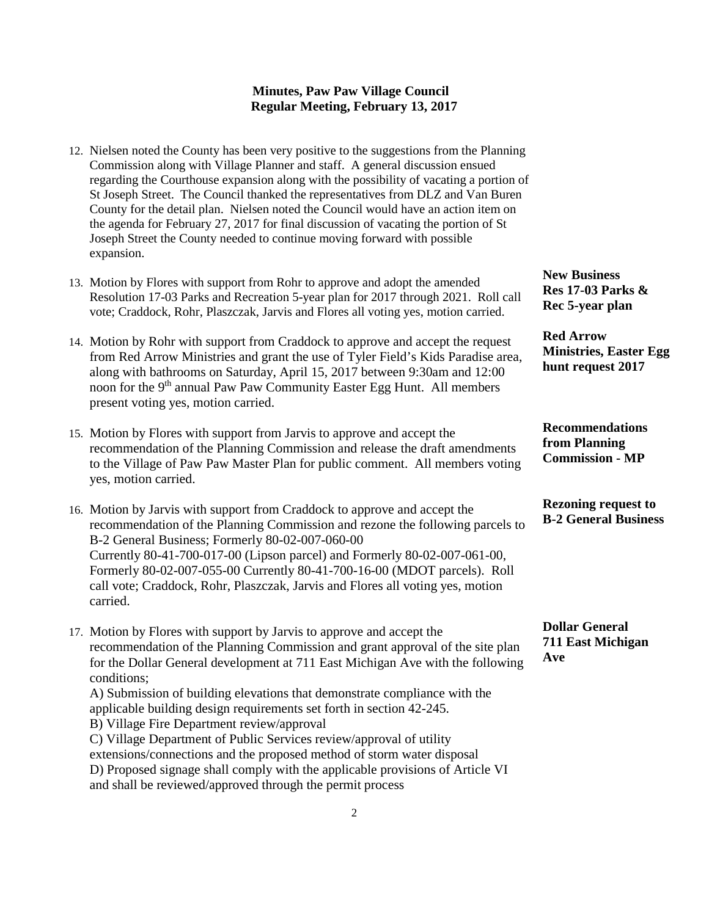- 12. Nielsen noted the County has been very positive to the suggestions from the Planning Commission along with Village Planner and staff. A general discussion ensued regarding the Courthouse expansion along with the possibility of vacating a portion of St Joseph Street. The Council thanked the representatives from DLZ and Van Buren County for the detail plan. Nielsen noted the Council would have an action item on the agenda for February 27, 2017 for final discussion of vacating the portion of St Joseph Street the County needed to continue moving forward with possible expansion.
- 13. Motion by Flores with support from Rohr to approve and adopt the amended Resolution 17-03 Parks and Recreation 5-year plan for 2017 through 2021. Roll call vote; Craddock, Rohr, Plaszczak, Jarvis and Flores all voting yes, motion carried.
- 14. Motion by Rohr with support from Craddock to approve and accept the request from Red Arrow Ministries and grant the use of Tyler Field's Kids Paradise area, along with bathrooms on Saturday, April 15, 2017 between 9:30am and 12:00 noon for the 9<sup>th</sup> annual Paw Paw Community Easter Egg Hunt. All members present voting yes, motion carried.
- 15. Motion by Flores with support from Jarvis to approve and accept the recommendation of the Planning Commission and release the draft amendments to the Village of Paw Paw Master Plan for public comment. All members voting yes, motion carried.
- 16. Motion by Jarvis with support from Craddock to approve and accept the recommendation of the Planning Commission and rezone the following parcels to B-2 General Business; Formerly 80-02-007-060-00 Currently 80-41-700-017-00 (Lipson parcel) and Formerly 80-02-007-061-00, Formerly 80-02-007-055-00 Currently 80-41-700-16-00 (MDOT parcels). Roll call vote; Craddock, Rohr, Plaszczak, Jarvis and Flores all voting yes, motion carried.
- 17. Motion by Flores with support by Jarvis to approve and accept the recommendation of the Planning Commission and grant approval of the site plan for the Dollar General development at 711 East Michigan Ave with the following conditions; A) Submission of building elevations that demonstrate compliance with the

applicable building design requirements set forth in section 42-245. B) Village Fire Department review/approval C) Village Department of Public Services review/approval of utility

extensions/connections and the proposed method of storm water disposal D) Proposed signage shall comply with the applicable provisions of Article VI and shall be reviewed/approved through the permit process

**New Business Res 17-03 Parks & Rec 5-year plan**

**Red Arrow Ministries, Easter Egg hunt request 2017**

**Recommendations from Planning Commission - MP**

**Rezoning request to B-2 General Business**

**Dollar General 711 East Michigan Ave**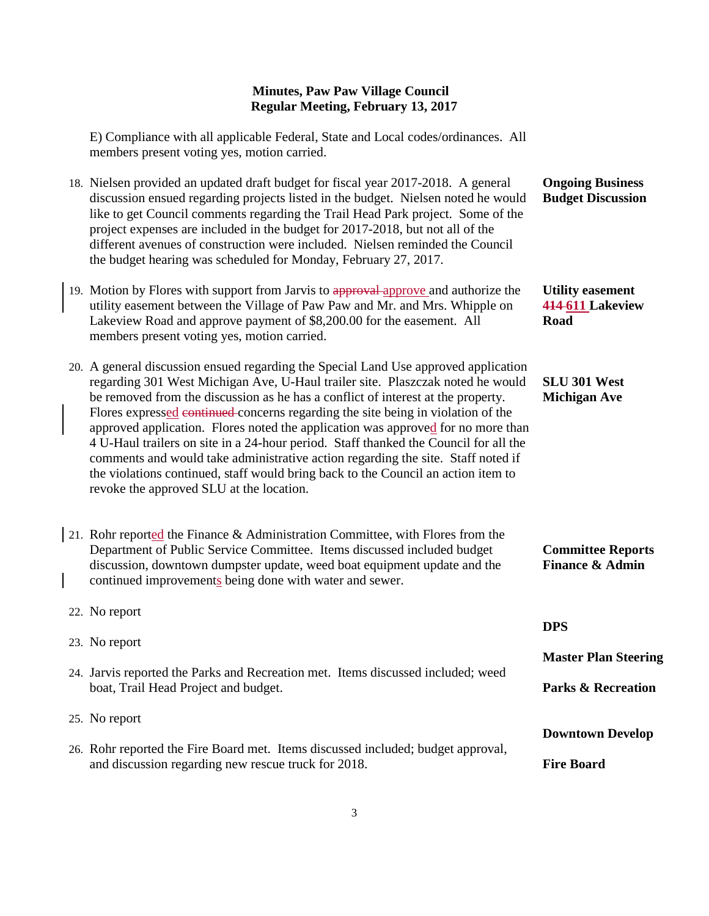**Ongoing Business Budget Discussion**

**Utility easement 414 611 Lakeview** 

**SLU 301 West Michigan Ave**

**Committee Reports Finance & Admin**

**Road**

E) Compliance with all applicable Federal, State and Local codes/ordinances. All members present voting yes, motion carried.

- 18. Nielsen provided an updated draft budget for fiscal year 2017-2018. A general discussion ensued regarding projects listed in the budget. Nielsen noted he would like to get Council comments regarding the Trail Head Park project. Some of the project expenses are included in the budget for 2017-2018, but not all of the different avenues of construction were included. Nielsen reminded the Council the budget hearing was scheduled for Monday, February 27, 2017.
- 19. Motion by Flores with support from Jarvis to approval approve and authorize the utility easement between the Village of Paw Paw and Mr. and Mrs. Whipple on Lakeview Road and approve payment of \$8,200.00 for the easement. All members present voting yes, motion carried.
- 20. A general discussion ensued regarding the Special Land Use approved application regarding 301 West Michigan Ave, U-Haul trailer site. Plaszczak noted he would be removed from the discussion as he has a conflict of interest at the property. Flores expressed continued concerns regarding the site being in violation of the approved application. Flores noted the application was approved for no more than 4 U-Haul trailers on site in a 24-hour period. Staff thanked the Council for all the comments and would take administrative action regarding the site. Staff noted if the violations continued, staff would bring back to the Council an action item to revoke the approved SLU at the location.
- 21. Rohr reported the Finance & Administration Committee, with Flores from the Department of Public Service Committee. Items discussed included budget discussion, downtown dumpster update, weed boat equipment update and the continued improvements being done with water and sewer.
- 22. No report 23. No report 24. Jarvis reported the Parks and Recreation met. Items discussed included; weed boat, Trail Head Project and budget. 25. No report 26. Rohr reported the Fire Board met. Items discussed included; budget approval, and discussion regarding new rescue truck for 2018. **DPS Master Plan Steering Parks & Recreation Downtown Develop Fire Board**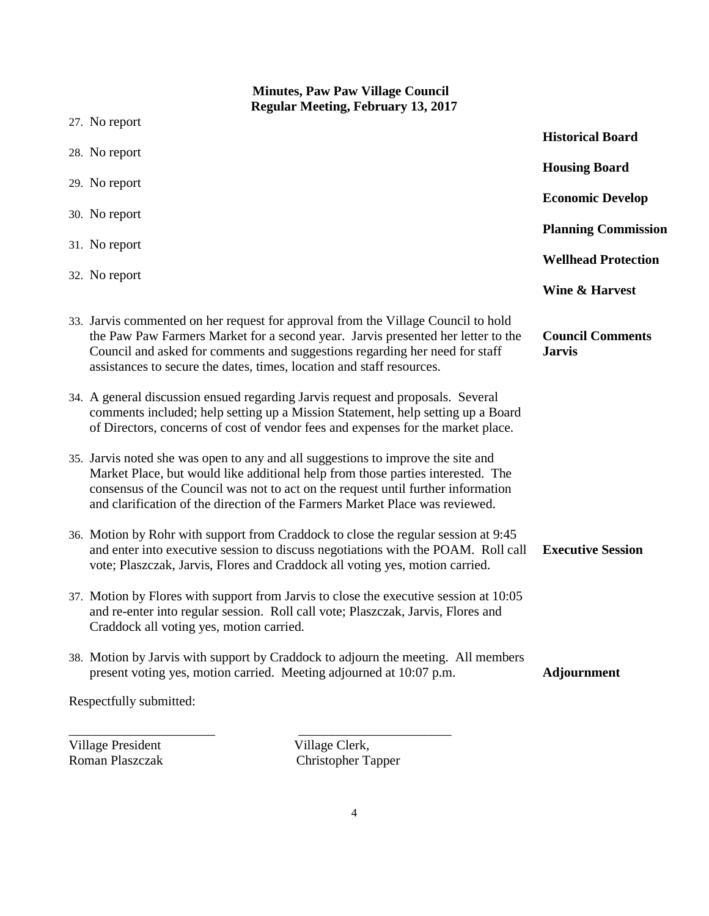# **Minutes, Paw Paw Village Council Regular Meeting, February 13, 2017** 27. No report 28. No report 29. No report 30. No report 31. No report 32. No report 33. Jarvis commented on her request for approval from the Village Council to hold the Paw Paw Farmers Market for a second year. Jarvis presented her letter to the Council and asked for comments and suggestions regarding her need for staff assistances to secure the dates, times, location and staff resources. 34. A general discussion ensued regarding Jarvis request and proposals. Several comments included; help setting up a Mission Statement, help setting up a Board of Directors, concerns of cost of vendor fees and expenses for the market place. 35. Jarvis noted she was open to any and all suggestions to improve the site and Market Place, but would like additional help from those parties interested. The consensus of the Council was not to act on the request until further information and clarification of the direction of the Farmers Market Place was reviewed. 36. Motion by Rohr with support from Craddock to close the regular session at 9:45 and enter into executive session to discuss negotiations with the POAM. Roll call vote; Plaszczak, Jarvis, Flores and Craddock all voting yes, motion carried. 37. Motion by Flores with support from Jarvis to close the executive session at 10:05 and re-enter into regular session. Roll call vote; Plaszczak, Jarvis, Flores and Craddock all voting yes, motion carried. 38. Motion by Jarvis with support by Craddock to adjourn the meeting. All members present voting yes, motion carried. Meeting adjourned at 10:07 p.m. Respectfully submitted: \_\_\_\_\_\_\_\_\_\_\_\_\_\_\_\_\_\_\_\_\_\_ \_\_\_\_\_\_\_\_\_\_\_\_\_\_\_\_\_\_\_\_\_\_\_ **Historical Board Housing Board Economic Develop Planning Commission Wellhead Protection Wine & Harvest Council Comments Jarvis Executive Session Adjournment**

Village President Village Clerk,<br>
Roman Plaszczak (Christopher Ta

Christopher Tapper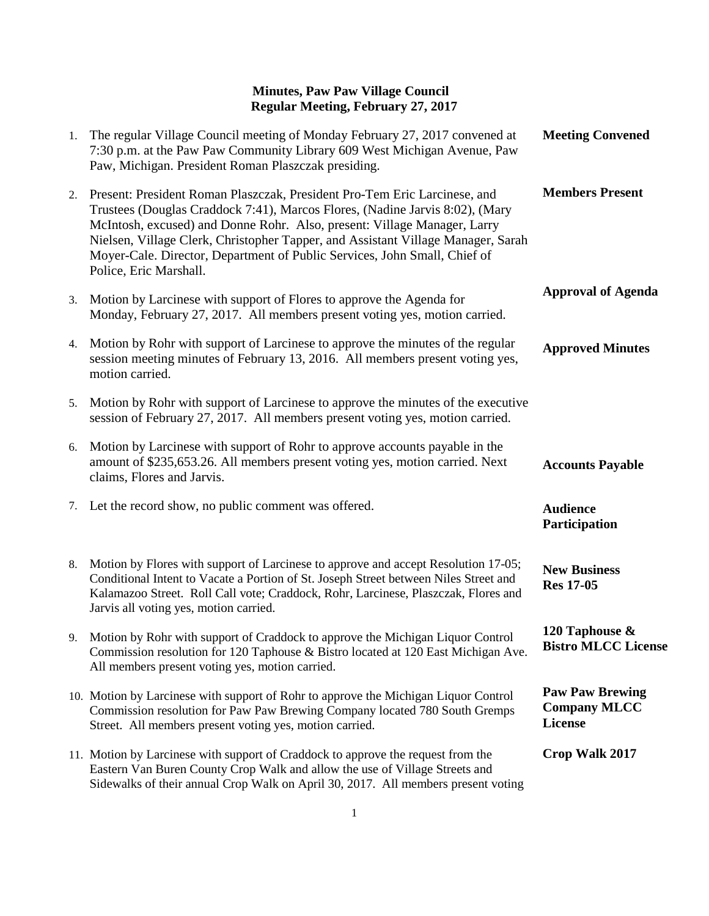| 1. | The regular Village Council meeting of Monday February 27, 2017 convened at<br>7:30 p.m. at the Paw Paw Community Library 609 West Michigan Avenue, Paw<br>Paw, Michigan. President Roman Plaszczak presiding.                                                                                                                                                                                                                   | <b>Meeting Convened</b>                                  |
|----|----------------------------------------------------------------------------------------------------------------------------------------------------------------------------------------------------------------------------------------------------------------------------------------------------------------------------------------------------------------------------------------------------------------------------------|----------------------------------------------------------|
| 2. | Present: President Roman Plaszczak, President Pro-Tem Eric Larcinese, and<br>Trustees (Douglas Craddock 7:41), Marcos Flores, (Nadine Jarvis 8:02), (Mary<br>McIntosh, excused) and Donne Rohr. Also, present: Village Manager, Larry<br>Nielsen, Village Clerk, Christopher Tapper, and Assistant Village Manager, Sarah<br>Moyer-Cale. Director, Department of Public Services, John Small, Chief of<br>Police, Eric Marshall. | <b>Members Present</b>                                   |
| 3. | Motion by Larcinese with support of Flores to approve the Agenda for<br>Monday, February 27, 2017. All members present voting yes, motion carried.                                                                                                                                                                                                                                                                               | <b>Approval of Agenda</b>                                |
| 4. | Motion by Rohr with support of Larcinese to approve the minutes of the regular<br>session meeting minutes of February 13, 2016. All members present voting yes,<br>motion carried.                                                                                                                                                                                                                                               | <b>Approved Minutes</b>                                  |
| 5. | Motion by Rohr with support of Larcinese to approve the minutes of the executive<br>session of February 27, 2017. All members present voting yes, motion carried.                                                                                                                                                                                                                                                                |                                                          |
| 6. | Motion by Larcinese with support of Rohr to approve accounts payable in the<br>amount of \$235,653.26. All members present voting yes, motion carried. Next<br>claims, Flores and Jarvis.                                                                                                                                                                                                                                        | <b>Accounts Payable</b>                                  |
|    | 7. Let the record show, no public comment was offered.                                                                                                                                                                                                                                                                                                                                                                           | <b>Audience</b><br>Participation                         |
| 8. | Motion by Flores with support of Larcinese to approve and accept Resolution 17-05;<br>Conditional Intent to Vacate a Portion of St. Joseph Street between Niles Street and<br>Kalamazoo Street. Roll Call vote; Craddock, Rohr, Larcinese, Plaszczak, Flores and<br>Jarvis all voting yes, motion carried.                                                                                                                       | <b>New Business</b><br><b>Res 17-05</b>                  |
|    | 9. Motion by Rohr with support of Craddock to approve the Michigan Liquor Control<br>Commission resolution for 120 Taphouse & Bistro located at 120 East Michigan Ave.<br>All members present voting yes, motion carried.                                                                                                                                                                                                        | 120 Taphouse &<br><b>Bistro MLCC License</b>             |
|    | 10. Motion by Larcinese with support of Rohr to approve the Michigan Liquor Control<br>Commission resolution for Paw Paw Brewing Company located 780 South Gremps<br>Street. All members present voting yes, motion carried.                                                                                                                                                                                                     | <b>Paw Paw Brewing</b><br><b>Company MLCC</b><br>License |
|    | 11. Motion by Larcinese with support of Craddock to approve the request from the<br>Eastern Van Buren County Crop Walk and allow the use of Village Streets and<br>Sidewalks of their annual Crop Walk on April 30, 2017. All members present voting                                                                                                                                                                             | Crop Walk 2017                                           |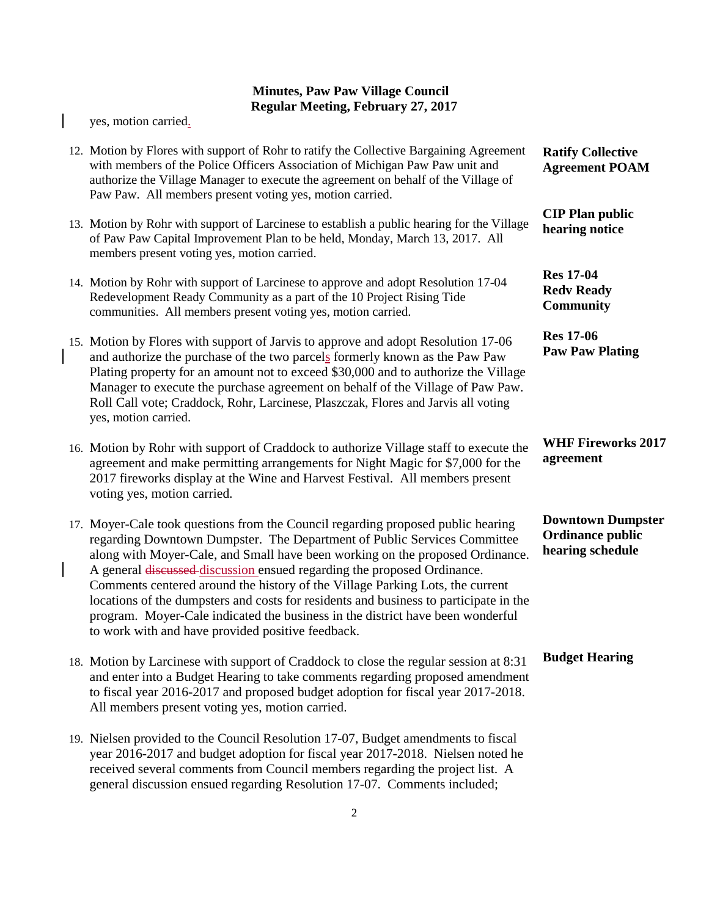|              | yes, motion carried.                                                                                                                                                                                                                                                                                                                                                                                                                                                                                                                                                                                                                      |                                                                         |
|--------------|-------------------------------------------------------------------------------------------------------------------------------------------------------------------------------------------------------------------------------------------------------------------------------------------------------------------------------------------------------------------------------------------------------------------------------------------------------------------------------------------------------------------------------------------------------------------------------------------------------------------------------------------|-------------------------------------------------------------------------|
|              | 12. Motion by Flores with support of Rohr to ratify the Collective Bargaining Agreement<br>with members of the Police Officers Association of Michigan Paw Paw unit and<br>authorize the Village Manager to execute the agreement on behalf of the Village of<br>Paw Paw. All members present voting yes, motion carried.                                                                                                                                                                                                                                                                                                                 | <b>Ratify Collective</b><br><b>Agreement POAM</b>                       |
|              | 13. Motion by Rohr with support of Larcinese to establish a public hearing for the Village<br>of Paw Paw Capital Improvement Plan to be held, Monday, March 13, 2017. All<br>members present voting yes, motion carried.                                                                                                                                                                                                                                                                                                                                                                                                                  | <b>CIP Plan public</b><br>hearing notice                                |
|              | 14. Motion by Rohr with support of Larcinese to approve and adopt Resolution 17-04<br>Redevelopment Ready Community as a part of the 10 Project Rising Tide<br>communities. All members present voting yes, motion carried.                                                                                                                                                                                                                                                                                                                                                                                                               | <b>Res 17-04</b><br><b>Redy Ready</b><br><b>Community</b>               |
|              | 15. Motion by Flores with support of Jarvis to approve and adopt Resolution 17-06<br>and authorize the purchase of the two parcels formerly known as the Paw Paw<br>Plating property for an amount not to exceed \$30,000 and to authorize the Village<br>Manager to execute the purchase agreement on behalf of the Village of Paw Paw.<br>Roll Call vote; Craddock, Rohr, Larcinese, Plaszczak, Flores and Jarvis all voting<br>yes, motion carried.                                                                                                                                                                                    | <b>Res 17-06</b><br><b>Paw Paw Plating</b>                              |
|              | 16. Motion by Rohr with support of Craddock to authorize Village staff to execute the<br>agreement and make permitting arrangements for Night Magic for \$7,000 for the<br>2017 fireworks display at the Wine and Harvest Festival. All members present<br>voting yes, motion carried.                                                                                                                                                                                                                                                                                                                                                    | <b>WHF Fireworks 2017</b><br>agreement                                  |
| $\mathbf{I}$ | 17. Moyer-Cale took questions from the Council regarding proposed public hearing<br>regarding Downtown Dumpster. The Department of Public Services Committee<br>along with Moyer-Cale, and Small have been working on the proposed Ordinance.<br>A general discussed discussion ensued regarding the proposed Ordinance.<br>Comments centered around the history of the Village Parking Lots, the current<br>locations of the dumpsters and costs for residents and business to participate in the<br>program. Moyer-Cale indicated the business in the district have been wonderful<br>to work with and have provided positive feedback. | <b>Downtown Dumpster</b><br><b>Ordinance public</b><br>hearing schedule |
|              | 18. Motion by Larcinese with support of Craddock to close the regular session at 8:31<br>and enter into a Budget Hearing to take comments regarding proposed amendment<br>to fiscal year 2016-2017 and proposed budget adoption for fiscal year 2017-2018.<br>All members present voting yes, motion carried.                                                                                                                                                                                                                                                                                                                             | <b>Budget Hearing</b>                                                   |
|              | 10 Nielsen provided to the Council Resolution 17.07 Budget amendments to fiscal                                                                                                                                                                                                                                                                                                                                                                                                                                                                                                                                                           |                                                                         |

19. Nielsen provided to the Council Resolution 17-07, Budget amendments to fiscal year 2016-2017 and budget adoption for fiscal year 2017-2018. Nielsen noted he received several comments from Council members regarding the project list. A general discussion ensued regarding Resolution 17-07. Comments included;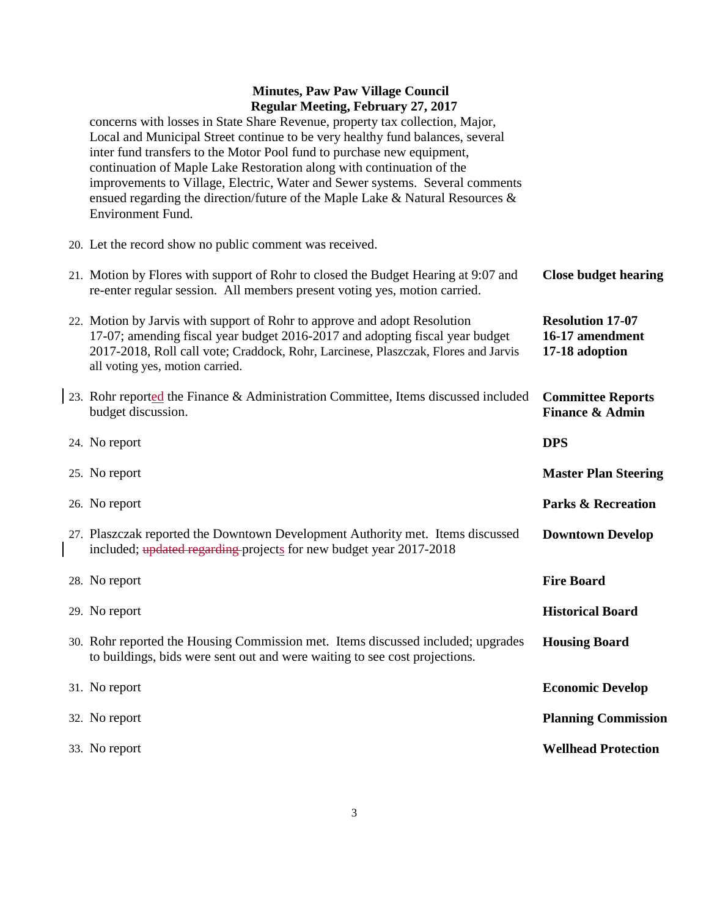concerns with losses in State Share Revenue, property tax collection, Major, Local and Municipal Street continue to be very healthy fund balances, several inter fund transfers to the Motor Pool fund to purchase new equipment, continuation of Maple Lake Restoration along with continuation of the improvements to Village, Electric, Water and Sewer systems. Several comments ensued regarding the direction/future of the Maple Lake & Natural Resources & Environment Fund.

20. Let the record show no public comment was received.

| 21. Motion by Flores with support of Rohr to closed the Budget Hearing at 9:07 and<br>re-enter regular session. All members present voting yes, motion carried.                                                                                                                    | <b>Close budget hearing</b>                                  |
|------------------------------------------------------------------------------------------------------------------------------------------------------------------------------------------------------------------------------------------------------------------------------------|--------------------------------------------------------------|
| 22. Motion by Jarvis with support of Rohr to approve and adopt Resolution<br>17-07; amending fiscal year budget 2016-2017 and adopting fiscal year budget<br>2017-2018, Roll call vote; Craddock, Rohr, Larcinese, Plaszczak, Flores and Jarvis<br>all voting yes, motion carried. | <b>Resolution 17-07</b><br>16-17 amendment<br>17-18 adoption |
| 23. Rohr reported the Finance & Administration Committee, Items discussed included<br>budget discussion.                                                                                                                                                                           | <b>Committee Reports</b><br><b>Finance &amp; Admin</b>       |
| 24. No report                                                                                                                                                                                                                                                                      | <b>DPS</b>                                                   |
| 25. No report                                                                                                                                                                                                                                                                      | <b>Master Plan Steering</b>                                  |
| 26. No report                                                                                                                                                                                                                                                                      | <b>Parks &amp; Recreation</b>                                |
| 27. Plaszczak reported the Downtown Development Authority met. Items discussed<br>included; updated regarding projects for new budget year 2017-2018                                                                                                                               | <b>Downtown Develop</b>                                      |
| 28. No report                                                                                                                                                                                                                                                                      | <b>Fire Board</b>                                            |
| 29. No report                                                                                                                                                                                                                                                                      | <b>Historical Board</b>                                      |
| 30. Rohr reported the Housing Commission met. Items discussed included; upgrades<br>to buildings, bids were sent out and were waiting to see cost projections.                                                                                                                     | <b>Housing Board</b>                                         |
| 31. No report                                                                                                                                                                                                                                                                      | <b>Economic Develop</b>                                      |
| 32. No report                                                                                                                                                                                                                                                                      | <b>Planning Commission</b>                                   |
| 33. No report                                                                                                                                                                                                                                                                      | <b>Wellhead Protection</b>                                   |
|                                                                                                                                                                                                                                                                                    |                                                              |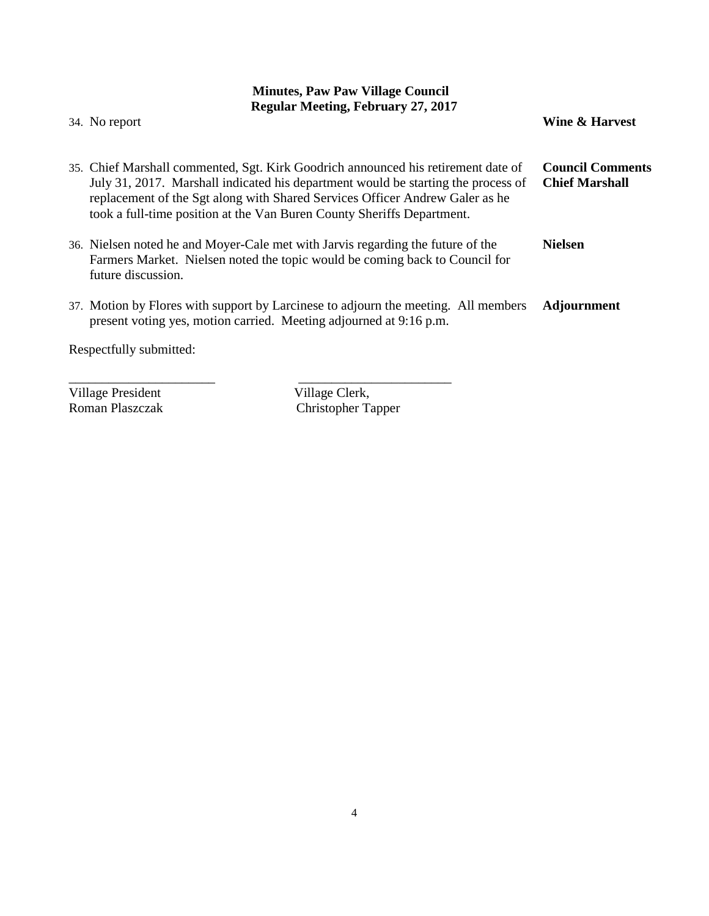| Regular Meeting, February 27, 2017<br>34. No report                                                                                                                                                                                                                                                                              | Wine & Harvest                                   |
|----------------------------------------------------------------------------------------------------------------------------------------------------------------------------------------------------------------------------------------------------------------------------------------------------------------------------------|--------------------------------------------------|
| 35. Chief Marshall commented, Sgt. Kirk Goodrich announced his retirement date of<br>July 31, 2017. Marshall indicated his department would be starting the process of<br>replacement of the Sgt along with Shared Services Officer Andrew Galer as he<br>took a full-time position at the Van Buren County Sheriffs Department. | <b>Council Comments</b><br><b>Chief Marshall</b> |
| 36. Nielsen noted he and Moyer-Cale met with Jarvis regarding the future of the<br>Farmers Market. Nielsen noted the topic would be coming back to Council for<br>future discussion.                                                                                                                                             | <b>Nielsen</b>                                   |
| 37. Motion by Flores with support by Larcinese to adjourn the meeting. All members<br>present voting yes, motion carried. Meeting adjourned at 9:16 p.m.                                                                                                                                                                         | <b>Adjournment</b>                               |
| Respectfully submitted:                                                                                                                                                                                                                                                                                                          |                                                  |

Village President<br>Roman Plaszczak

Roman Plaszczak Christopher Tapper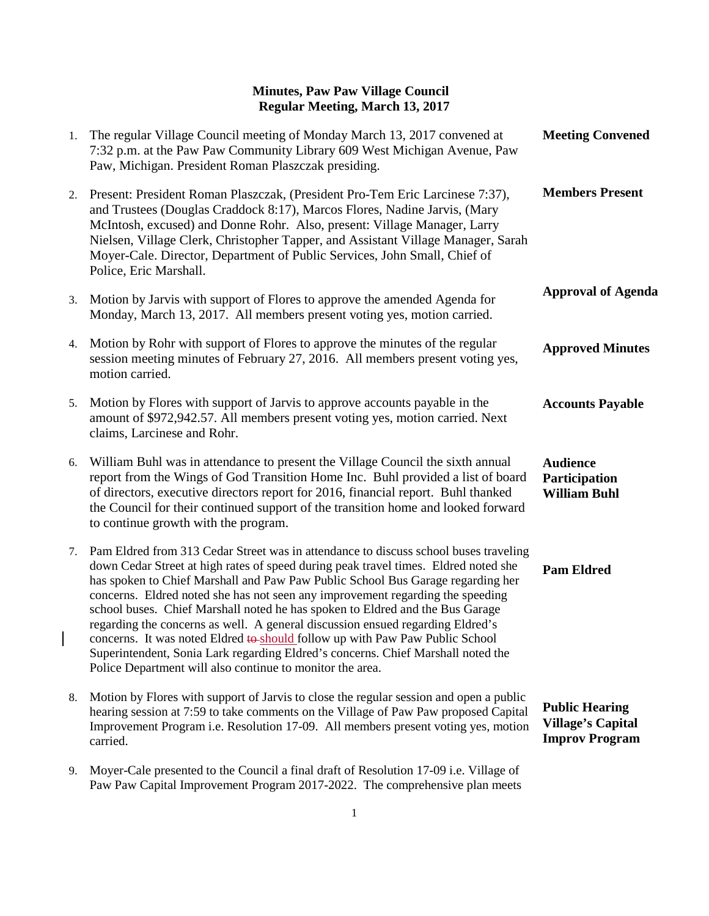| 1. | The regular Village Council meeting of Monday March 13, 2017 convened at<br>7:32 p.m. at the Paw Paw Community Library 609 West Michigan Avenue, Paw<br>Paw, Michigan. President Roman Plaszczak presiding.                                                                                                                                                                                                                                                                                                                                                                                                                                                                                                                                          | <b>Meeting Convened</b>                                                    |
|----|------------------------------------------------------------------------------------------------------------------------------------------------------------------------------------------------------------------------------------------------------------------------------------------------------------------------------------------------------------------------------------------------------------------------------------------------------------------------------------------------------------------------------------------------------------------------------------------------------------------------------------------------------------------------------------------------------------------------------------------------------|----------------------------------------------------------------------------|
| 2. | Present: President Roman Plaszczak, (President Pro-Tem Eric Larcinese 7:37),<br>and Trustees (Douglas Craddock 8:17), Marcos Flores, Nadine Jarvis, (Mary<br>McIntosh, excused) and Donne Rohr. Also, present: Village Manager, Larry<br>Nielsen, Village Clerk, Christopher Tapper, and Assistant Village Manager, Sarah<br>Moyer-Cale. Director, Department of Public Services, John Small, Chief of<br>Police, Eric Marshall.                                                                                                                                                                                                                                                                                                                     | <b>Members Present</b>                                                     |
| 3. | Motion by Jarvis with support of Flores to approve the amended Agenda for<br>Monday, March 13, 2017. All members present voting yes, motion carried.                                                                                                                                                                                                                                                                                                                                                                                                                                                                                                                                                                                                 | <b>Approval of Agenda</b>                                                  |
| 4. | Motion by Rohr with support of Flores to approve the minutes of the regular<br>session meeting minutes of February 27, 2016. All members present voting yes,<br>motion carried.                                                                                                                                                                                                                                                                                                                                                                                                                                                                                                                                                                      | <b>Approved Minutes</b>                                                    |
| 5. | Motion by Flores with support of Jarvis to approve accounts payable in the<br>amount of \$972,942.57. All members present voting yes, motion carried. Next<br>claims, Larcinese and Rohr.                                                                                                                                                                                                                                                                                                                                                                                                                                                                                                                                                            | <b>Accounts Payable</b>                                                    |
| 6. | William Buhl was in attendance to present the Village Council the sixth annual<br>report from the Wings of God Transition Home Inc. Buhl provided a list of board<br>of directors, executive directors report for 2016, financial report. Buhl thanked<br>the Council for their continued support of the transition home and looked forward<br>to continue growth with the program.                                                                                                                                                                                                                                                                                                                                                                  | <b>Audience</b><br>Participation<br><b>William Buhl</b>                    |
| 7. | Pam Eldred from 313 Cedar Street was in attendance to discuss school buses traveling<br>down Cedar Street at high rates of speed during peak travel times. Eldred noted she<br>has spoken to Chief Marshall and Paw Paw Public School Bus Garage regarding her<br>concerns. Eldred noted she has not seen any improvement regarding the speeding<br>school buses. Chief Marshall noted he has spoken to Eldred and the Bus Garage<br>regarding the concerns as well. A general discussion ensued regarding Eldred's<br>concerns. It was noted Eldred to should follow up with Paw Paw Public School<br>Superintendent, Sonia Lark regarding Eldred's concerns. Chief Marshall noted the<br>Police Department will also continue to monitor the area. | <b>Pam Eldred</b>                                                          |
| 8. | Motion by Flores with support of Jarvis to close the regular session and open a public<br>hearing session at 7:59 to take comments on the Village of Paw Paw proposed Capital<br>Improvement Program i.e. Resolution 17-09. All members present voting yes, motion<br>carried.                                                                                                                                                                                                                                                                                                                                                                                                                                                                       | <b>Public Hearing</b><br><b>Village's Capital</b><br><b>Improv Program</b> |
| 9. | Moyer-Cale presented to the Council a final draft of Resolution 17-09 i.e. Village of<br>Paw Paw Capital Improvement Program 2017-2022. The comprehensive plan meets                                                                                                                                                                                                                                                                                                                                                                                                                                                                                                                                                                                 |                                                                            |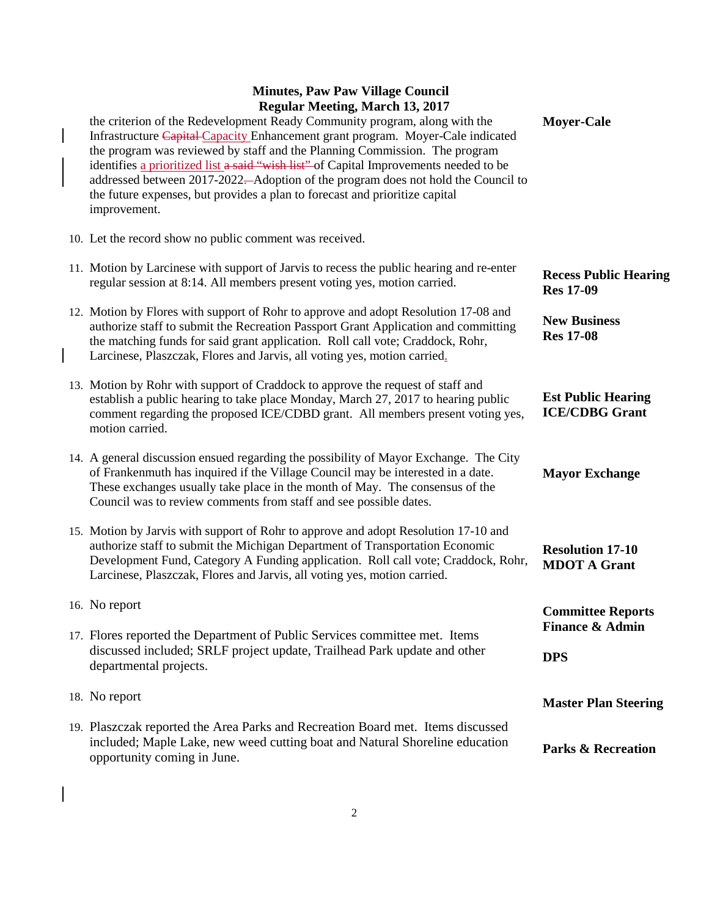| the criterion of the Redevelopment Ready Community program, along with the<br>Infrastructure Capital Capacity Enhancement grant program. Moyer-Cale indicated<br>the program was reviewed by staff and the Planning Commission. The program<br>identifies a prioritized list a said "wish list" of Capital Improvements needed to be<br>addressed between 2017-2022—Adoption of the program does not hold the Council to<br>the future expenses, but provides a plan to forecast and prioritize capital<br>improvement. | <b>Moyer-Cale</b>                                  |
|-------------------------------------------------------------------------------------------------------------------------------------------------------------------------------------------------------------------------------------------------------------------------------------------------------------------------------------------------------------------------------------------------------------------------------------------------------------------------------------------------------------------------|----------------------------------------------------|
| 10. Let the record show no public comment was received.                                                                                                                                                                                                                                                                                                                                                                                                                                                                 |                                                    |
| 11. Motion by Larcinese with support of Jarvis to recess the public hearing and re-enter<br>regular session at 8:14. All members present voting yes, motion carried.                                                                                                                                                                                                                                                                                                                                                    | <b>Recess Public Hearing</b><br><b>Res 17-09</b>   |
| 12. Motion by Flores with support of Rohr to approve and adopt Resolution 17-08 and<br>authorize staff to submit the Recreation Passport Grant Application and committing<br>the matching funds for said grant application. Roll call vote; Craddock, Rohr,<br>Larcinese, Plaszczak, Flores and Jarvis, all voting yes, motion carried.                                                                                                                                                                                 | <b>New Business</b><br><b>Res 17-08</b>            |
| 13. Motion by Rohr with support of Craddock to approve the request of staff and<br>establish a public hearing to take place Monday, March 27, 2017 to hearing public<br>comment regarding the proposed ICE/CDBD grant. All members present voting yes,<br>motion carried.                                                                                                                                                                                                                                               | <b>Est Public Hearing</b><br><b>ICE/CDBG Grant</b> |
| 14. A general discussion ensued regarding the possibility of Mayor Exchange. The City<br>of Frankenmuth has inquired if the Village Council may be interested in a date.<br>These exchanges usually take place in the month of May. The consensus of the<br>Council was to review comments from staff and see possible dates.                                                                                                                                                                                           | <b>Mayor Exchange</b>                              |
| 15. Motion by Jarvis with support of Rohr to approve and adopt Resolution 17-10 and<br>authorize staff to submit the Michigan Department of Transportation Economic<br>Development Fund, Category A Funding application. Roll call vote; Craddock, Rohr,<br>Larcinese, Plaszczak, Flores and Jarvis, all voting yes, motion carried.                                                                                                                                                                                    | <b>Resolution 17-10</b><br><b>MDOT A Grant</b>     |
| 16. No report                                                                                                                                                                                                                                                                                                                                                                                                                                                                                                           | <b>Committee Reports</b>                           |
| 17. Flores reported the Department of Public Services committee met. Items                                                                                                                                                                                                                                                                                                                                                                                                                                              | <b>Finance &amp; Admin</b>                         |
| discussed included; SRLF project update, Trailhead Park update and other<br>departmental projects.                                                                                                                                                                                                                                                                                                                                                                                                                      | <b>DPS</b>                                         |
| 18. No report                                                                                                                                                                                                                                                                                                                                                                                                                                                                                                           | <b>Master Plan Steering</b>                        |
| 19. Plaszczak reported the Area Parks and Recreation Board met. Items discussed<br>included; Maple Lake, new weed cutting boat and Natural Shoreline education<br>opportunity coming in June.                                                                                                                                                                                                                                                                                                                           | <b>Parks &amp; Recreation</b>                      |

 $\begin{array}{c} \rule{0pt}{2ex} \rule{0pt}{2ex} \rule{0pt}{2ex} \rule{0pt}{2ex} \rule{0pt}{2ex} \rule{0pt}{2ex} \rule{0pt}{2ex} \rule{0pt}{2ex} \rule{0pt}{2ex} \rule{0pt}{2ex} \rule{0pt}{2ex} \rule{0pt}{2ex} \rule{0pt}{2ex} \rule{0pt}{2ex} \rule{0pt}{2ex} \rule{0pt}{2ex} \rule{0pt}{2ex} \rule{0pt}{2ex} \rule{0pt}{2ex} \rule{0pt}{2ex} \rule{0pt}{2ex} \rule{0pt}{2ex} \rule{0pt}{2ex} \rule{0pt}{$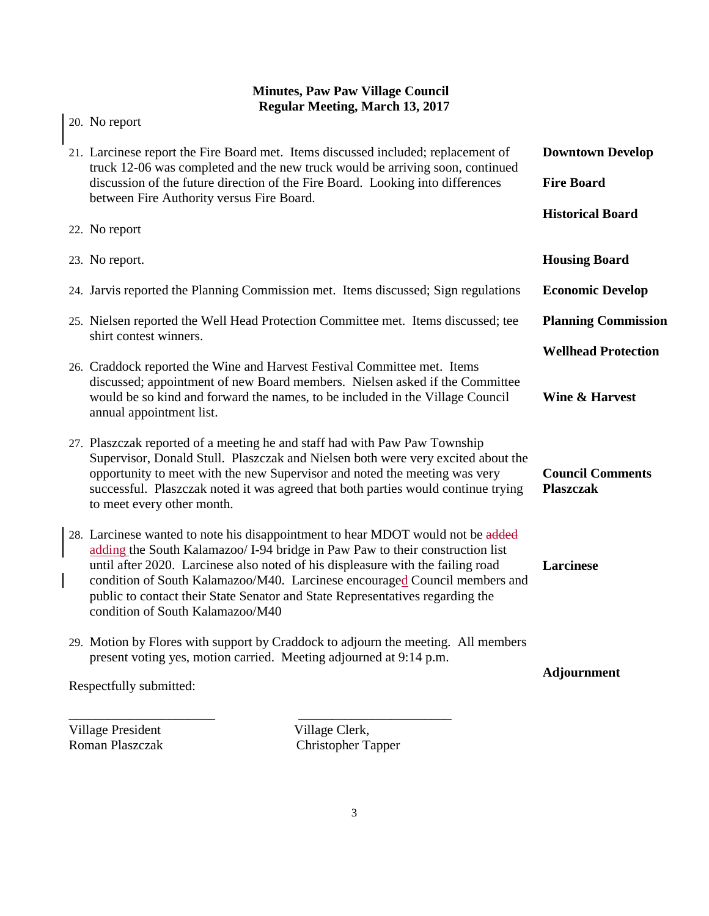| 21. Larcinese report the Fire Board met. Items discussed included; replacement of<br>truck 12-06 was completed and the new truck would be arriving soon, continued<br>discussion of the future direction of the Fire Board. Looking into differences<br>between Fire Authority versus Fire Board.                                                                                                                                                      | <b>Downtown Develop</b><br><b>Fire Board</b><br><b>Historical Board</b> |
|--------------------------------------------------------------------------------------------------------------------------------------------------------------------------------------------------------------------------------------------------------------------------------------------------------------------------------------------------------------------------------------------------------------------------------------------------------|-------------------------------------------------------------------------|
| 22. No report                                                                                                                                                                                                                                                                                                                                                                                                                                          |                                                                         |
| 23. No report.                                                                                                                                                                                                                                                                                                                                                                                                                                         | <b>Housing Board</b>                                                    |
| 24. Jarvis reported the Planning Commission met. Items discussed; Sign regulations                                                                                                                                                                                                                                                                                                                                                                     | <b>Economic Develop</b>                                                 |
| 25. Nielsen reported the Well Head Protection Committee met. Items discussed; tee<br>shirt contest winners.                                                                                                                                                                                                                                                                                                                                            | <b>Planning Commission</b>                                              |
| 26. Craddock reported the Wine and Harvest Festival Committee met. Items<br>discussed; appointment of new Board members. Nielsen asked if the Committee<br>would be so kind and forward the names, to be included in the Village Council<br>annual appointment list.                                                                                                                                                                                   | <b>Wellhead Protection</b><br><b>Wine &amp; Harvest</b>                 |
| 27. Plaszczak reported of a meeting he and staff had with Paw Paw Township<br>Supervisor, Donald Stull. Plaszczak and Nielsen both were very excited about the<br>opportunity to meet with the new Supervisor and noted the meeting was very<br>successful. Plaszczak noted it was agreed that both parties would continue trying<br>to meet every other month.                                                                                        | <b>Council Comments</b><br><b>Plaszczak</b>                             |
| 28. Larcinese wanted to note his disappointment to hear MDOT would not be added<br>adding the South Kalamazoo/ I-94 bridge in Paw Paw to their construction list<br>until after 2020. Larcinese also noted of his displeasure with the failing road<br>condition of South Kalamazoo/M40. Larcinese encouraged Council members and<br>public to contact their State Senator and State Representatives regarding the<br>condition of South Kalamazoo/M40 | Larcinese                                                               |
| 29. Motion by Flores with support by Craddock to adjourn the meeting. All members<br>present voting yes, motion carried. Meeting adjourned at 9:14 p.m.<br>Respectfully submitted:                                                                                                                                                                                                                                                                     | Adjournment                                                             |

Village President Village Clerk,<br>
Roman Plaszczak Christopher Ta

 $\overline{\phantom{a}}$ 

20. No report

Christopher Tapper

\_\_\_\_\_\_\_\_\_\_\_\_\_\_\_\_\_\_\_\_\_\_ \_\_\_\_\_\_\_\_\_\_\_\_\_\_\_\_\_\_\_\_\_\_\_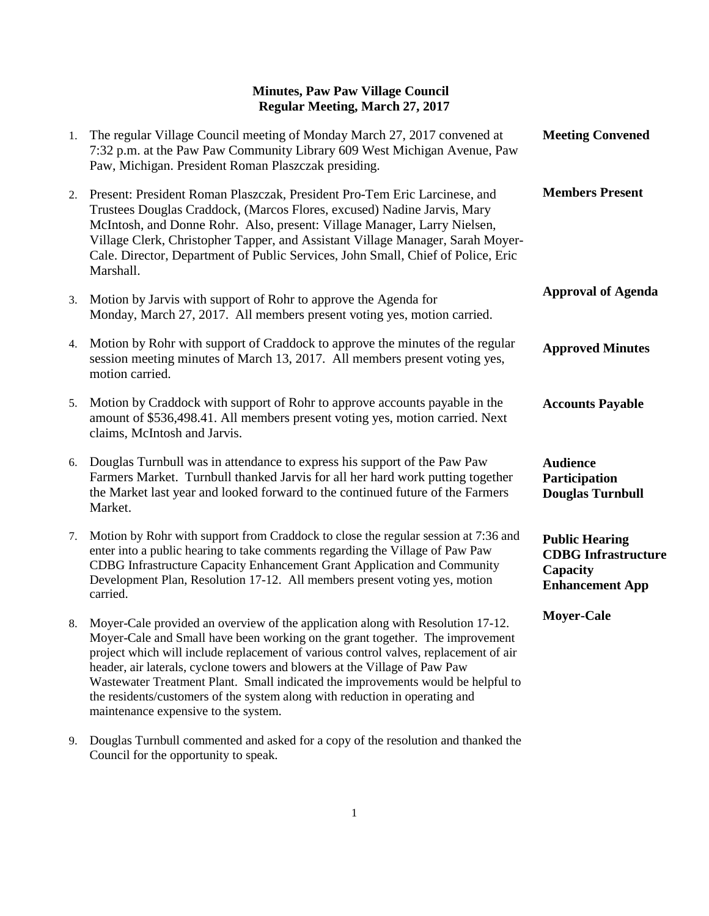| 1. | The regular Village Council meeting of Monday March 27, 2017 convened at<br>7:32 p.m. at the Paw Paw Community Library 609 West Michigan Avenue, Paw<br>Paw, Michigan. President Roman Plaszczak presiding.                                                                                                                                                                                                                                                                                                                                       | <b>Meeting Convened</b>                                                                   |
|----|---------------------------------------------------------------------------------------------------------------------------------------------------------------------------------------------------------------------------------------------------------------------------------------------------------------------------------------------------------------------------------------------------------------------------------------------------------------------------------------------------------------------------------------------------|-------------------------------------------------------------------------------------------|
| 2. | Present: President Roman Plaszczak, President Pro-Tem Eric Larcinese, and<br>Trustees Douglas Craddock, (Marcos Flores, excused) Nadine Jarvis, Mary<br>McIntosh, and Donne Rohr. Also, present: Village Manager, Larry Nielsen,<br>Village Clerk, Christopher Tapper, and Assistant Village Manager, Sarah Moyer-<br>Cale. Director, Department of Public Services, John Small, Chief of Police, Eric<br>Marshall.                                                                                                                               | <b>Members Present</b>                                                                    |
| 3. | Motion by Jarvis with support of Rohr to approve the Agenda for<br>Monday, March 27, 2017. All members present voting yes, motion carried.                                                                                                                                                                                                                                                                                                                                                                                                        | <b>Approval of Agenda</b>                                                                 |
| 4. | Motion by Rohr with support of Craddock to approve the minutes of the regular<br>session meeting minutes of March 13, 2017. All members present voting yes,<br>motion carried.                                                                                                                                                                                                                                                                                                                                                                    | <b>Approved Minutes</b>                                                                   |
| 5. | Motion by Craddock with support of Rohr to approve accounts payable in the<br>amount of \$536,498.41. All members present voting yes, motion carried. Next<br>claims, McIntosh and Jarvis.                                                                                                                                                                                                                                                                                                                                                        | <b>Accounts Payable</b>                                                                   |
| 6. | Douglas Turnbull was in attendance to express his support of the Paw Paw<br>Farmers Market. Turnbull thanked Jarvis for all her hard work putting together<br>the Market last year and looked forward to the continued future of the Farmers<br>Market.                                                                                                                                                                                                                                                                                           | <b>Audience</b><br>Participation<br><b>Douglas Turnbull</b>                               |
| 7. | Motion by Rohr with support from Craddock to close the regular session at 7:36 and<br>enter into a public hearing to take comments regarding the Village of Paw Paw<br>CDBG Infrastructure Capacity Enhancement Grant Application and Community<br>Development Plan, Resolution 17-12. All members present voting yes, motion<br>carried.                                                                                                                                                                                                         | <b>Public Hearing</b><br><b>CDBG</b> Infrastructure<br>Capacity<br><b>Enhancement App</b> |
| 8. | Moyer-Cale provided an overview of the application along with Resolution 17-12.<br>Moyer-Cale and Small have been working on the grant together. The improvement<br>project which will include replacement of various control valves, replacement of air<br>header, air laterals, cyclone towers and blowers at the Village of Paw Paw<br>Wastewater Treatment Plant. Small indicated the improvements would be helpful to<br>the residents/customers of the system along with reduction in operating and<br>maintenance expensive to the system. | <b>Moyer-Cale</b>                                                                         |

9. Douglas Turnbull commented and asked for a copy of the resolution and thanked the Council for the opportunity to speak.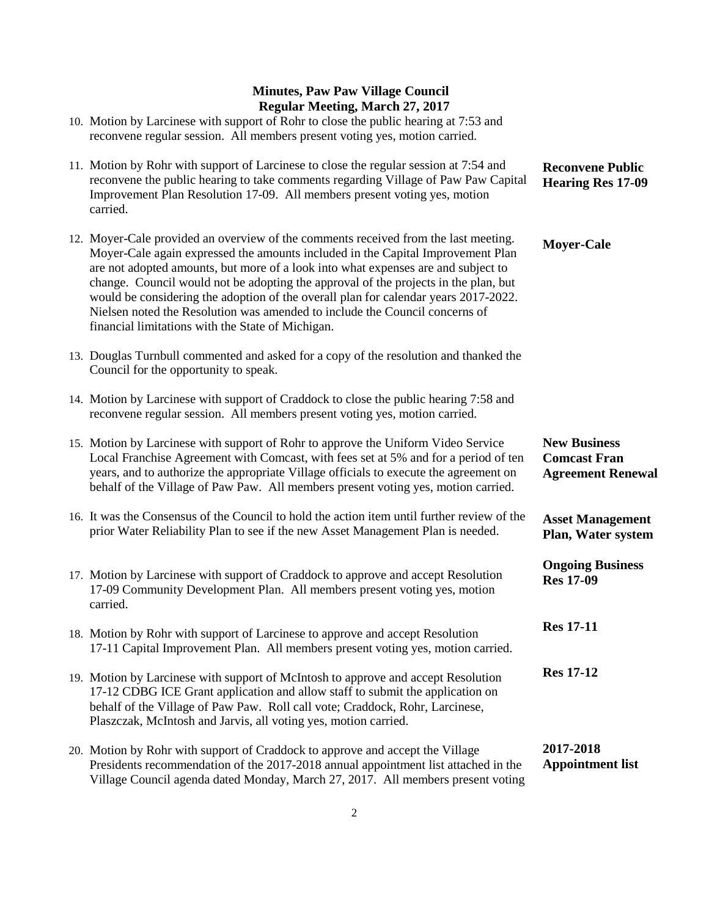| 10. Motion by Larcinese with support of Rohr to close the public hearing at 7:53 and<br>reconvene regular session. All members present voting yes, motion carried.                                                                                                                                                                                                                                                                                                                                                                                                            |                                                                        |
|-------------------------------------------------------------------------------------------------------------------------------------------------------------------------------------------------------------------------------------------------------------------------------------------------------------------------------------------------------------------------------------------------------------------------------------------------------------------------------------------------------------------------------------------------------------------------------|------------------------------------------------------------------------|
| 11. Motion by Rohr with support of Larcinese to close the regular session at 7:54 and<br>reconvene the public hearing to take comments regarding Village of Paw Paw Capital<br>Improvement Plan Resolution 17-09. All members present voting yes, motion<br>carried.                                                                                                                                                                                                                                                                                                          | <b>Reconvene Public</b><br><b>Hearing Res 17-09</b>                    |
| 12. Moyer-Cale provided an overview of the comments received from the last meeting.<br>Moyer-Cale again expressed the amounts included in the Capital Improvement Plan<br>are not adopted amounts, but more of a look into what expenses are and subject to<br>change. Council would not be adopting the approval of the projects in the plan, but<br>would be considering the adoption of the overall plan for calendar years 2017-2022.<br>Nielsen noted the Resolution was amended to include the Council concerns of<br>financial limitations with the State of Michigan. | <b>Moyer-Cale</b>                                                      |
| 13. Douglas Turnbull commented and asked for a copy of the resolution and thanked the<br>Council for the opportunity to speak.                                                                                                                                                                                                                                                                                                                                                                                                                                                |                                                                        |
| 14. Motion by Larcinese with support of Craddock to close the public hearing 7:58 and<br>reconvene regular session. All members present voting yes, motion carried.                                                                                                                                                                                                                                                                                                                                                                                                           |                                                                        |
| 15. Motion by Larcinese with support of Rohr to approve the Uniform Video Service<br>Local Franchise Agreement with Comcast, with fees set at 5% and for a period of ten<br>years, and to authorize the appropriate Village officials to execute the agreement on<br>behalf of the Village of Paw Paw. All members present voting yes, motion carried.                                                                                                                                                                                                                        | <b>New Business</b><br><b>Comcast Fran</b><br><b>Agreement Renewal</b> |
| 16. It was the Consensus of the Council to hold the action item until further review of the<br>prior Water Reliability Plan to see if the new Asset Management Plan is needed.                                                                                                                                                                                                                                                                                                                                                                                                | <b>Asset Management</b><br>Plan, Water system                          |
| 17. Motion by Larcinese with support of Craddock to approve and accept Resolution<br>17-09 Community Development Plan. All members present voting yes, motion<br>carried.                                                                                                                                                                                                                                                                                                                                                                                                     | <b>Ongoing Business</b><br><b>Res 17-09</b>                            |
| 18. Motion by Rohr with support of Larcinese to approve and accept Resolution<br>17-11 Capital Improvement Plan. All members present voting yes, motion carried.                                                                                                                                                                                                                                                                                                                                                                                                              | <b>Res 17-11</b>                                                       |
| 19. Motion by Larcinese with support of McIntosh to approve and accept Resolution<br>17-12 CDBG ICE Grant application and allow staff to submit the application on<br>behalf of the Village of Paw Paw. Roll call vote; Craddock, Rohr, Larcinese,<br>Plaszczak, McIntosh and Jarvis, all voting yes, motion carried.                                                                                                                                                                                                                                                         | <b>Res 17-12</b>                                                       |
| 20. Motion by Rohr with support of Craddock to approve and accept the Village<br>Presidents recommendation of the 2017-2018 annual appointment list attached in the                                                                                                                                                                                                                                                                                                                                                                                                           | 2017-2018<br><b>Appointment list</b>                                   |

Village Council agenda dated Monday, March 27, 2017. All members present voting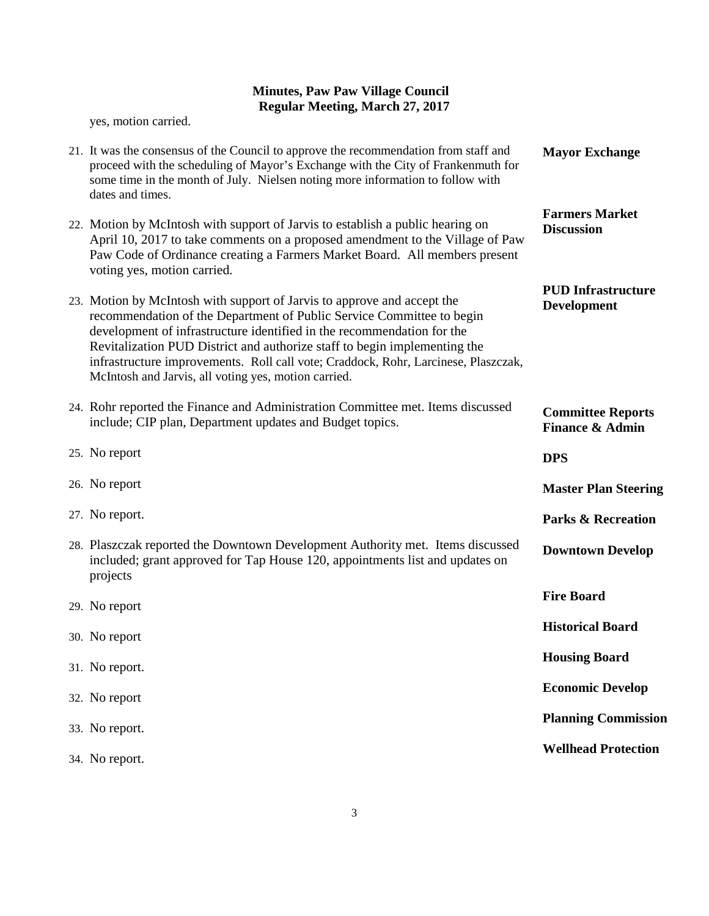yes, motion carried.

| 21. It was the consensus of the Council to approve the recommendation from staff and<br>proceed with the scheduling of Mayor's Exchange with the City of Frankenmuth for<br>some time in the month of July. Nielsen noting more information to follow with                                                                                                                                                                                            | <b>Mayor Exchange</b>                                  |
|-------------------------------------------------------------------------------------------------------------------------------------------------------------------------------------------------------------------------------------------------------------------------------------------------------------------------------------------------------------------------------------------------------------------------------------------------------|--------------------------------------------------------|
| dates and times.                                                                                                                                                                                                                                                                                                                                                                                                                                      |                                                        |
| 22. Motion by McIntosh with support of Jarvis to establish a public hearing on<br>April 10, 2017 to take comments on a proposed amendment to the Village of Paw<br>Paw Code of Ordinance creating a Farmers Market Board. All members present<br>voting yes, motion carried.                                                                                                                                                                          | <b>Farmers Market</b><br><b>Discussion</b>             |
| 23. Motion by McIntosh with support of Jarvis to approve and accept the<br>recommendation of the Department of Public Service Committee to begin<br>development of infrastructure identified in the recommendation for the<br>Revitalization PUD District and authorize staff to begin implementing the<br>infrastructure improvements. Roll call vote; Craddock, Rohr, Larcinese, Plaszczak,<br>McIntosh and Jarvis, all voting yes, motion carried. | <b>PUD Infrastructure</b><br><b>Development</b>        |
| 24. Rohr reported the Finance and Administration Committee met. Items discussed<br>include; CIP plan, Department updates and Budget topics.                                                                                                                                                                                                                                                                                                           | <b>Committee Reports</b><br><b>Finance &amp; Admin</b> |
| 25. No report                                                                                                                                                                                                                                                                                                                                                                                                                                         | <b>DPS</b>                                             |
| 26. No report                                                                                                                                                                                                                                                                                                                                                                                                                                         | <b>Master Plan Steering</b>                            |
| 27. No report.                                                                                                                                                                                                                                                                                                                                                                                                                                        | <b>Parks &amp; Recreation</b>                          |
| 28. Plaszczak reported the Downtown Development Authority met. Items discussed<br>included; grant approved for Tap House 120, appointments list and updates on<br>projects                                                                                                                                                                                                                                                                            | <b>Downtown Develop</b>                                |
| 29. No report                                                                                                                                                                                                                                                                                                                                                                                                                                         | <b>Fire Board</b>                                      |
| 30. No report                                                                                                                                                                                                                                                                                                                                                                                                                                         | <b>Historical Board</b>                                |
| 31. No report.                                                                                                                                                                                                                                                                                                                                                                                                                                        | <b>Housing Board</b>                                   |
| 32. No report                                                                                                                                                                                                                                                                                                                                                                                                                                         | <b>Economic Develop</b>                                |
| 33. No report.                                                                                                                                                                                                                                                                                                                                                                                                                                        | <b>Planning Commission</b>                             |
| 34. No report.                                                                                                                                                                                                                                                                                                                                                                                                                                        | <b>Wellhead Protection</b>                             |
|                                                                                                                                                                                                                                                                                                                                                                                                                                                       |                                                        |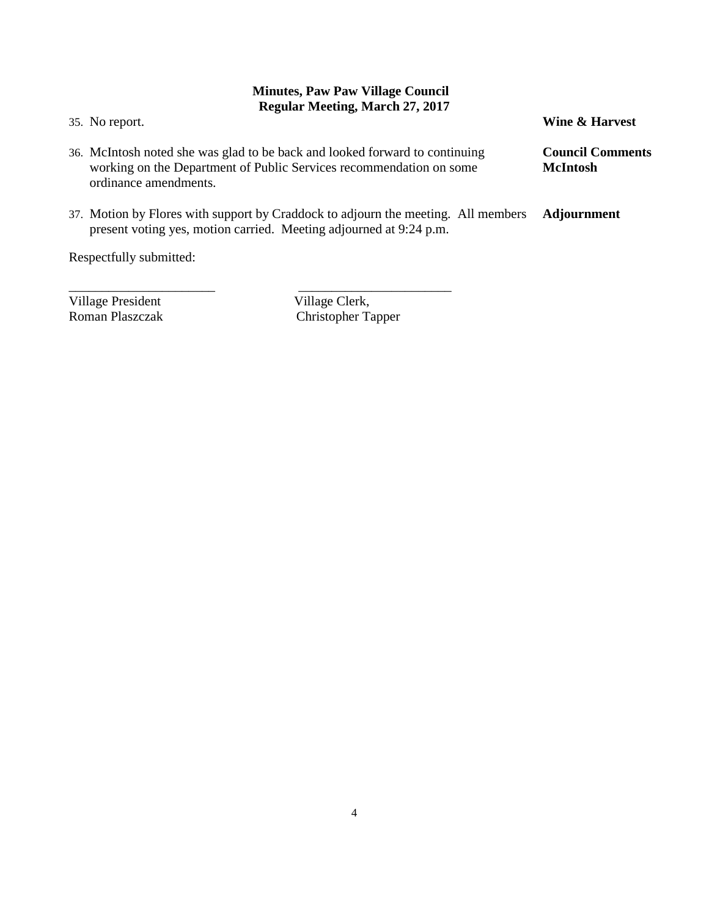35. No report. 36. McIntosh noted she was glad to be back and looked forward to continuing working on the Department of Public Services recommendation on some ordinance amendments. 37. Motion by Flores with support by Craddock to adjourn the meeting. All members present voting yes, motion carried. Meeting adjourned at 9:24 p.m. **Wine & Harvest Council Comments McIntosh Adjournment**

Respectfully submitted:

Village President Village Clerk,<br>
Roman Plaszczak Christopher Ta

\_\_\_\_\_\_\_\_\_\_\_\_\_\_\_\_\_\_\_\_\_\_ \_\_\_\_\_\_\_\_\_\_\_\_\_\_\_\_\_\_\_\_\_\_\_ Christopher Tapper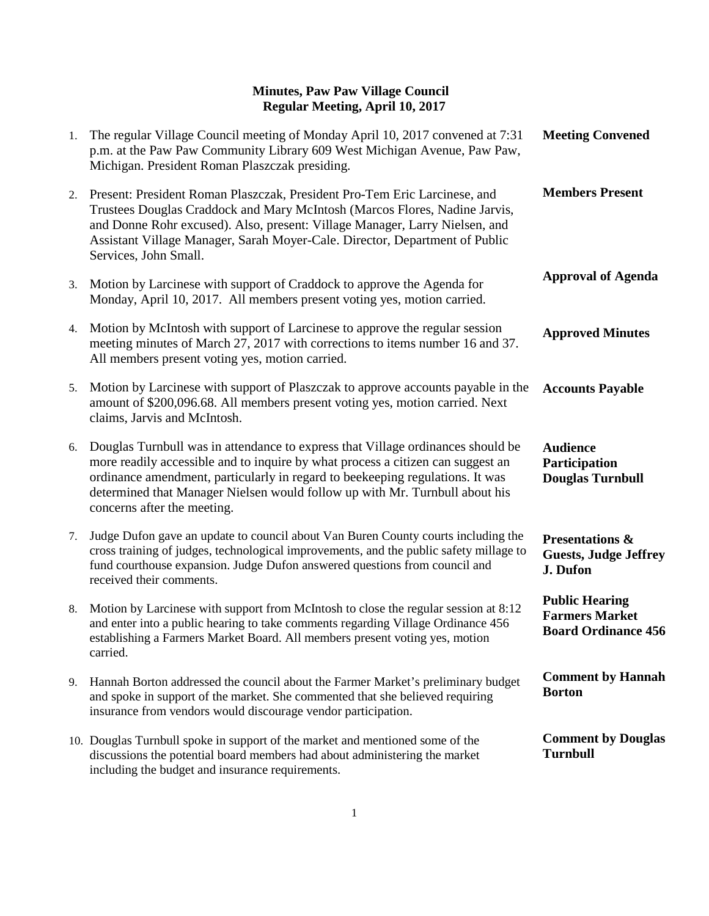| 1. | The regular Village Council meeting of Monday April 10, 2017 convened at 7:31<br>p.m. at the Paw Paw Community Library 609 West Michigan Avenue, Paw Paw,<br>Michigan. President Roman Plaszczak presiding.                                                                                                                                                       | <b>Meeting Convened</b>                                                      |
|----|-------------------------------------------------------------------------------------------------------------------------------------------------------------------------------------------------------------------------------------------------------------------------------------------------------------------------------------------------------------------|------------------------------------------------------------------------------|
| 2. | Present: President Roman Plaszczak, President Pro-Tem Eric Larcinese, and<br>Trustees Douglas Craddock and Mary McIntosh (Marcos Flores, Nadine Jarvis,<br>and Donne Rohr excused). Also, present: Village Manager, Larry Nielsen, and<br>Assistant Village Manager, Sarah Moyer-Cale. Director, Department of Public<br>Services, John Small.                    | <b>Members Present</b>                                                       |
| 3. | Motion by Larcinese with support of Craddock to approve the Agenda for<br>Monday, April 10, 2017. All members present voting yes, motion carried.                                                                                                                                                                                                                 | <b>Approval of Agenda</b>                                                    |
| 4. | Motion by McIntosh with support of Larcinese to approve the regular session<br>meeting minutes of March 27, 2017 with corrections to items number 16 and 37.<br>All members present voting yes, motion carried.                                                                                                                                                   | <b>Approved Minutes</b>                                                      |
| 5. | Motion by Larcinese with support of Plaszczak to approve accounts payable in the<br>amount of \$200,096.68. All members present voting yes, motion carried. Next<br>claims, Jarvis and McIntosh.                                                                                                                                                                  | <b>Accounts Payable</b>                                                      |
| 6. | Douglas Turnbull was in attendance to express that Village ordinances should be<br>more readily accessible and to inquire by what process a citizen can suggest an<br>ordinance amendment, particularly in regard to beekeeping regulations. It was<br>determined that Manager Nielsen would follow up with Mr. Turnbull about his<br>concerns after the meeting. | <b>Audience</b><br>Participation<br><b>Douglas Turnbull</b>                  |
| 7. | Judge Dufon gave an update to council about Van Buren County courts including the<br>cross training of judges, technological improvements, and the public safety millage to<br>fund courthouse expansion. Judge Dufon answered questions from council and<br>received their comments.                                                                             | <b>Presentations &amp;</b><br><b>Guests, Judge Jeffrey</b><br>J. Dufon       |
| 8. | Motion by Larcinese with support from McIntosh to close the regular session at 8:12<br>and enter into a public hearing to take comments regarding Village Ordinance 456<br>establishing a Farmers Market Board. All members present voting yes, motion<br>carried.                                                                                                | <b>Public Hearing</b><br><b>Farmers Market</b><br><b>Board Ordinance 456</b> |
| 9. | Hannah Borton addressed the council about the Farmer Market's preliminary budget<br>and spoke in support of the market. She commented that she believed requiring<br>insurance from vendors would discourage vendor participation.                                                                                                                                | <b>Comment by Hannah</b><br><b>Borton</b>                                    |
|    | 10. Douglas Turnbull spoke in support of the market and mentioned some of the<br>discussions the potential board members had about administering the market<br>including the budget and insurance requirements.                                                                                                                                                   | <b>Comment by Douglas</b><br><b>Turnbull</b>                                 |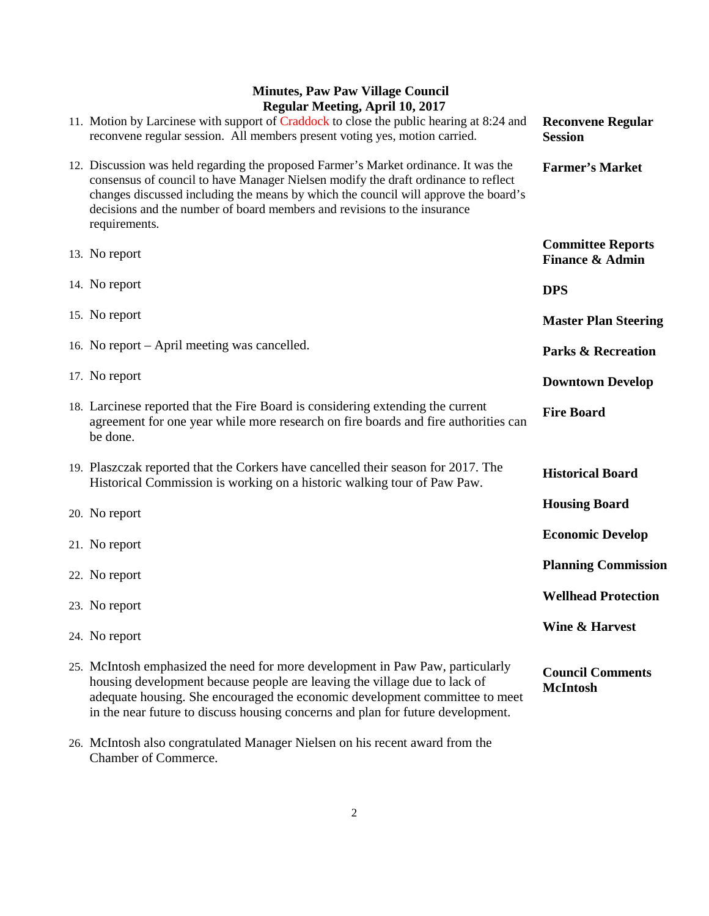| $T_{\rm H}$ and $T_{\rm H}$ and $T_{\rm H}$ and $T_{\rm H}$ and $T_{\rm H}$                                                                                                                                                                                                                                                                                    |                                                        |
|----------------------------------------------------------------------------------------------------------------------------------------------------------------------------------------------------------------------------------------------------------------------------------------------------------------------------------------------------------------|--------------------------------------------------------|
| 11. Motion by Larcinese with support of Craddock to close the public hearing at 8:24 and<br>reconvene regular session. All members present voting yes, motion carried.                                                                                                                                                                                         | <b>Reconvene Regular</b><br><b>Session</b>             |
| 12. Discussion was held regarding the proposed Farmer's Market ordinance. It was the<br>consensus of council to have Manager Nielsen modify the draft ordinance to reflect<br>changes discussed including the means by which the council will approve the board's<br>decisions and the number of board members and revisions to the insurance<br>requirements. | <b>Farmer's Market</b>                                 |
| 13. No report                                                                                                                                                                                                                                                                                                                                                  | <b>Committee Reports</b><br><b>Finance &amp; Admin</b> |
| 14. No report                                                                                                                                                                                                                                                                                                                                                  | <b>DPS</b>                                             |
| 15. No report                                                                                                                                                                                                                                                                                                                                                  | <b>Master Plan Steering</b>                            |
| 16. No report – April meeting was cancelled.                                                                                                                                                                                                                                                                                                                   | <b>Parks &amp; Recreation</b>                          |
| 17. No report                                                                                                                                                                                                                                                                                                                                                  | <b>Downtown Develop</b>                                |
| 18. Larcinese reported that the Fire Board is considering extending the current<br>agreement for one year while more research on fire boards and fire authorities can<br>be done.                                                                                                                                                                              | <b>Fire Board</b>                                      |
| 19. Plaszczak reported that the Corkers have cancelled their season for 2017. The<br>Historical Commission is working on a historic walking tour of Paw Paw.                                                                                                                                                                                                   | <b>Historical Board</b>                                |
| 20. No report                                                                                                                                                                                                                                                                                                                                                  | <b>Housing Board</b>                                   |
| 21. No report                                                                                                                                                                                                                                                                                                                                                  | <b>Economic Develop</b>                                |
| 22. No report                                                                                                                                                                                                                                                                                                                                                  | <b>Planning Commission</b>                             |
| 23. No report                                                                                                                                                                                                                                                                                                                                                  | <b>Wellhead Protection</b>                             |
| 24. No report                                                                                                                                                                                                                                                                                                                                                  | Wine & Harvest                                         |
| 25. McIntosh emphasized the need for more development in Paw Paw, particularly<br>housing development because people are leaving the village due to lack of<br>adequate housing. She encouraged the economic development committee to meet<br>in the near future to discuss housing concerns and plan for future development.                                  | <b>Council Comments</b><br><b>McIntosh</b>             |

26. McIntosh also congratulated Manager Nielsen on his recent award from the Chamber of Commerce.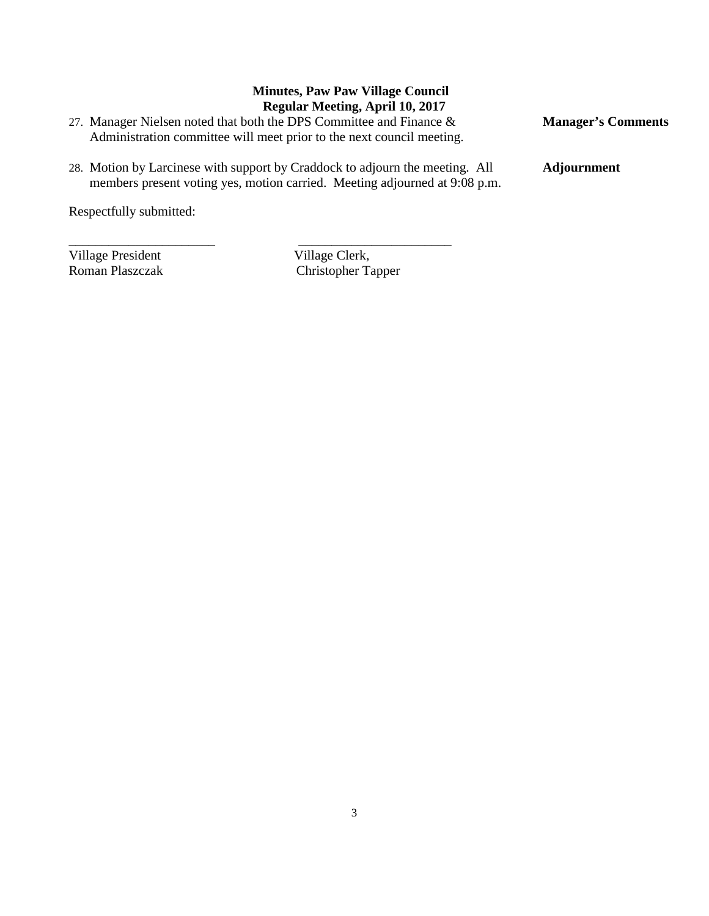- 27. Manager Nielsen noted that both the DPS Committee and Finance & Administration committee will meet prior to the next council meeting.
- 28. Motion by Larcinese with support by Craddock to adjourn the meeting. All members present voting yes, motion carried. Meeting adjourned at 9:08 p.m.

\_\_\_\_\_\_\_\_\_\_\_\_\_\_\_\_\_\_\_\_\_\_ \_\_\_\_\_\_\_\_\_\_\_\_\_\_\_\_\_\_\_\_\_\_\_

Respectfully submitted:

Village President Village Clerk,<br>
Roman Plaszczak **Christopher Tangel** 

Christopher Tapper

**Manager's Comments**

**Adjournment**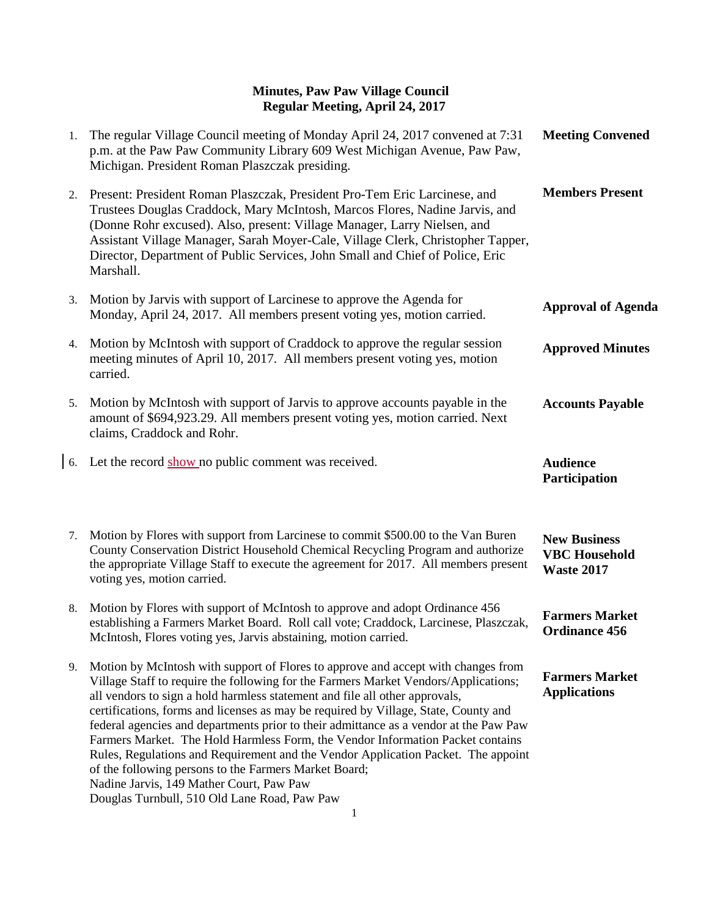| 1. | The regular Village Council meeting of Monday April 24, 2017 convened at 7:31<br>p.m. at the Paw Paw Community Library 609 West Michigan Avenue, Paw Paw,<br>Michigan. President Roman Plaszczak presiding.                                                                                                                                                                                                                                                                                                                                                                                                                                                                                                                                                         | <b>Meeting Convened</b>                                          |
|----|---------------------------------------------------------------------------------------------------------------------------------------------------------------------------------------------------------------------------------------------------------------------------------------------------------------------------------------------------------------------------------------------------------------------------------------------------------------------------------------------------------------------------------------------------------------------------------------------------------------------------------------------------------------------------------------------------------------------------------------------------------------------|------------------------------------------------------------------|
| 2. | Present: President Roman Plaszczak, President Pro-Tem Eric Larcinese, and<br>Trustees Douglas Craddock, Mary McIntosh, Marcos Flores, Nadine Jarvis, and<br>(Donne Rohr excused). Also, present: Village Manager, Larry Nielsen, and<br>Assistant Village Manager, Sarah Moyer-Cale, Village Clerk, Christopher Tapper,<br>Director, Department of Public Services, John Small and Chief of Police, Eric<br>Marshall.                                                                                                                                                                                                                                                                                                                                               | <b>Members Present</b>                                           |
| 3. | Motion by Jarvis with support of Larcinese to approve the Agenda for<br>Monday, April 24, 2017. All members present voting yes, motion carried.                                                                                                                                                                                                                                                                                                                                                                                                                                                                                                                                                                                                                     | <b>Approval of Agenda</b>                                        |
| 4. | Motion by McIntosh with support of Craddock to approve the regular session<br>meeting minutes of April 10, 2017. All members present voting yes, motion<br>carried.                                                                                                                                                                                                                                                                                                                                                                                                                                                                                                                                                                                                 | <b>Approved Minutes</b>                                          |
| 5. | Motion by McIntosh with support of Jarvis to approve accounts payable in the<br>amount of \$694,923.29. All members present voting yes, motion carried. Next<br>claims, Craddock and Rohr.                                                                                                                                                                                                                                                                                                                                                                                                                                                                                                                                                                          | <b>Accounts Payable</b>                                          |
| 6. | Let the record show no public comment was received.                                                                                                                                                                                                                                                                                                                                                                                                                                                                                                                                                                                                                                                                                                                 | <b>Audience</b><br>Participation                                 |
| 7. | Motion by Flores with support from Larcinese to commit \$500.00 to the Van Buren<br>County Conservation District Household Chemical Recycling Program and authorize<br>the appropriate Village Staff to execute the agreement for 2017. All members present<br>voting yes, motion carried.                                                                                                                                                                                                                                                                                                                                                                                                                                                                          | <b>New Business</b><br><b>VBC</b> Household<br><b>Waste 2017</b> |
| 8. | Motion by Flores with support of McIntosh to approve and adopt Ordinance 456<br>establishing a Farmers Market Board. Roll call vote; Craddock, Larcinese, Plaszczak,<br>McIntosh, Flores voting yes, Jarvis abstaining, motion carried.                                                                                                                                                                                                                                                                                                                                                                                                                                                                                                                             | <b>Farmers Market</b><br><b>Ordinance 456</b>                    |
| 9. | Motion by McIntosh with support of Flores to approve and accept with changes from<br>Village Staff to require the following for the Farmers Market Vendors/Applications;<br>all vendors to sign a hold harmless statement and file all other approvals,<br>certifications, forms and licenses as may be required by Village, State, County and<br>federal agencies and departments prior to their admittance as a vendor at the Paw Paw<br>Farmers Market. The Hold Harmless Form, the Vendor Information Packet contains<br>Rules, Regulations and Requirement and the Vendor Application Packet. The appoint<br>of the following persons to the Farmers Market Board;<br>Nadine Jarvis, 149 Mather Court, Paw Paw<br>Douglas Turnbull, 510 Old Lane Road, Paw Paw | <b>Farmers Market</b><br><b>Applications</b>                     |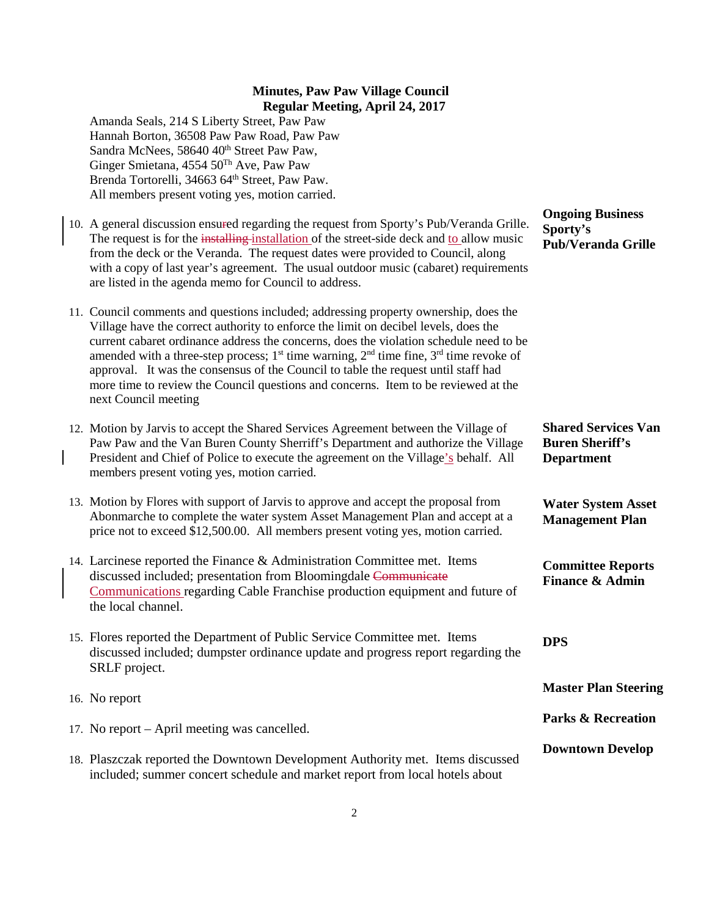Amanda Seals, 214 S Liberty Street, Paw Paw Hannah Borton, 36508 Paw Paw Road, Paw Paw Sandra McNees, 58640 40<sup>th</sup> Street Paw Paw, Ginger Smietana, 4554 50Th Ave, Paw Paw Brenda Tortorelli, 34663 64<sup>th</sup> Street, Paw Paw. All members present voting yes, motion carried.

10. A general discussion ensured regarding the request from Sporty's Pub/Veranda Grille. The request is for the installing installation of the street-side deck and to allow music from the deck or the Veranda. The request dates were provided to Council, along with a copy of last year's agreement. The usual outdoor music (cabaret) requirements are listed in the agenda memo for Council to address.

11. Council comments and questions included; addressing property ownership, does the Village have the correct authority to enforce the limit on decibel levels, does the current cabaret ordinance address the concerns, does the violation schedule need to be amended with a three-step process;  $1<sup>st</sup>$  time warning,  $2<sup>nd</sup>$  time fine,  $3<sup>rd</sup>$  time revoke of approval. It was the consensus of the Council to table the request until staff had more time to review the Council questions and concerns. Item to be reviewed at the next Council meeting

- 12. Motion by Jarvis to accept the Shared Services Agreement between the Village of Paw Paw and the Van Buren County Sherriff's Department and authorize the Village President and Chief of Police to execute the agreement on the Village's behalf. All members present voting yes, motion carried.
- 13. Motion by Flores with support of Jarvis to approve and accept the proposal from Abonmarche to complete the water system Asset Management Plan and accept at a price not to exceed \$12,500.00. All members present voting yes, motion carried.
- 14. Larcinese reported the Finance & Administration Committee met. Items discussed included; presentation from Bloomingdale Communicate Communications regarding Cable Franchise production equipment and future of the local channel.
- 15. Flores reported the Department of Public Service Committee met. Items discussed included; dumpster ordinance update and progress report regarding the SRLF project.
- 16. No report
- 17. No report April meeting was cancelled.
- 18. Plaszczak reported the Downtown Development Authority met. Items discussed included; summer concert schedule and market report from local hotels about

**Ongoing Business Sporty's Pub/Veranda Grille**

**Shared Services Van Buren Sheriff's Department**

**Water System Asset Management Plan**

**Committee Reports Finance & Admin**

**DPS**

**Master Plan Steering**

**Parks & Recreation**

**Downtown Develop**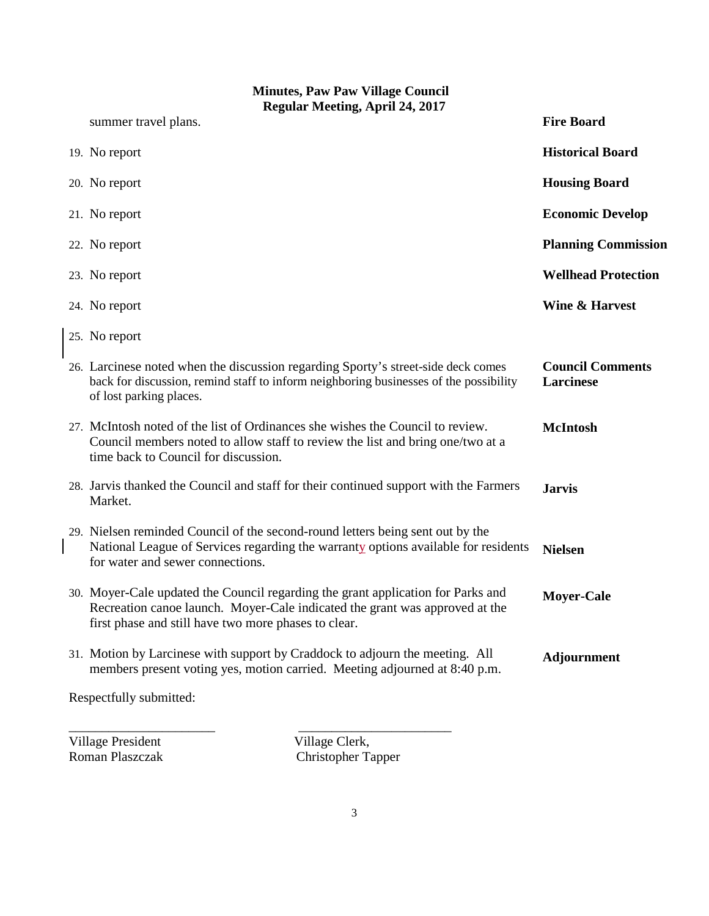| <b>Minutes, Paw Paw Village Council</b><br><b>Regular Meeting, April 24, 2017</b> |                                                                                                                                                                                                                         |                                      |
|-----------------------------------------------------------------------------------|-------------------------------------------------------------------------------------------------------------------------------------------------------------------------------------------------------------------------|--------------------------------------|
|                                                                                   | summer travel plans.                                                                                                                                                                                                    | <b>Fire Board</b>                    |
|                                                                                   | 19. No report                                                                                                                                                                                                           | <b>Historical Board</b>              |
|                                                                                   | 20. No report                                                                                                                                                                                                           | <b>Housing Board</b>                 |
|                                                                                   | 21. No report                                                                                                                                                                                                           | <b>Economic Develop</b>              |
|                                                                                   | 22. No report                                                                                                                                                                                                           | <b>Planning Commission</b>           |
|                                                                                   | 23. No report                                                                                                                                                                                                           | <b>Wellhead Protection</b>           |
|                                                                                   | 24. No report                                                                                                                                                                                                           | <b>Wine &amp; Harvest</b>            |
|                                                                                   | 25. No report                                                                                                                                                                                                           |                                      |
|                                                                                   | 26. Larcinese noted when the discussion regarding Sporty's street-side deck comes<br>back for discussion, remind staff to inform neighboring businesses of the possibility<br>of lost parking places.                   | <b>Council Comments</b><br>Larcinese |
|                                                                                   | 27. McIntosh noted of the list of Ordinances she wishes the Council to review.<br>Council members noted to allow staff to review the list and bring one/two at a<br>time back to Council for discussion.                | <b>McIntosh</b>                      |
|                                                                                   | 28. Jarvis thanked the Council and staff for their continued support with the Farmers<br>Market.                                                                                                                        | <b>Jarvis</b>                        |
|                                                                                   | 29. Nielsen reminded Council of the second-round letters being sent out by the<br>National League of Services regarding the warranty options available for residents<br>for water and sewer connections.                | <b>Nielsen</b>                       |
|                                                                                   | 30. Moyer-Cale updated the Council regarding the grant application for Parks and<br>Recreation canoe launch. Moyer-Cale indicated the grant was approved at the<br>first phase and still have two more phases to clear. | <b>Moyer-Cale</b>                    |
|                                                                                   | 31. Motion by Larcinese with support by Craddock to adjourn the meeting. All<br>members present voting yes, motion carried. Meeting adjourned at 8:40 p.m.                                                              | Adjournment                          |
|                                                                                   | Respectfully submitted:                                                                                                                                                                                                 |                                      |

Village President Village Clerk,<br>
Roman Plaszczak Christopher Ta

Christopher Tapper

\_\_\_\_\_\_\_\_\_\_\_\_\_\_\_\_\_\_\_\_\_\_ \_\_\_\_\_\_\_\_\_\_\_\_\_\_\_\_\_\_\_\_\_\_\_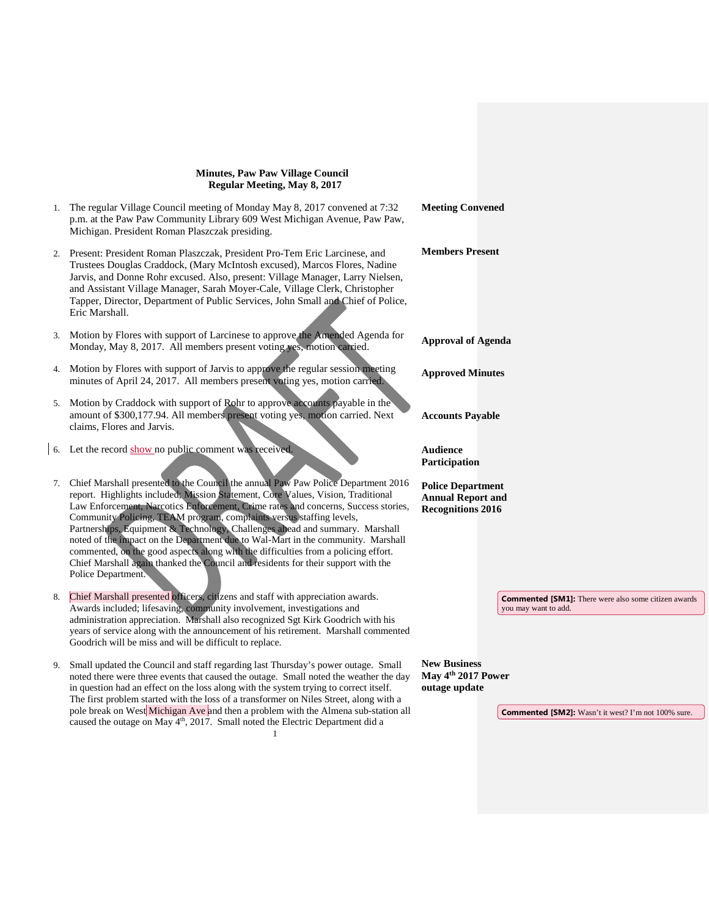|    | 1. The regular Village Council meeting of Monday May 8, 2017 convened at 7:32<br>p.m. at the Paw Paw Community Library 609 West Michigan Avenue, Paw Paw,<br>Michigan. President Roman Plaszczak presiding.                                                                                                                                                                                                                                                                                                                                                                                                                                                                                              | <b>Meeting Convened</b>                                                                                                              |
|----|----------------------------------------------------------------------------------------------------------------------------------------------------------------------------------------------------------------------------------------------------------------------------------------------------------------------------------------------------------------------------------------------------------------------------------------------------------------------------------------------------------------------------------------------------------------------------------------------------------------------------------------------------------------------------------------------------------|--------------------------------------------------------------------------------------------------------------------------------------|
|    | 2. Present: President Roman Plaszczak, President Pro-Tem Eric Larcinese, and<br>Trustees Douglas Craddock, (Mary McIntosh excused), Marcos Flores, Nadine<br>Jarvis, and Donne Rohr excused. Also, present: Village Manager, Larry Nielsen,<br>and Assistant Village Manager, Sarah Moyer-Cale, Village Clerk, Christopher<br>Tapper, Director, Department of Public Services, John Small and Chief of Police,<br>Eric Marshall.                                                                                                                                                                                                                                                                         | <b>Members Present</b>                                                                                                               |
| 3. | Motion by Flores with support of Larcinese to approve the Amended Agenda for<br>Monday, May 8, 2017. All members present voting yes, motion carried.                                                                                                                                                                                                                                                                                                                                                                                                                                                                                                                                                     | <b>Approval of Agenda</b>                                                                                                            |
|    | 4. Motion by Flores with support of Jarvis to approve the regular session meeting<br>minutes of April 24, 2017. All members present voting yes, motion carried.                                                                                                                                                                                                                                                                                                                                                                                                                                                                                                                                          | <b>Approved Minutes</b>                                                                                                              |
| 5. | Motion by Craddock with support of Rohr to approve accounts payable in the<br>amount of \$300,177.94. All members present voting yes, motion carried. Next<br>claims, Flores and Jarvis.                                                                                                                                                                                                                                                                                                                                                                                                                                                                                                                 | <b>Accounts Payable</b>                                                                                                              |
|    | 6. Let the record show no public comment was received.                                                                                                                                                                                                                                                                                                                                                                                                                                                                                                                                                                                                                                                   | <b>Audience</b><br>Participation                                                                                                     |
| 7. | Chief Marshall presented to the Council the annual Paw Paw Police Department 2016<br>report. Highlights included; Mission Statement, Core Values, Vision, Traditional<br>Law Enforcement, Narcotics Enforcement, Crime rates and concerns, Success stories,<br>Community Policing, TEAM program, complaints versus staffing levels,<br>Partnerships, Equipment & Technology, Challenges ahead and summary. Marshall<br>noted of the impact on the Department due to Wal-Mart in the community. Marshall<br>commented, on the good aspects along with the difficulties from a policing effort.<br>Chief Marshall again thanked the Council and residents for their support with the<br>Police Department. | <b>Police Department</b><br><b>Annual Report and</b><br><b>Recognitions 2016</b>                                                     |
| 8. | Chief Marshall presented officers, citizens and staff with appreciation awards.<br>Awards included; lifesaving, community involvement, investigations and<br>administration appreciation. Marshall also recognized Sgt Kirk Goodrich with his<br>years of service along with the announcement of his retirement. Marshall commented<br>Goodrich will be miss and will be difficult to replace.                                                                                                                                                                                                                                                                                                           | <b>Commented [SM1]:</b> There were also some citizen awards<br>you may want to add.                                                  |
| 9. | Small updated the Council and staff regarding last Thursday's power outage. Small<br>noted there were three events that caused the outage. Small noted the weather the day<br>in question had an effect on the loss along with the system trying to correct itself.<br>The first problem started with the loss of a transformer on Niles Street, along with a<br>pole break on West Michigan Ave and then a problem with the Almena sub-station all<br>caused the outage on May 4 <sup>th</sup> , 2017. Small noted the Electric Department did a                                                                                                                                                        | <b>New Business</b><br>May 4 <sup>th</sup> 2017 Power<br>outage update<br><b>Commented [SM2]:</b> Wasn't it west? I'm not 100% sure. |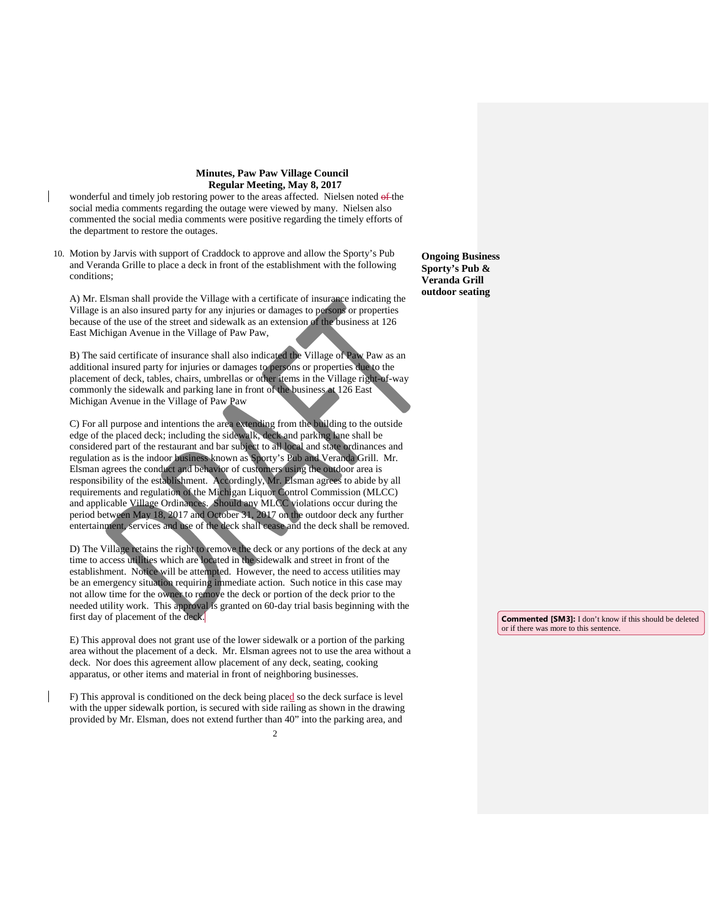- wonderful and timely job restoring power to the areas affected. Nielsen noted of the social media comments regarding the outage were viewed by many. Nielsen also commented the social media comments were positive regarding the timely efforts of the department to restore the outages.
- 10. Motion by Jarvis with support of Craddock to approve and allow the Sporty's Pub and Veranda Grille to place a deck in front of the establishment with the following conditions;

A) Mr. Elsman shall provide the Village with a certificate of insurance indicating the Village is an also insured party for any injuries or damages to persons or properties because of the use of the street and sidewalk as an extension of the business at 126 East Michigan Avenue in the Village of Paw Paw,

B) The said certificate of insurance shall also indicated the Village of Paw Paw as an additional insured party for injuries or damages to persons or properties due to the placement of deck, tables, chairs, umbrellas or other items in the Village right-of-way commonly the sidewalk and parking lane in front of the business at 126 East Michigan Avenue in the Village of Paw Paw

C) For all purpose and intentions the area extending from the building to the outside edge of the placed deck; including the sidewalk, deck and parking lane shall be considered part of the restaurant and bar subject to all local and state ordinances and regulation as is the indoor business known as Sporty's Pub and Veranda Grill. Mr. Elsman agrees the conduct and behavior of customers using the outdoor area is responsibility of the establishment. Accordingly, Mr. Elsman agrees to abide by all requirements and regulation of the Michigan Liquor Control Commission (MLCC) and applicable Village Ordinances. Should any MLCC violations occur during the period between May 18, 2017 and October 31, 2017 on the outdoor deck any further entertainment, services and use of the deck shall cease and the deck shall be removed.

D) The Village retains the right to remove the deck or any portions of the deck at any time to access utilities which are located in the sidewalk and street in front of the establishment. Notice will be attempted. However, the need to access utilities may be an emergency situation requiring immediate action. Such notice in this case may not allow time for the owner to remove the deck or portion of the deck prior to the needed utility work. This approval is granted on 60-day trial basis beginning with the first day of placement of the deck.

E) This approval does not grant use of the lower sidewalk or a portion of the parking area without the placement of a deck. Mr. Elsman agrees not to use the area without a deck. Nor does this agreement allow placement of any deck, seating, cooking apparatus, or other items and material in front of neighboring businesses.

F) This approval is conditioned on the deck being placed so the deck surface is level with the upper sidewalk portion, is secured with side railing as shown in the drawing provided by Mr. Elsman, does not extend further than 40" into the parking area, and

 $\mathfrak{Z}$ 

**Ongoing Business Sporty's Pub & Veranda Grill outdoor seating**

> **Commented [SM3]:** I don't know if this should be deleted or if there was more to this sentence.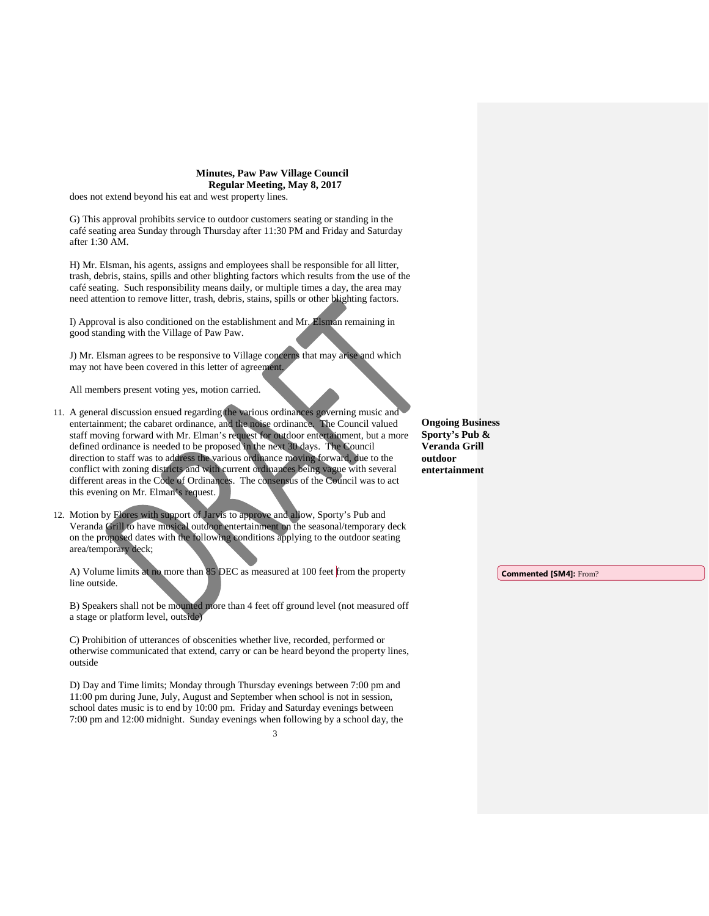does not extend beyond his eat and west property lines.

G) This approval prohibits service to outdoor customers seating or standing in the café seating area Sunday through Thursday after 11:30 PM and Friday and Saturday after 1:30 AM.

H) Mr. Elsman, his agents, assigns and employees shall be responsible for all litter, trash, debris, stains, spills and other blighting factors which results from the use of the café seating. Such responsibility means daily, or multiple times a day, the area may need attention to remove litter, trash, debris, stains, spills or other blighting factors.

I) Approval is also conditioned on the establishment and Mr. Elsman remaining in good standing with the Village of Paw Paw.

J) Mr. Elsman agrees to be responsive to Village concerns that may arise and which may not have been covered in this letter of agreement.

All members present voting yes, motion carried.

11. A general discussion ensued regarding the various ordinances governing music and entertainment; the cabaret ordinance, and the noise ordinance. The Council valued staff moving forward with Mr. Elman's request for outdoor entertainment, but a more defined ordinance is needed to be proposed in the next 30 days. The Council direction to staff was to address the various ordinance moving forward, due to the conflict with zoning districts and with current ordinances being vague with several different areas in the Code of Ordinances. The consensus of the Council was to act this evening on Mr. Elman's request.

12. Motion by Flores with support of Jarvis to approve and allow, Sporty's Pub and Veranda Grill to have musical outdoor entertainment on the seasonal/temporary deck on the proposed dates with the following conditions applying to the outdoor seating area/temporary deck;

A) Volume limits at no more than 85 DEC as measured at 100 feet from the property line outside.

B) Speakers shall not be mounted more than 4 feet off ground level (not measured off a stage or platform level, outside)

C) Prohibition of utterances of obscenities whether live, recorded, performed or otherwise communicated that extend, carry or can be heard beyond the property lines, outside

D) Day and Time limits; Monday through Thursday evenings between 7:00 pm and 11:00 pm during June, July, August and September when school is not in session, school dates music is to end by 10:00 pm. Friday and Saturday evenings between 7:00 pm and 12:00 midnight. Sunday evenings when following by a school day, the

3

**Ongoing Business Sporty's Pub & Veranda Grill outdoor entertainment**

**Commented [SM4]:** From?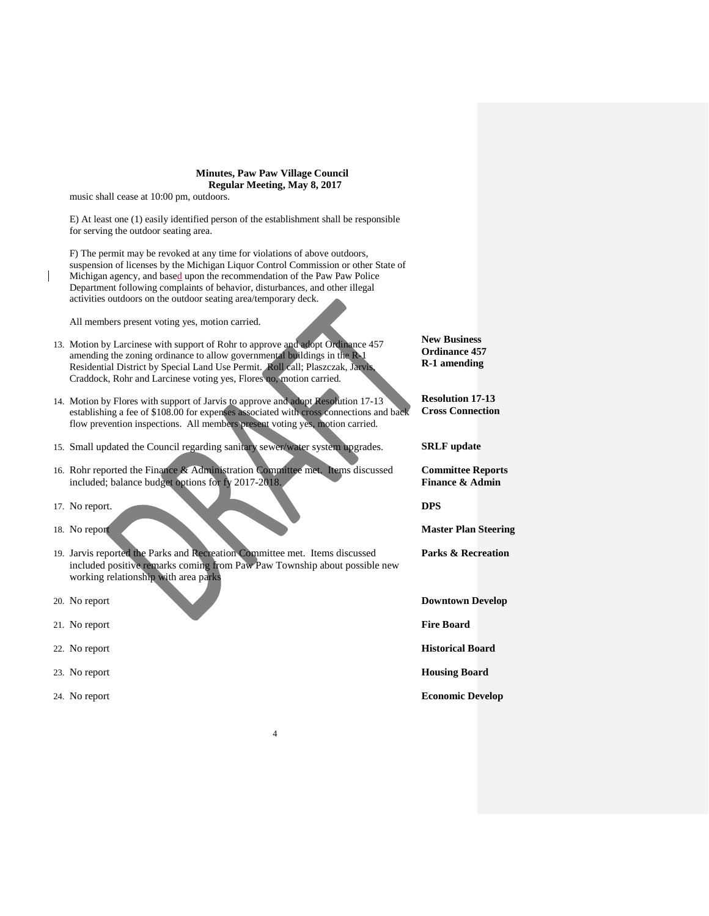music shall cease at 10:00 pm, outdoors.

E) At least one (1) easily identified person of the establishment shall be responsible for serving the outdoor seating area.

F) The permit may be revoked at any time for violations of above outdoors, suspension of licenses by the Michigan Liquor Control Commission or other State of Michigan agency, and based upon the recommendation of the Paw Paw Police Department following complaints of behavior, disturbances, and other illegal activities outdoors on the outdoor seating area/temporary deck.

All members present voting yes, motion carried.

- 13. Motion by Larcinese with support of Rohr to approve and adopt Ordinance 457 amending the zoning ordinance to allow governmental buildings in the R-1 Residential District by Special Land Use Permit. Roll call; Plaszczak, Jarvis, Craddock, Rohr and Larcinese voting yes, Flores no, motion carried.
- 14. Motion by Flores with support of Jarvis to approve and adopt Resolution 17-13 establishing a fee of \$108.00 for expenses associated with cross connections and back flow prevention inspections. All members present voting yes, motion carried.
- 15. Small updated the Council regarding sanitary sewer/water system upgrades.
- 16. Rohr reported the Finance & Administration Committee met. Items discussed included; balance budget options for fy 2017-2018.
- 17. No report.
- 18. No report
- 19. Jarvis reported the Parks and Recreation Committee met. Items discussed included positive remarks coming from Paw Paw Township about possible new working relationship with area parks

4

- 20. No report
- 21. No report
- 22. No report
- 23. No report
- 24. No report

**Ordinance 457 R-1 amending**

**New Business**

**Resolution 17-13 Cross Connection**

**SRLF update**

**Committee Reports Finance & Admin**

**DPS**

**Master Plan Steering**

**Parks & Recreation**

**Downtown Develop**

**Fire Board**

**Historical Board**

**Housing Board**

**Economic Develop**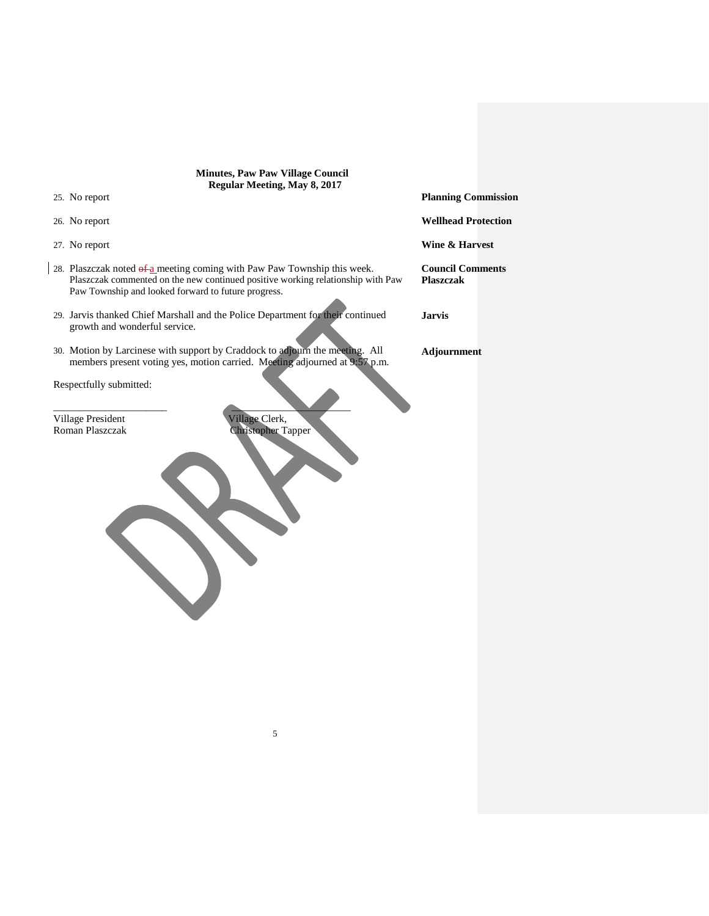| <b>Minutes, Paw Paw Village Council</b><br>Regular Meeting, May 8, 2017                                                                                                                                            |                                             |  |  |
|--------------------------------------------------------------------------------------------------------------------------------------------------------------------------------------------------------------------|---------------------------------------------|--|--|
| 25. No report                                                                                                                                                                                                      | <b>Planning Commission</b>                  |  |  |
| 26. No report                                                                                                                                                                                                      | <b>Wellhead Protection</b>                  |  |  |
| 27. No report                                                                                                                                                                                                      | Wine & Harvest                              |  |  |
| 28. Plaszczak noted of a meeting coming with Paw Paw Township this week.<br>Plaszczak commented on the new continued positive working relationship with Paw<br>Paw Township and looked forward to future progress. | <b>Council Comments</b><br><b>Plaszczak</b> |  |  |
| 29. Jarvis thanked Chief Marshall and the Police Department for their continued<br>growth and wonderful service.                                                                                                   | <b>Jarvis</b>                               |  |  |
| 30. Motion by Larcinese with support by Craddock to adjourn the meeting. All<br>members present voting yes, motion carried. Meeting adjourned at 9:57 p.m.                                                         | Adjournment                                 |  |  |
| Respectfully submitted:                                                                                                                                                                                            |                                             |  |  |
| Village Clerk,<br>Village President<br>Roman Plaszczak<br><b>Christopher Tapper</b>                                                                                                                                |                                             |  |  |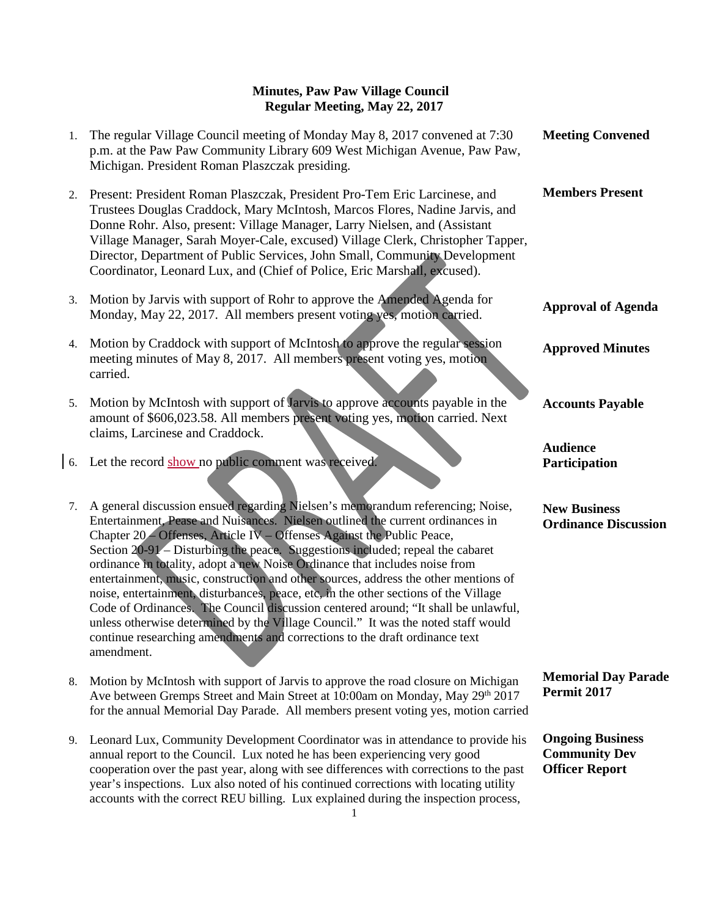| 1. | The regular Village Council meeting of Monday May 8, 2017 convened at 7:30<br>p.m. at the Paw Paw Community Library 609 West Michigan Avenue, Paw Paw,<br>Michigan. President Roman Plaszczak presiding.                                                                                                                                                                                                                                                                                                                                                                                                                                                                                                                                                                                                                                                           | <b>Meeting Convened</b>                                                  |
|----|--------------------------------------------------------------------------------------------------------------------------------------------------------------------------------------------------------------------------------------------------------------------------------------------------------------------------------------------------------------------------------------------------------------------------------------------------------------------------------------------------------------------------------------------------------------------------------------------------------------------------------------------------------------------------------------------------------------------------------------------------------------------------------------------------------------------------------------------------------------------|--------------------------------------------------------------------------|
|    | 2. Present: President Roman Plaszczak, President Pro-Tem Eric Larcinese, and<br>Trustees Douglas Craddock, Mary McIntosh, Marcos Flores, Nadine Jarvis, and<br>Donne Rohr. Also, present: Village Manager, Larry Nielsen, and (Assistant<br>Village Manager, Sarah Moyer-Cale, excused) Village Clerk, Christopher Tapper,<br>Director, Department of Public Services, John Small, Community Development<br>Coordinator, Leonard Lux, and (Chief of Police, Eric Marshall, excused).                                                                                                                                                                                                                                                                                                                                                                               | <b>Members Present</b>                                                   |
| 3. | Motion by Jarvis with support of Rohr to approve the Amended Agenda for<br>Monday, May 22, 2017. All members present voting yes, motion carried.                                                                                                                                                                                                                                                                                                                                                                                                                                                                                                                                                                                                                                                                                                                   | <b>Approval of Agenda</b>                                                |
| 4. | Motion by Craddock with support of McIntosh to approve the regular session<br>meeting minutes of May 8, 2017. All members present voting yes, motion<br>carried.                                                                                                                                                                                                                                                                                                                                                                                                                                                                                                                                                                                                                                                                                                   | <b>Approved Minutes</b>                                                  |
| 5. | Motion by McIntosh with support of Jarvis to approve accounts payable in the<br>amount of \$606,023.58. All members present voting yes, motion carried. Next<br>claims, Larcinese and Craddock.                                                                                                                                                                                                                                                                                                                                                                                                                                                                                                                                                                                                                                                                    | <b>Accounts Payable</b>                                                  |
|    | 6. Let the record show no public comment was received.                                                                                                                                                                                                                                                                                                                                                                                                                                                                                                                                                                                                                                                                                                                                                                                                             | <b>Audience</b><br>Participation                                         |
| 7. | A general discussion ensued regarding Nielsen's memorandum referencing; Noise,<br>Entertainment, Pease and Nuisances. Nielsen outlined the current ordinances in<br>Chapter 20 - Offenses, Article IV - Offenses Against the Public Peace,<br>Section 20-91 – Disturbing the peace. Suggestions included; repeal the cabaret<br>ordinance in totality, adopt a new Noise Ordinance that includes noise from<br>entertainment, music, construction and other sources, address the other mentions of<br>noise, entertainment, disturbances, peace, etc, in the other sections of the Village<br>Code of Ordinances. The Council discussion centered around; "It shall be unlawful,<br>unless otherwise determined by the Village Council." It was the noted staff would<br>continue researching amendments and corrections to the draft ordinance text<br>amendment. | <b>New Business</b><br><b>Ordinance Discussion</b>                       |
| 8. | Motion by McIntosh with support of Jarvis to approve the road closure on Michigan<br>Ave between Gremps Street and Main Street at 10:00am on Monday, May 29th 2017<br>for the annual Memorial Day Parade. All members present voting yes, motion carried                                                                                                                                                                                                                                                                                                                                                                                                                                                                                                                                                                                                           | <b>Memorial Day Parade</b><br>Permit 2017                                |
| 9. | Leonard Lux, Community Development Coordinator was in attendance to provide his<br>annual report to the Council. Lux noted he has been experiencing very good<br>cooperation over the past year, along with see differences with corrections to the past<br>year's inspections. Lux also noted of his continued corrections with locating utility                                                                                                                                                                                                                                                                                                                                                                                                                                                                                                                  | <b>Ongoing Business</b><br><b>Community Dev</b><br><b>Officer Report</b> |

accounts with the correct REU billing. Lux explained during the inspection process,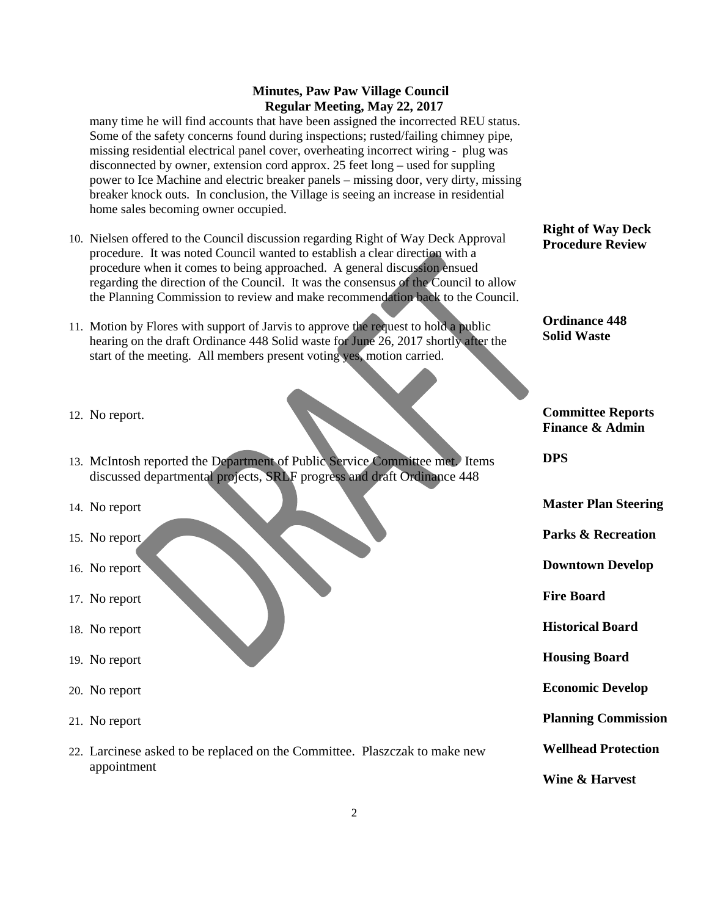many time he will find accounts that have been assigned the incorrected REU status. Some of the safety concerns found during inspections; rusted/failing chimney pipe, missing residential electrical panel cover, overheating incorrect wiring - plug was disconnected by owner, extension cord approx. 25 feet long – used for suppling power to Ice Machine and electric breaker panels – missing door, very dirty, missing breaker knock outs. In conclusion, the Village is seeing an increase in residential home sales becoming owner occupied.

- 10. Nielsen offered to the Council discussion regarding Right of Way Deck Approval procedure. It was noted Council wanted to establish a clear direction with a procedure when it comes to being approached. A general discussion ensued regarding the direction of the Council. It was the consensus of the Council to allow the Planning Commission to review and make recommendation back to the Council.
- 11. Motion by Flores with support of Jarvis to approve the request to hold a public hearing on the draft Ordinance 448 Solid waste for June 26, 2017 shortly after the start of the meeting. All members present voting yes, motion carried.
- 12. No report.
- 13. McIntosh reported the Department of Public Service Committee met. Items discussed departmental projects, SRLF progress and draft Ordinance 448
- 14. No report
- 15. No report
- 16. No report
- 17. No report
- 18. No report
- 19. No report
- 20. No report
- 21. No report
- 22. Larcinese asked to be replaced on the Committee. Plaszczak to make new appointment

#### **Right of Way Deck Procedure Review**

**Ordinance 448 Solid Waste** 

**Committee Reports Finance & Admin**

**DPS**

**Master Plan Steering**

**Parks & Recreation**

**Downtown Develop**

**Fire Board**

**Historical Board**

**Housing Board**

**Economic Develop**

**Planning Commission**

**Wellhead Protection**

**Wine & Harvest**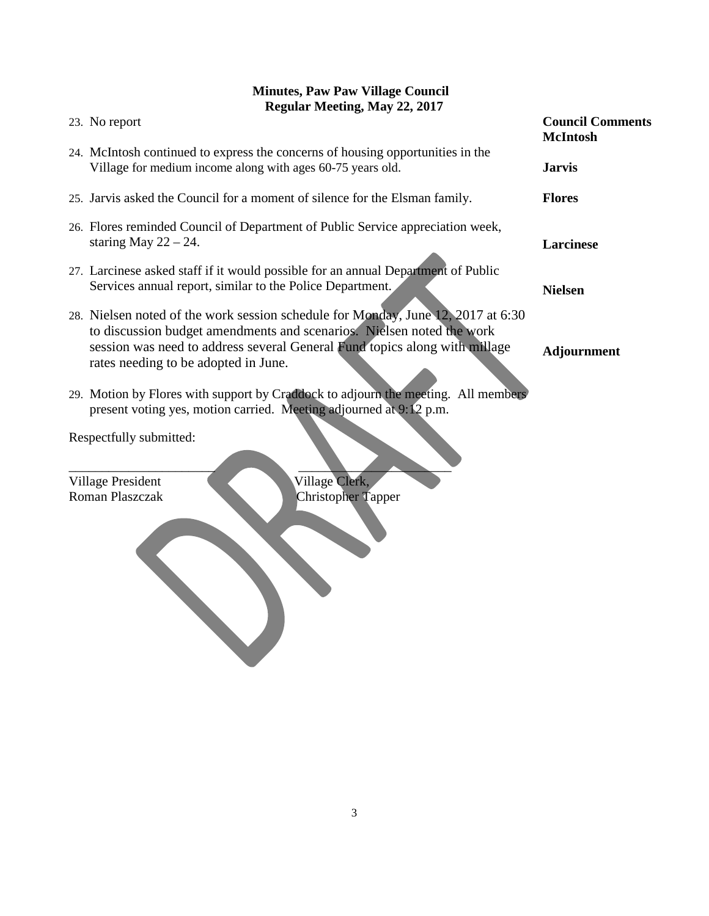| 23. No report                                                                                                                                                                                                                                                                   | <b>Council Comments</b><br><b>McIntosh</b> |
|---------------------------------------------------------------------------------------------------------------------------------------------------------------------------------------------------------------------------------------------------------------------------------|--------------------------------------------|
| 24. McIntosh continued to express the concerns of housing opportunities in the<br>Village for medium income along with ages 60-75 years old.                                                                                                                                    | <b>Jarvis</b>                              |
| 25. Jarvis asked the Council for a moment of silence for the Elsman family.                                                                                                                                                                                                     | <b>Flores</b>                              |
| 26. Flores reminded Council of Department of Public Service appreciation week,<br>staring May $22 - 24$ .                                                                                                                                                                       | <b>Larcinese</b>                           |
| 27. Larcinese asked staff if it would possible for an annual Department of Public<br>Services annual report, similar to the Police Department.                                                                                                                                  | <b>Nielsen</b>                             |
| 28. Nielsen noted of the work session schedule for Monday, June 12, 2017 at 6:30<br>to discussion budget amendments and scenarios. Nielsen noted the work<br>session was need to address several General Fund topics along with millage<br>rates needing to be adopted in June. | <b>Adjournment</b>                         |
| 29. Motion by Flores with support by Craddock to adjourn the meeting. All members<br>present voting yes, motion carried. Meeting adjourned at 9:12 p.m.                                                                                                                         |                                            |
| Respectfully submitted:                                                                                                                                                                                                                                                         |                                            |
| Village Clerk,<br>Village President<br>Roman Plaszczak<br>Christopher Tapper                                                                                                                                                                                                    |                                            |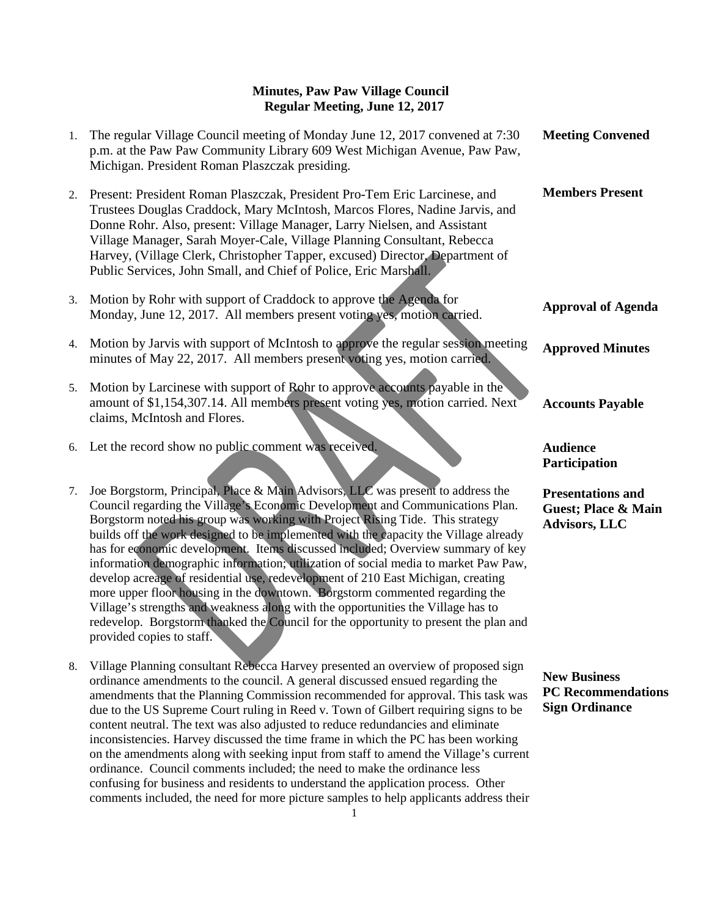| 1. | The regular Village Council meeting of Monday June 12, 2017 convened at 7:30<br>p.m. at the Paw Paw Community Library 609 West Michigan Avenue, Paw Paw,<br>Michigan. President Roman Plaszczak presiding.                                                                                                                                                                                                                                                                                                                                                                                                                                                                                                                                                                                                                                                                                      | <b>Meeting Convened</b>                                                   |
|----|-------------------------------------------------------------------------------------------------------------------------------------------------------------------------------------------------------------------------------------------------------------------------------------------------------------------------------------------------------------------------------------------------------------------------------------------------------------------------------------------------------------------------------------------------------------------------------------------------------------------------------------------------------------------------------------------------------------------------------------------------------------------------------------------------------------------------------------------------------------------------------------------------|---------------------------------------------------------------------------|
| 2. | Present: President Roman Plaszczak, President Pro-Tem Eric Larcinese, and<br>Trustees Douglas Craddock, Mary McIntosh, Marcos Flores, Nadine Jarvis, and<br>Donne Rohr. Also, present: Village Manager, Larry Nielsen, and Assistant<br>Village Manager, Sarah Moyer-Cale, Village Planning Consultant, Rebecca<br>Harvey, (Village Clerk, Christopher Tapper, excused) Director, Department of<br>Public Services, John Small, and Chief of Police, Eric Marshall.                                                                                                                                                                                                                                                                                                                                                                                                                             | <b>Members Present</b>                                                    |
| 3. | Motion by Rohr with support of Craddock to approve the Agenda for<br>Monday, June 12, 2017. All members present voting yes, motion carried.                                                                                                                                                                                                                                                                                                                                                                                                                                                                                                                                                                                                                                                                                                                                                     | <b>Approval of Agenda</b>                                                 |
| 4. | Motion by Jarvis with support of McIntosh to approve the regular session meeting<br>minutes of May 22, 2017. All members present voting yes, motion carried.                                                                                                                                                                                                                                                                                                                                                                                                                                                                                                                                                                                                                                                                                                                                    | <b>Approved Minutes</b>                                                   |
| 5. | Motion by Larcinese with support of Rohr to approve accounts payable in the<br>amount of \$1,154,307.14. All members present voting yes, motion carried. Next<br>claims, McIntosh and Flores.                                                                                                                                                                                                                                                                                                                                                                                                                                                                                                                                                                                                                                                                                                   | <b>Accounts Payable</b>                                                   |
| 6. | Let the record show no public comment was received.                                                                                                                                                                                                                                                                                                                                                                                                                                                                                                                                                                                                                                                                                                                                                                                                                                             | <b>Audience</b><br>Participation                                          |
| 7. | Joe Borgstorm, Principal, Place & Main Advisors, LLC was present to address the<br>Council regarding the Village's Economic Development and Communications Plan.<br>Borgstorm noted his group was working with Project Rising Tide. This strategy<br>builds off the work designed to be implemented with the capacity the Village already<br>has for economic development. Items discussed included; Overview summary of key<br>information demographic information; utilization of social media to market Paw Paw,<br>develop acreage of residential use, redevelopment of 210 East Michigan, creating<br>more upper floor housing in the downtown. Borgstorm commented regarding the<br>Village's strengths and weakness along with the opportunities the Village has to<br>redevelop. Borgstorm thanked the Council for the opportunity to present the plan and<br>provided copies to staff. | <b>Presentations and</b><br>Guest; Place & Main<br>Advisors, LLC          |
| 8. | Village Planning consultant Rebecca Harvey presented an overview of proposed sign<br>ordinance amendments to the council. A general discussed ensued regarding the<br>amendments that the Planning Commission recommended for approval. This task was<br>due to the US Supreme Court ruling in Reed v. Town of Gilbert requiring signs to be<br>content neutral. The text was also adjusted to reduce redundancies and eliminate<br>inconsistencies. Harvey discussed the time frame in which the PC has been working<br>on the amendments along with seeking input from staff to amend the Village's current<br>ordinance. Council comments included; the need to make the ordinance less<br>confusing for business and residents to understand the application process. Other<br>comments included, the need for more picture samples to help applicants address their                        | <b>New Business</b><br><b>PC</b> Recommendations<br><b>Sign Ordinance</b> |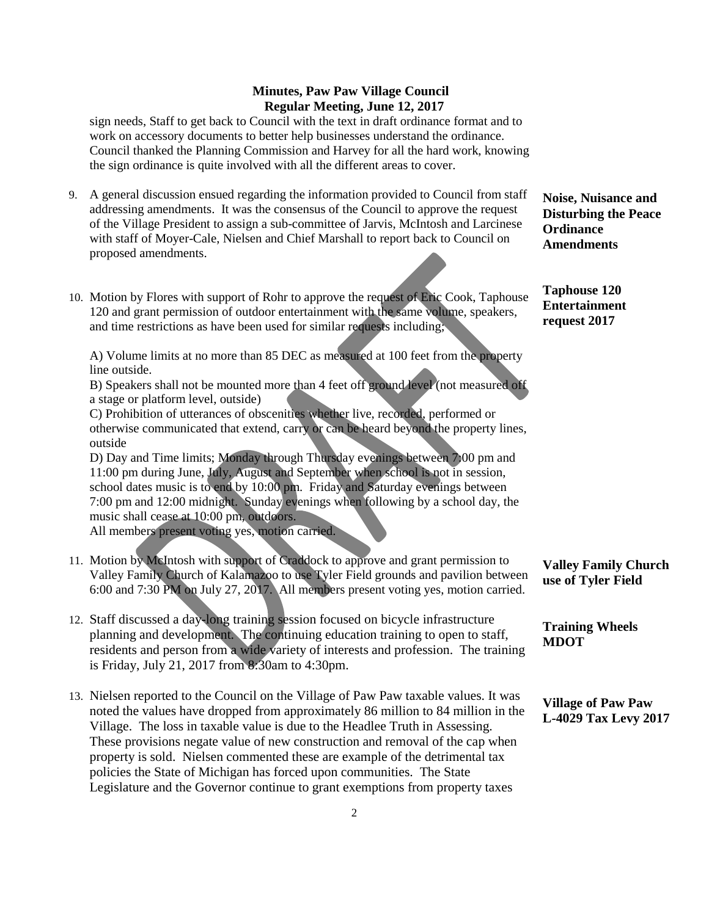sign needs, Staff to get back to Council with the text in draft ordinance format and to work on accessory documents to better help businesses understand the ordinance. Council thanked the Planning Commission and Harvey for all the hard work, knowing the sign ordinance is quite involved with all the different areas to cover.

- 9. A general discussion ensued regarding the information provided to Council from staff addressing amendments. It was the consensus of the Council to approve the request of the Village President to assign a sub-committee of Jarvis, McIntosh and Larcinese with staff of Moyer-Cale, Nielsen and Chief Marshall to report back to Council on proposed amendments.
- 10. Motion by Flores with support of Rohr to approve the request of Eric Cook, Taphouse 120 and grant permission of outdoor entertainment with the same volume, speakers, and time restrictions as have been used for similar requests including;

A) Volume limits at no more than 85 DEC as measured at 100 feet from the property line outside.

B) Speakers shall not be mounted more than 4 feet off ground level (not measured off a stage or platform level, outside)

C) Prohibition of utterances of obscenities whether live, recorded, performed or otherwise communicated that extend, carry or can be heard beyond the property lines, outside

D) Day and Time limits; Monday through Thursday evenings between 7:00 pm and 11:00 pm during June, July, August and September when school is not in session, school dates music is to end by 10:00 pm. Friday and Saturday evenings between 7:00 pm and 12:00 midnight. Sunday evenings when following by a school day, the music shall cease at 10:00 pm, outdoors.

All members present voting yes, motion carried.

- 11. Motion by McIntosh with support of Craddock to approve and grant permission to Valley Family Church of Kalamazoo to use Tyler Field grounds and pavilion between 6:00 and 7:30 PM on July 27, 2017. All members present voting yes, motion carried.
- 12. Staff discussed a day-long training session focused on bicycle infrastructure planning and development. The continuing education training to open to staff, residents and person from a wide variety of interests and profession. The training is Friday, July 21, 2017 from 8:30am to 4:30pm.
- 13. Nielsen reported to the Council on the Village of Paw Paw taxable values. It was noted the values have dropped from approximately 86 million to 84 million in the Village. The loss in taxable value is due to the Headlee Truth in Assessing. These provisions negate value of new construction and removal of the cap when property is sold. Nielsen commented these are example of the detrimental tax policies the State of Michigan has forced upon communities. The State Legislature and the Governor continue to grant exemptions from property taxes

**Noise, Nuisance and Disturbing the Peace Ordinance Amendments**

**Taphouse 120 Entertainment request 2017**

**Valley Family Church use of Tyler Field**

**Training Wheels MDOT**

**Village of Paw Paw L-4029 Tax Levy 2017**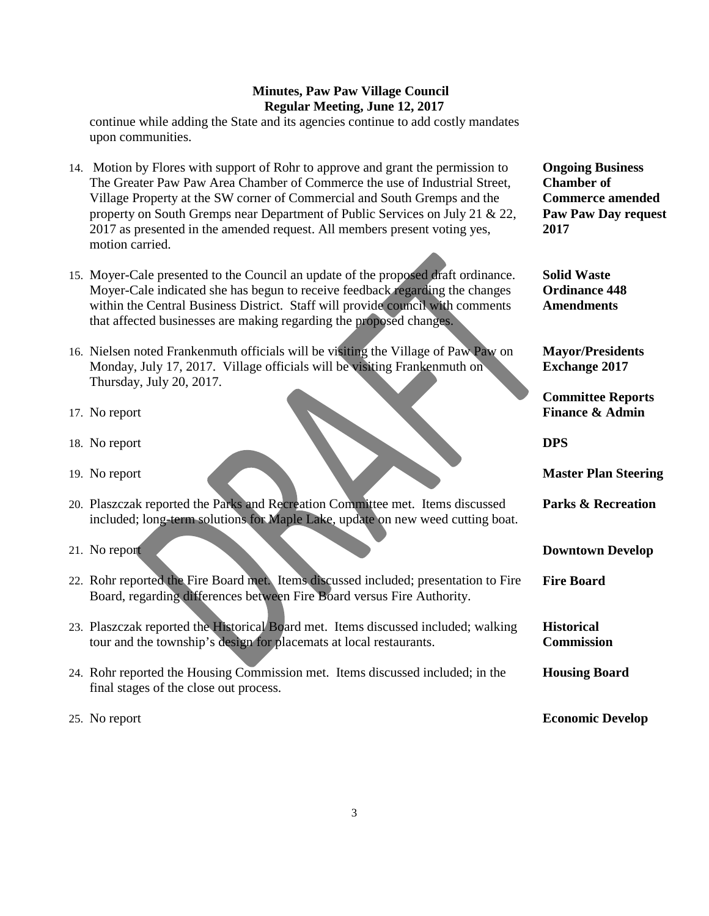continue while adding the State and its agencies continue to add costly mandates upon communities.

- 14. Motion by Flores with support of Rohr to approve and grant the permission to The Greater Paw Paw Area Chamber of Commerce the use of Industrial Street, Village Property at the SW corner of Commercial and South Gremps and the property on South Gremps near Department of Public Services on July 21 & 22, 2017 as presented in the amended request. All members present voting yes, motion carried.
- 15. Moyer-Cale presented to the Council an update of the proposed draft ordinance. Moyer-Cale indicated she has begun to receive feedback regarding the changes within the Central Business District. Staff will provide council with comments that affected businesses are making regarding the proposed changes.
- 16. Nielsen noted Frankenmuth officials will be visiting the Village of Paw Paw on Monday, July 17, 2017. Village officials will be visiting Frankenmuth on Thursday, July 20, 2017.
- 17. No report
- 18. No report
- 19. No report
- 20. Plaszczak reported the Parks and Recreation Committee met. Items discussed included; long-term solutions for Maple Lake, update on new weed cutting boat.
- 21. No report
- 22. Rohr reported the Fire Board met. Items discussed included; presentation to Fire Board, regarding differences between Fire Board versus Fire Authority.
- 23. Plaszczak reported the Historical Board met. Items discussed included; walking tour and the township's design for placemats at local restaurants.
- 24. Rohr reported the Housing Commission met. Items discussed included; in the final stages of the close out process.
- 25. No report

**Ongoing Business Chamber of Commerce amended Paw Paw Day request 2017**

**Solid Waste Ordinance 448 Amendments**

**Mayor/Presidents Exchange 2017**

**Committee Reports Finance & Admin**

**DPS**

**Master Plan Steering**

**Parks & Recreation**

**Downtown Develop**

**Fire Board**

**Historical Commission**

**Housing Board**

**Economic Develop**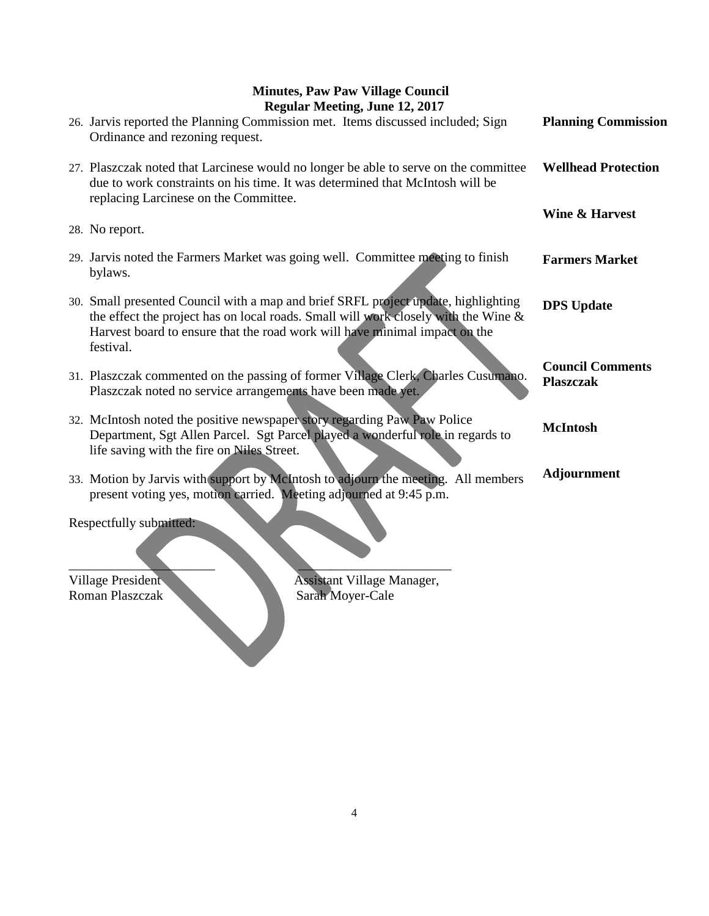| 26. Jarvis reported the Planning Commission met. Items discussed included; Sign<br>Ordinance and rezoning request.                                                                                                                                                  | <b>Planning Commission</b>                  |
|---------------------------------------------------------------------------------------------------------------------------------------------------------------------------------------------------------------------------------------------------------------------|---------------------------------------------|
| 27. Plaszczak noted that Larcinese would no longer be able to serve on the committee<br>due to work constraints on his time. It was determined that McIntosh will be<br>replacing Larcinese on the Committee.                                                       | <b>Wellhead Protection</b>                  |
|                                                                                                                                                                                                                                                                     | Wine & Harvest                              |
| 28. No report.                                                                                                                                                                                                                                                      |                                             |
| 29. Jarvis noted the Farmers Market was going well. Committee meeting to finish<br>bylaws.                                                                                                                                                                          | <b>Farmers Market</b>                       |
| 30. Small presented Council with a map and brief SRFL project update, highlighting<br>the effect the project has on local roads. Small will work closely with the Wine &<br>Harvest board to ensure that the road work will have minimal impact on the<br>festival. | <b>DPS</b> Update                           |
| 31. Plaszczak commented on the passing of former Village Clerk, Charles Cusumano.<br>Plaszczak noted no service arrangements have been made yet.                                                                                                                    | <b>Council Comments</b><br><b>Plaszczak</b> |
| 32. McIntosh noted the positive newspaper story regarding Paw Paw Police<br>Department, Sgt Allen Parcel. Sgt Parcel played a wonderful role in regards to<br>life saving with the fire on Niles Street.                                                            | <b>McIntosh</b>                             |
| 33. Motion by Jarvis with support by McIntosh to adjourn the meeting. All members<br>present voting yes, motion carried. Meeting adjourned at 9:45 p.m.                                                                                                             | <b>Adjournment</b>                          |
| Respectfully submitted:                                                                                                                                                                                                                                             |                                             |

Village President Assistant Village Manager, Roman Plaszczak Sarah Moyer-Cale

 $\qquad \qquad \blacksquare$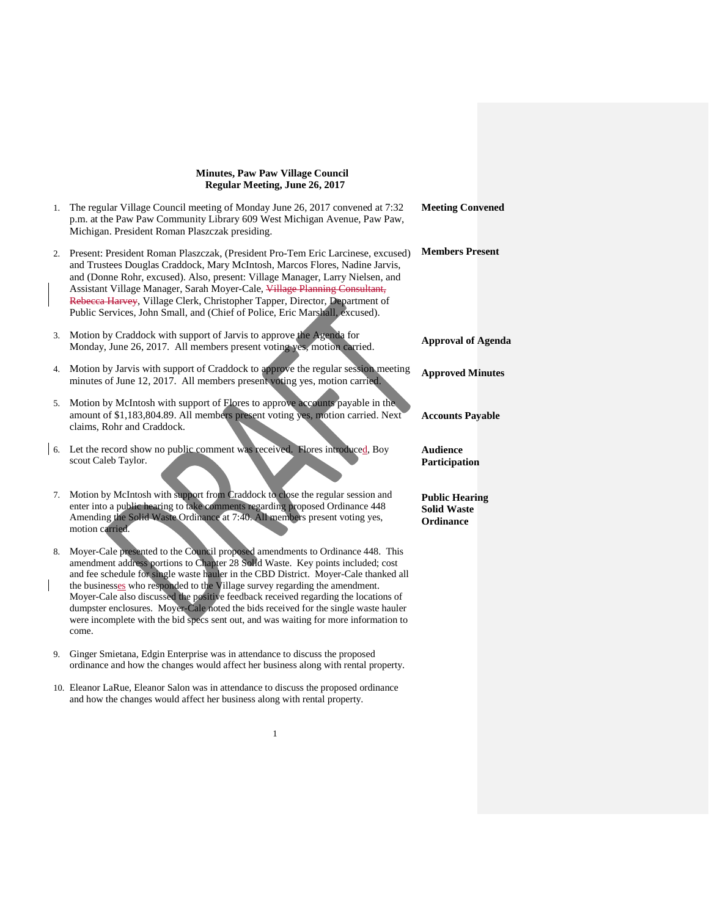|    | 1. The regular Village Council meeting of Monday June 26, 2017 convened at 7:32<br>p.m. at the Paw Paw Community Library 609 West Michigan Avenue, Paw Paw,<br>Michigan. President Roman Plaszczak presiding.                                                                                                                                                                                                                                                                             | <b>Meeting Convened</b>                                         |
|----|-------------------------------------------------------------------------------------------------------------------------------------------------------------------------------------------------------------------------------------------------------------------------------------------------------------------------------------------------------------------------------------------------------------------------------------------------------------------------------------------|-----------------------------------------------------------------|
| 2. | Present: President Roman Plaszczak, (President Pro-Tem Eric Larcinese, excused)<br>and Trustees Douglas Craddock, Mary McIntosh, Marcos Flores, Nadine Jarvis,<br>and (Donne Rohr, excused). Also, present: Village Manager, Larry Nielsen, and<br>Assistant Village Manager, Sarah Moyer-Cale, Village Planning Consultant,<br>Rebecca Harvey, Village Clerk, Christopher Tapper, Director, Department of<br>Public Services, John Small, and (Chief of Police, Eric Marshall, excused). | <b>Members Present</b>                                          |
| 3. | Motion by Craddock with support of Jarvis to approve the Agenda for<br>Monday, June 26, 2017. All members present voting yes, motion carried.                                                                                                                                                                                                                                                                                                                                             | <b>Approval of Agenda</b>                                       |
| 4. | Motion by Jarvis with support of Craddock to approve the regular session meeting<br>minutes of June 12, 2017. All members present voting yes, motion carried.                                                                                                                                                                                                                                                                                                                             | <b>Approved Minutes</b>                                         |
|    | 5. Motion by McIntosh with support of Flores to approve accounts payable in the<br>amount of \$1,183,804.89. All members present voting yes, motion carried. Next<br>claims, Rohr and Craddock.                                                                                                                                                                                                                                                                                           | <b>Accounts Payable</b>                                         |
|    | 6. Let the record show no public comment was received. Flores introduced, Boy<br>scout Caleb Taylor.                                                                                                                                                                                                                                                                                                                                                                                      | <b>Audience</b><br>Participation                                |
| 7. | Motion by McIntosh with support from Craddock to close the regular session and<br>enter into a public hearing to take comments regarding proposed Ordinance 448<br>Amending the Solid Waste Ordinance at 7:40. All members present voting yes,<br>motion carried.                                                                                                                                                                                                                         | <b>Public Hearing</b><br><b>Solid Waste</b><br><b>Ordinance</b> |
| 8. | Moyer-Cale presented to the Council proposed amendments to Ordinance 448. This<br>amendment address portions to Chapter 28 Solid Waste. Key points included; cost<br>and fee schedule for single waste hauler in the CBD District. Moyer-Cale thanked all                                                                                                                                                                                                                                 |                                                                 |
|    | the businesses who responded to the Village survey regarding the amendment.<br>Moyer-Cale also discussed the positive feedback received regarding the locations of<br>dumpster enclosures. Moyer-Cale noted the bids received for the single waste hauler<br>were incomplete with the bid specs sent out, and was waiting for more information to<br>come.                                                                                                                                |                                                                 |
| 9. | Ginger Smietana, Edgin Enterprise was in attendance to discuss the proposed<br>ordinance and how the changes would affect her business along with rental property.                                                                                                                                                                                                                                                                                                                        |                                                                 |

10. Eleanor LaRue, Eleanor Salon was in attendance to discuss the proposed ordinance and how the changes would affect her business along with rental property.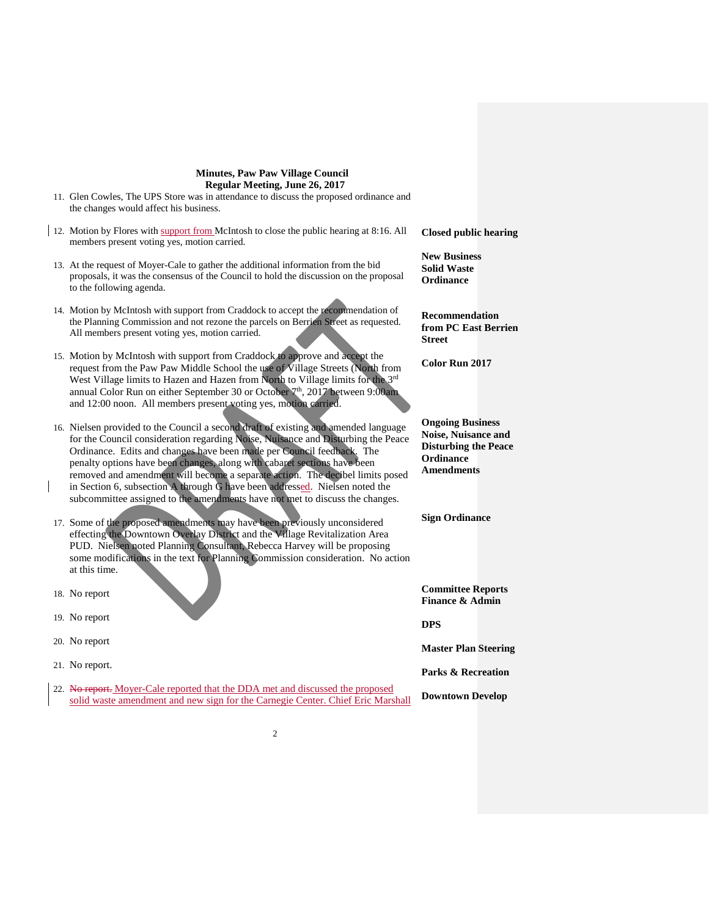| Cot Things in the collection and Hazen Home will to Things in the for-<br>annual Color Run on either September 30 or October $7th$ , 2017 between 9:00am<br>and 12:00 noon. All members present voting yes, motion carried.                                                                                                                                                                                                                                                                                                                                                  |                                                                                                                       |
|------------------------------------------------------------------------------------------------------------------------------------------------------------------------------------------------------------------------------------------------------------------------------------------------------------------------------------------------------------------------------------------------------------------------------------------------------------------------------------------------------------------------------------------------------------------------------|-----------------------------------------------------------------------------------------------------------------------|
| 16. Nielsen provided to the Council a second draft of existing and amended language<br>for the Council consideration regarding Noise, Nuisance and Disturbing the Peace<br>Ordinance. Edits and changes have been made per Council feedback. The<br>penalty options have been changes, along with cabaret sections have been<br>removed and amendment will become a separate action. The decibel limits posed<br>in Section 6, subsection A through G have been addressed. Nielsen noted the<br>subcommittee assigned to the amendments have not met to discuss the changes. | <b>Ongoing Business</b><br><b>Noise, Nuisance and</b><br><b>Disturbing the Peac</b><br>Ordinance<br><b>Amendments</b> |
| 17. Some of the proposed amendments may have been previously unconsidered<br>effecting the Downtown Overlay District and the Village Revitalization Area<br>PUD. Nielsen noted Planning Consultant, Rebecca Harvey will be proposing<br>some modifications in the text for Planning Commission consideration. No action<br>at this time.                                                                                                                                                                                                                                     | <b>Sign Ordinance</b>                                                                                                 |
| 18. No report                                                                                                                                                                                                                                                                                                                                                                                                                                                                                                                                                                | <b>Committee Reports</b><br><b>Finance &amp; Admin</b>                                                                |
| 19. No report                                                                                                                                                                                                                                                                                                                                                                                                                                                                                                                                                                | <b>DPS</b>                                                                                                            |
| 20. No report                                                                                                                                                                                                                                                                                                                                                                                                                                                                                                                                                                | <b>Master Plan Steerin</b>                                                                                            |
| 21. No report.                                                                                                                                                                                                                                                                                                                                                                                                                                                                                                                                                               | <b>Parks &amp; Recreation</b>                                                                                         |
| 22. No report. Moyer-Cale reported that the DDA met and discussed the proposed<br>solid waste amendment and new sign for the Carnegie Center. Chief Eric Marshall                                                                                                                                                                                                                                                                                                                                                                                                            | <b>Downtown Develop</b>                                                                                               |
|                                                                                                                                                                                                                                                                                                                                                                                                                                                                                                                                                                              |                                                                                                                       |

11. Glen Cowles, The UPS Store was in attendance to discuss the proposed ordinance and the changes would affect his business.

- 12. Motion by Flores with support from McIntosh to close the public hearing at 8:16. All members present voting yes, motion carried.
- 13. At the request of Moyer-Cale to gather the additional information from the bid proposals, it was the consensus of the Council to hold the discussion on the proposal to the following agenda.
- 14. Motion by McIntosh with support from Craddock to accept the recommendation of the Planning Commission and not rezone the parcels on Berrien Street as requested. All members present voting yes, motion carried.
- 15. Motion by McIntosh with support from Craddock to approve and accept the request from the Paw Paw Middle School the use of Village Streets (North from West Village limits to Hazen and Hazen from North to Village limits for the 3<sup>rd</sup>

**Closed public hearing**

**New Business Solid Waste Ordinance**

**Recommendation from PC East Berrien Street** 

**Color Run 2017**

**Noise, Nuisance and discription** 

ing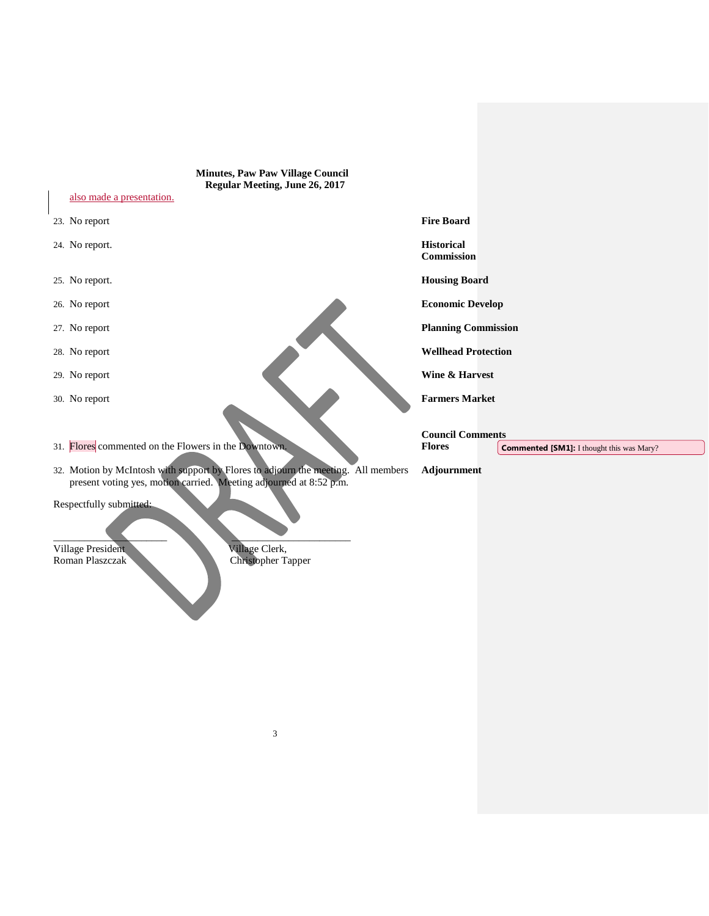| <b>Minutes, Paw Paw Village Council</b><br>Regular Meeting, June 26, 2017<br>also made a presentation.                                                  |                                                                   |
|---------------------------------------------------------------------------------------------------------------------------------------------------------|-------------------------------------------------------------------|
| 23. No report                                                                                                                                           | <b>Fire Board</b>                                                 |
| 24. No report.                                                                                                                                          | <b>Historical</b><br>Commission                                   |
| 25. No report.                                                                                                                                          | <b>Housing Board</b>                                              |
| 26. No report                                                                                                                                           | <b>Economic Develop</b>                                           |
| 27. No report                                                                                                                                           | <b>Planning Commission</b>                                        |
| 28. No report                                                                                                                                           | <b>Wellhead Protection</b>                                        |
| 29. No report                                                                                                                                           | Wine & Harvest                                                    |
| 30. No report                                                                                                                                           | <b>Farmers Market</b><br><b>Council Comments</b>                  |
| 31. Flores commented on the Flowers in the Downtown.                                                                                                    | <b>Flores</b><br><b>Commented [SM1]: I thought this was Mary?</b> |
| 32. Motion by McIntosh with support by Flores to adjourn the meeting. All members<br>present voting yes, motion carried. Meeting adjourned at 8:52 p.m. | Adjournment                                                       |
| Respectfully submitted:<br>Village President<br>Village Clerk,<br>Roman Plaszczak<br><b>Christopher Tapper</b>                                          |                                                                   |
|                                                                                                                                                         |                                                                   |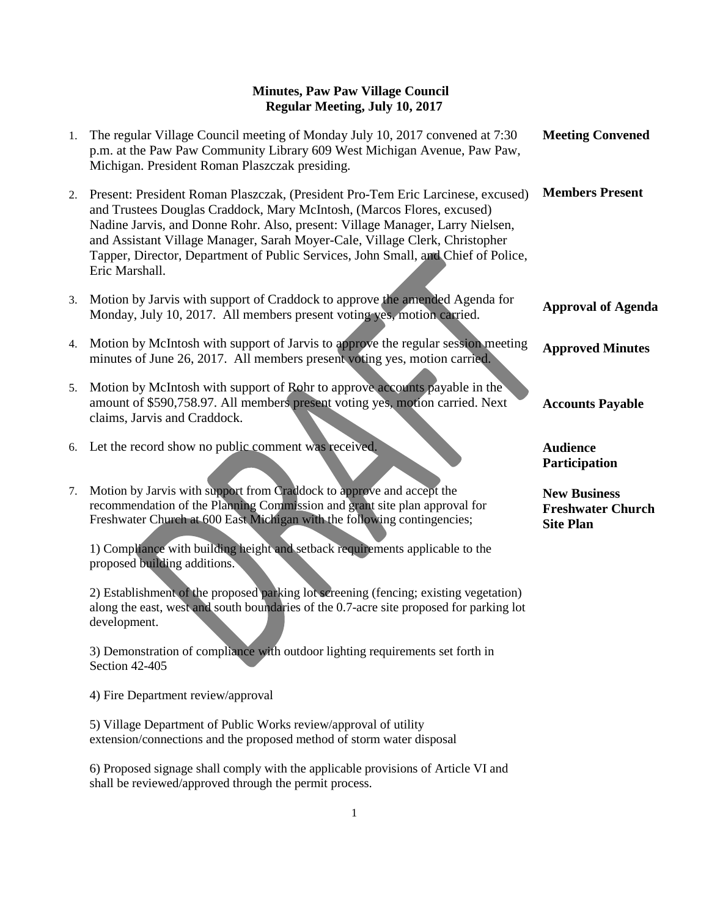| 1. | The regular Village Council meeting of Monday July 10, 2017 convened at 7:30<br>p.m. at the Paw Paw Community Library 609 West Michigan Avenue, Paw Paw,<br>Michigan. President Roman Plaszczak presiding.                                                                                                                                                                                                                       | <b>Meeting Convened</b>                                             |
|----|----------------------------------------------------------------------------------------------------------------------------------------------------------------------------------------------------------------------------------------------------------------------------------------------------------------------------------------------------------------------------------------------------------------------------------|---------------------------------------------------------------------|
| 2. | Present: President Roman Plaszczak, (President Pro-Tem Eric Larcinese, excused)<br>and Trustees Douglas Craddock, Mary McIntosh, (Marcos Flores, excused)<br>Nadine Jarvis, and Donne Rohr. Also, present: Village Manager, Larry Nielsen,<br>and Assistant Village Manager, Sarah Moyer-Cale, Village Clerk, Christopher<br>Tapper, Director, Department of Public Services, John Small, and Chief of Police,<br>Eric Marshall. | <b>Members Present</b>                                              |
| 3. | Motion by Jarvis with support of Craddock to approve the amended Agenda for<br>Monday, July 10, 2017. All members present voting yes, motion carried.                                                                                                                                                                                                                                                                            | <b>Approval of Agenda</b>                                           |
| 4. | Motion by McIntosh with support of Jarvis to approve the regular session meeting<br>minutes of June 26, 2017. All members present voting yes, motion carried.                                                                                                                                                                                                                                                                    | <b>Approved Minutes</b>                                             |
| 5. | Motion by McIntosh with support of Rohr to approve accounts payable in the<br>amount of \$590,758.97. All members present voting yes, motion carried. Next<br>claims, Jarvis and Craddock.                                                                                                                                                                                                                                       | <b>Accounts Payable</b>                                             |
| 6. | Let the record show no public comment was received.                                                                                                                                                                                                                                                                                                                                                                              | <b>Audience</b><br>Participation                                    |
| 7. | Motion by Jarvis with support from Craddock to approve and accept the<br>recommendation of the Planning Commission and grant site plan approval for<br>Freshwater Church at 600 East Michigan with the following contingencies;                                                                                                                                                                                                  | <b>New Business</b><br><b>Freshwater Church</b><br><b>Site Plan</b> |
|    | 1) Compliance with building height and setback requirements applicable to the<br>proposed building additions.                                                                                                                                                                                                                                                                                                                    |                                                                     |
|    | 2) Establishment of the proposed parking lot screening (fencing; existing vegetation)<br>along the east, west and south boundaries of the 0.7-acre site proposed for parking lot<br>development.                                                                                                                                                                                                                                 |                                                                     |
|    | 3) Demonstration of compliance with outdoor lighting requirements set forth in<br>Section 42-405                                                                                                                                                                                                                                                                                                                                 |                                                                     |
|    | 4) Fire Department review/approval                                                                                                                                                                                                                                                                                                                                                                                               |                                                                     |
|    | 5) Village Department of Public Works review/approval of utility<br>extension/connections and the proposed method of storm water disposal                                                                                                                                                                                                                                                                                        |                                                                     |
|    | 6) Proposed signage shall comply with the applicable provisions of Article VI and                                                                                                                                                                                                                                                                                                                                                |                                                                     |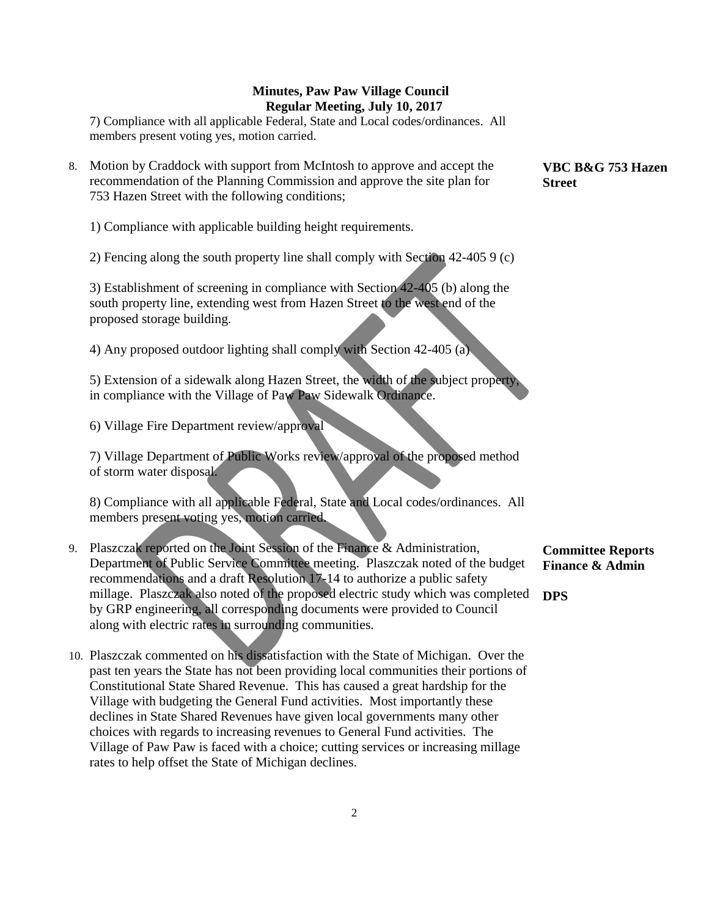7) Compliance with all applicable Federal, State and Local codes/ordinances. All members present voting yes, motion carried.

8. Motion by Craddock with support from McIntosh to approve and accept the recommendation of the Planning Commission and approve the site plan for 753 Hazen Street with the following conditions;

1) Compliance with applicable building height requirements.

2) Fencing along the south property line shall comply with Section 42-405 9 (c)

3) Establishment of screening in compliance with Section 42-405 (b) along the south property line, extending west from Hazen Street to the west end of the proposed storage building.

4) Any proposed outdoor lighting shall comply with Section 42-405 (a)

5) Extension of a sidewalk along Hazen Street, the width of the subject property, in compliance with the Village of Paw Paw Sidewalk Ordinance.

6) Village Fire Department review/approval

7) Village Department of Public Works review/approval of the proposed method of storm water disposal.

8) Compliance with all applicable Federal, State and Local codes/ordinances. All members present voting yes, motion carried.

- 9. Plaszczak reported on the Joint Session of the Finance & Administration, Department of Public Service Committee meeting. Plaszczak noted of the budget recommendations and a draft Resolution 17-14 to authorize a public safety millage. Plaszczak also noted of the proposed electric study which was completed **DPS**by GRP engineering, all corresponding documents were provided to Council along with electric rates in surrounding communities.
- 10. Plaszczak commented on his dissatisfaction with the State of Michigan. Over the past ten years the State has not been providing local communities their portions of Constitutional State Shared Revenue. This has caused a great hardship for the Village with budgeting the General Fund activities. Most importantly these declines in State Shared Revenues have given local governments many other choices with regards to increasing revenues to General Fund activities. The Village of Paw Paw is faced with a choice; cutting services or increasing millage rates to help offset the State of Michigan declines.

**VBC B&G 753 Hazen Street**

**Committee Reports Finance & Admin**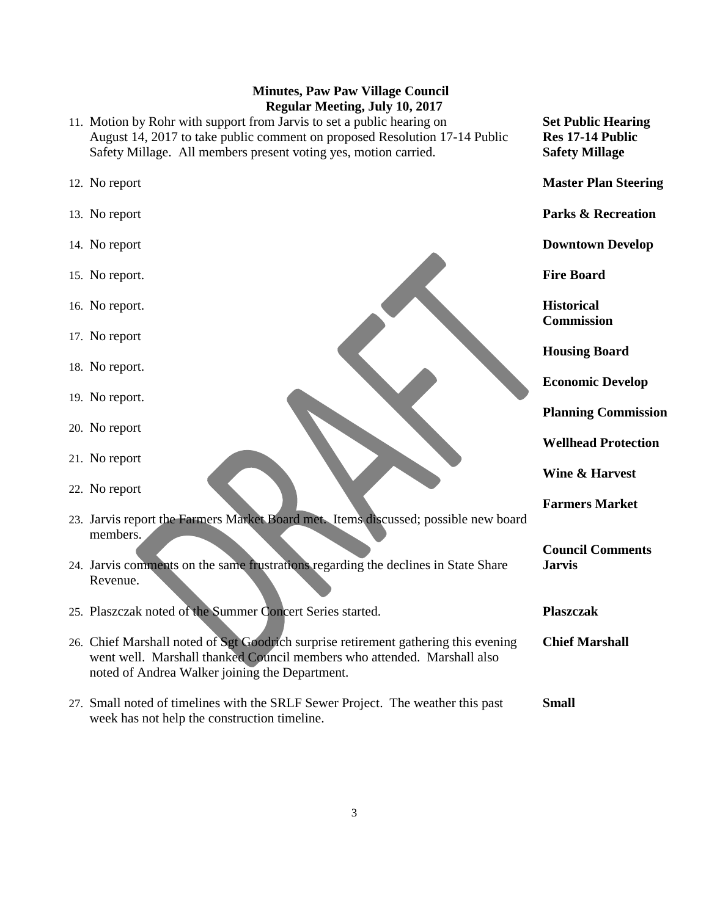- 11. Motion by Rohr with support from Jarvis to set a public hearing on August 14, 2017 to take public comment on proposed Resolution 17-14 Public Safety Millage. All members present voting yes, motion carried.
- 12. No report
- 13. No report
- 14. No report
- 15. No report.
- 16. No report.
- 17. No report
- 18. No report.
- 19. No report.
- 20. No report
- 21. No report
- 22. No report
- 23. Jarvis report the Farmers Market Board met. Items discussed; possible new board members.
- 24. Jarvis comments on the same frustrations regarding the declines in State Share Revenue.
- 25. Plaszczak noted of the Summer Concert Series started.
- 26. Chief Marshall noted of Sgt Goodrich surprise retirement gathering this evening went well. Marshall thanked Council members who attended. Marshall also noted of Andrea Walker joining the Department.
- 27. Small noted of timelines with the SRLF Sewer Project. The weather this past week has not help the construction timeline. **Small**

**Set Public Hearing Res 17-14 Public Safety Millage**

**Master Plan Steering**

**Parks & Recreation**

**Downtown Develop**

**Fire Board**

**Historical Commission**

**Housing Board**

**Economic Develop**

**Planning Commission**

**Wellhead Protection**

**Wine & Harvest**

**Farmers Market**

**Council Comments Jarvis**

**Plaszczak** 

**Chief Marshall**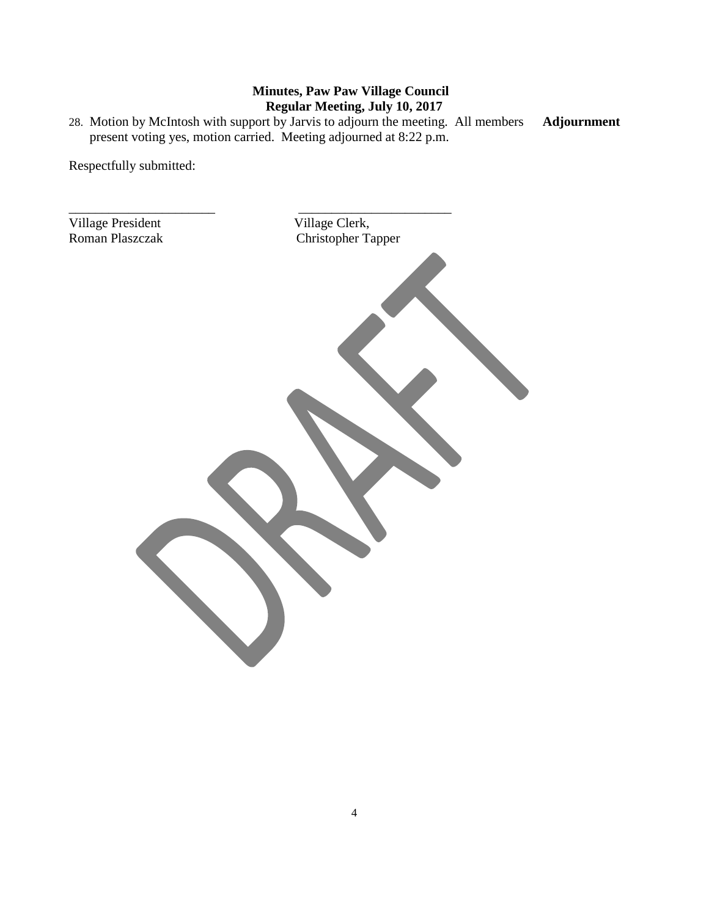28. Motion by McIntosh with support by Jarvis to adjourn the meeting. All members present voting yes, motion carried. Meeting adjourned at 8:22 p.m. **Adjournment**

Respectfully submitted:

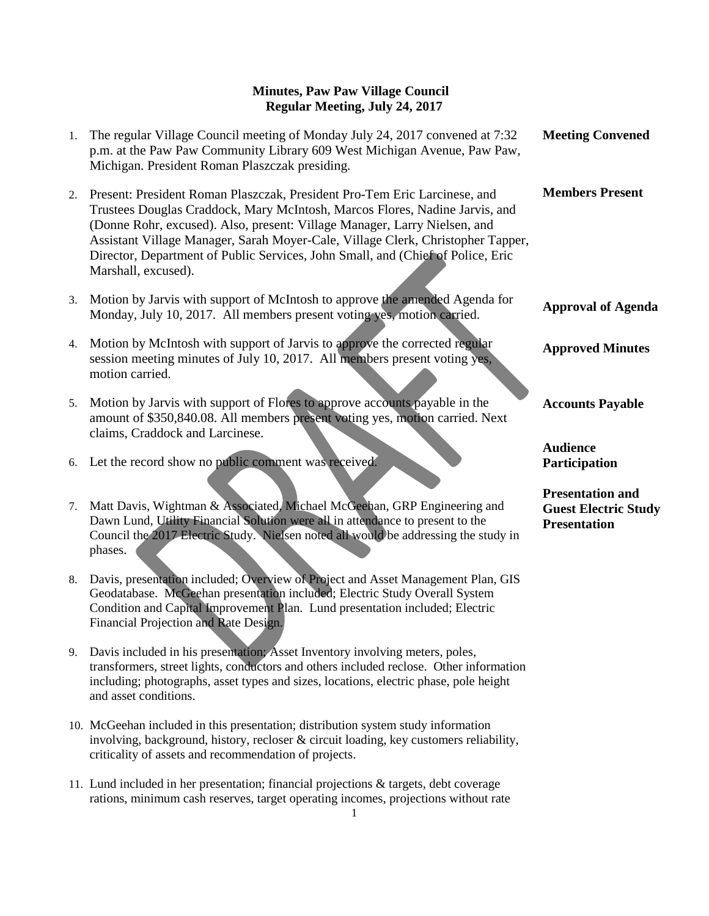| 1.       | The regular Village Council meeting of Monday July 24, 2017 convened at 7:32<br>p.m. at the Paw Paw Community Library 609 West Michigan Avenue, Paw Paw,<br>Michigan. President Roman Plaszczak presiding.                                                                                                                                                                                                                         | <b>Meeting Convened</b>                                                       |
|----------|------------------------------------------------------------------------------------------------------------------------------------------------------------------------------------------------------------------------------------------------------------------------------------------------------------------------------------------------------------------------------------------------------------------------------------|-------------------------------------------------------------------------------|
| 2.       | Present: President Roman Plaszczak, President Pro-Tem Eric Larcinese, and<br>Trustees Douglas Craddock, Mary McIntosh, Marcos Flores, Nadine Jarvis, and<br>(Donne Rohr, excused). Also, present: Village Manager, Larry Nielsen, and<br>Assistant Village Manager, Sarah Moyer-Cale, Village Clerk, Christopher Tapper,<br>Director, Department of Public Services, John Small, and (Chief of Police, Eric<br>Marshall, excused). | <b>Members Present</b>                                                        |
| 3.       | Motion by Jarvis with support of McIntosh to approve the amended Agenda for<br>Monday, July 10, 2017. All members present voting yes, motion carried.                                                                                                                                                                                                                                                                              | <b>Approval of Agenda</b>                                                     |
| 4.       | Motion by McIntosh with support of Jarvis to approve the corrected regular<br>session meeting minutes of July 10, 2017. All members present voting yes,<br>motion carried.                                                                                                                                                                                                                                                         | <b>Approved Minutes</b>                                                       |
| 5.       | Motion by Jarvis with support of Flores to approve accounts payable in the<br>amount of \$350,840.08. All members present voting yes, motion carried. Next<br>claims, Craddock and Larcinese.                                                                                                                                                                                                                                      | <b>Accounts Payable</b>                                                       |
|          | 6. Let the record show no public comment was received.                                                                                                                                                                                                                                                                                                                                                                             | <b>Audience</b><br>Participation                                              |
| 7.<br>8. | Matt Davis, Wightman & Associated, Michael McGeehan, GRP Engineering and<br>Dawn Lund, Utility Financial Solution were all in attendance to present to the<br>Council the 2017 Electric Study. Nielsen noted all would be addressing the study in<br>phases.<br>Davis, presentation included; Overview of Project and Asset Management Plan, GIS                                                                                   | <b>Presentation and</b><br><b>Guest Electric Study</b><br><b>Presentation</b> |

- 8. Davis, presentation included; Overview of Project and Asset Management Plan, GIS Geodatabase. McGeehan presentation included; Electric Study Overall System Condition and Capital Improvement Plan. Lund presentation included; Electric Financial Projection and Rate Design.
- 9. Davis included in his presentation; Asset Inventory involving meters, poles, transformers, street lights, conductors and others included reclose. Other information including; photographs, asset types and sizes, locations, electric phase, pole height and asset conditions.
- 10. McGeehan included in this presentation; distribution system study information involving, background, history, recloser & circuit loading, key customers reliability, criticality of assets and recommendation of projects.
- 11. Lund included in her presentation; financial projections & targets, debt coverage rations, minimum cash reserves, target operating incomes, projections without rate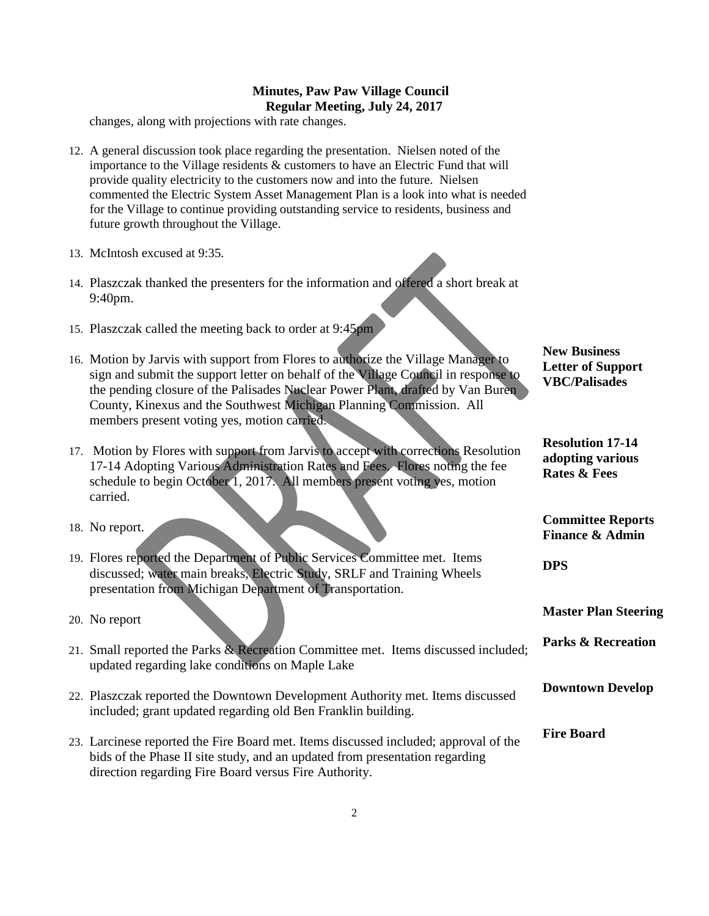changes, along with projections with rate changes.

- 12. A general discussion took place regarding the presentation. Nielsen noted of the importance to the Village residents  $&$  customers to have an Electric Fund that will provide quality electricity to the customers now and into the future. Nielsen commented the Electric System Asset Management Plan is a look into what is needed for the Village to continue providing outstanding service to residents, business and future growth throughout the Village.
- 13. McIntosh excused at 9:35.
- 14. Plaszczak thanked the presenters for the information and offered a short break at 9:40pm.
- 15. Plaszczak called the meeting back to order at 9:45pm
- 16. Motion by Jarvis with support from Flores to authorize the Village Manager to sign and submit the support letter on behalf of the Village Council in response to the pending closure of the Palisades Nuclear Power Plant, drafted by Van Buren County, Kinexus and the Southwest Michigan Planning Commission. All members present voting yes, motion carried.
- 17. Motion by Flores with support from Jarvis to accept with corrections Resolution 17-14 Adopting Various Administration Rates and Fees. Flores noting the fee schedule to begin October 1, 2017. All members present voting yes, motion carried.
- 18. No report.
- 19. Flores reported the Department of Public Services Committee met. Items discussed; water main breaks, Electric Study, SRLF and Training Wheels presentation from Michigan Department of Transportation.

20. No report

- 21. Small reported the Parks & Recreation Committee met. Items discussed included; updated regarding lake conditions on Maple Lake
- 22. Plaszczak reported the Downtown Development Authority met. Items discussed included; grant updated regarding old Ben Franklin building.
- 23. Larcinese reported the Fire Board met. Items discussed included; approval of the bids of the Phase II site study, and an updated from presentation regarding direction regarding Fire Board versus Fire Authority.

**New Business Letter of Support VBC/Palisades**

**Resolution 17-14 adopting various Rates & Fees**

**Committee Reports Finance & Admin**

**DPS**

**Master Plan Steering**

**Parks & Recreation**

**Downtown Develop**

**Fire Board**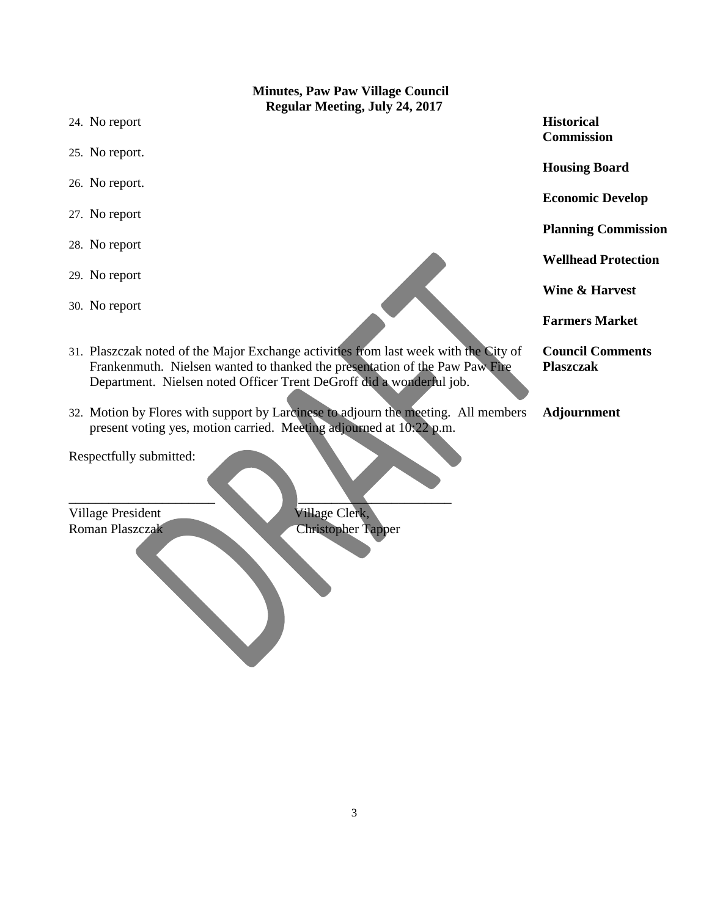**Minutes, Paw Paw Village Council Regular Meeting, July 24, 2017** 24. No report 25. No report. 26. No report. 27. No report 28. No report 29. No report 30. No report 31. Plaszczak noted of the Major Exchange activities from last week with the City of Frankenmuth. Nielsen wanted to thanked the presentation of the Paw Paw Fire Department. Nielsen noted Officer Trent DeGroff did a wonderful job. 32. Motion by Flores with support by Larcinese to adjourn the meeting. All members present voting yes, motion carried. Meeting adjourned at 10:22 p.m. Respectfully submitted: **Historical Commission Housing Board Economic Develop Planning Commission Wellhead Protection Wine & Harvest Farmers Market Council Comments Plaszczak Adjournment**

Village President Village Clerk,

\_\_\_\_\_\_\_\_\_\_\_\_\_\_\_\_\_\_\_\_\_\_ \_\_\_\_\_\_\_\_\_\_\_\_\_\_\_\_\_\_\_\_\_\_\_ Roman Plaszczak Christopher Tapper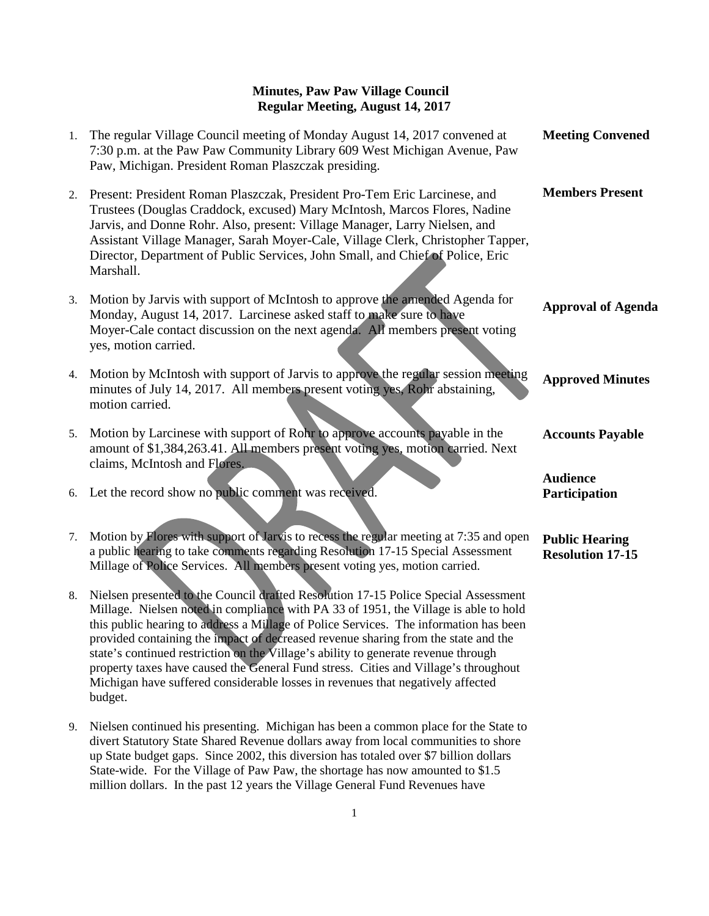| 1. | The regular Village Council meeting of Monday August 14, 2017 convened at<br>7:30 p.m. at the Paw Paw Community Library 609 West Michigan Avenue, Paw<br>Paw, Michigan. President Roman Plaszczak presiding.                                                                                                                                                                                                                                         | <b>Meeting Convened</b>                          |
|----|------------------------------------------------------------------------------------------------------------------------------------------------------------------------------------------------------------------------------------------------------------------------------------------------------------------------------------------------------------------------------------------------------------------------------------------------------|--------------------------------------------------|
| 2. | Present: President Roman Plaszczak, President Pro-Tem Eric Larcinese, and<br>Trustees (Douglas Craddock, excused) Mary McIntosh, Marcos Flores, Nadine<br>Jarvis, and Donne Rohr. Also, present: Village Manager, Larry Nielsen, and<br>Assistant Village Manager, Sarah Moyer-Cale, Village Clerk, Christopher Tapper,<br>Director, Department of Public Services, John Small, and Chief of Police, Eric<br>Marshall.                               | <b>Members Present</b>                           |
| 3. | Motion by Jarvis with support of McIntosh to approve the amended Agenda for<br>Monday, August 14, 2017. Larcinese asked staff to make sure to have<br>Moyer-Cale contact discussion on the next agenda. All members present voting<br>yes, motion carried.                                                                                                                                                                                           | <b>Approval of Agenda</b>                        |
| 4. | Motion by McIntosh with support of Jarvis to approve the regular session meeting<br>minutes of July 14, 2017. All members present voting yes, Rohr abstaining,<br>motion carried.                                                                                                                                                                                                                                                                    | <b>Approved Minutes</b>                          |
| 5. | Motion by Larcinese with support of Rohr to approve accounts payable in the<br>amount of \$1,384,263.41. All members present voting yes, motion carried. Next<br>claims, McIntosh and Flores.                                                                                                                                                                                                                                                        | <b>Accounts Payable</b>                          |
|    | 6. Let the record show no public comment was received.                                                                                                                                                                                                                                                                                                                                                                                               | <b>Audience</b><br>Participation                 |
| 7. | Motion by Flores with support of Jarvis to recess the regular meeting at 7:35 and open<br>a public hearing to take comments regarding Resolution 17-15 Special Assessment<br>Millage of Police Services. All members present voting yes, motion carried.                                                                                                                                                                                             | <b>Public Hearing</b><br><b>Resolution 17-15</b> |
| 8. | Nielsen presented to the Council drafted Resolution 17-15 Police Special Assessment<br>Millage. Nielsen noted in compliance with PA 33 of 1951, the Village is able to hold<br>this public hearing to address a Millage of Police Services. The information has been<br>provided containing the impact of decreased revenue sharing from the state and the<br>etate? a continued north otion on the Village? a chility to concente necessary thugush |                                                  |

state's continued restriction on the Village's ability to generate revenue through property taxes have caused the General Fund stress. Cities and Village's throughout Michigan have suffered considerable losses in revenues that negatively affected budget.

9. Nielsen continued his presenting. Michigan has been a common place for the State to divert Statutory State Shared Revenue dollars away from local communities to shore up State budget gaps. Since 2002, this diversion has totaled over \$7 billion dollars State-wide. For the Village of Paw Paw, the shortage has now amounted to \$1.5 million dollars. In the past 12 years the Village General Fund Revenues have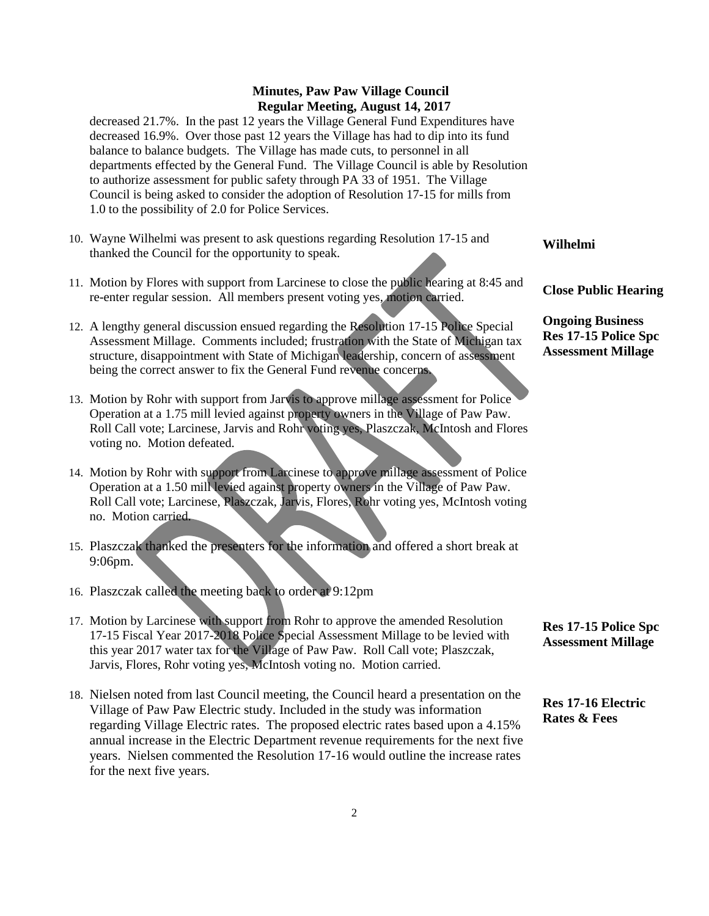decreased 21.7%. In the past 12 years the Village General Fund Expenditures have decreased 16.9%. Over those past 12 years the Village has had to dip into its fund balance to balance budgets. The Village has made cuts, to personnel in all departments effected by the General Fund. The Village Council is able by Resolution to authorize assessment for public safety through PA 33 of 1951. The Village Council is being asked to consider the adoption of Resolution 17-15 for mills from 1.0 to the possibility of 2.0 for Police Services.

- 10. Wayne Wilhelmi was present to ask questions regarding Resolution 17-15 and thanked the Council for the opportunity to speak.
- 11. Motion by Flores with support from Larcinese to close the public hearing at 8:45 and re-enter regular session. All members present voting yes, motion carried.
- 12. A lengthy general discussion ensued regarding the Resolution 17-15 Police Special Assessment Millage. Comments included; frustration with the State of Michigan tax structure, disappointment with State of Michigan leadership, concern of assessment being the correct answer to fix the General Fund revenue concerns.
- 13. Motion by Rohr with support from Jarvis to approve millage assessment for Police Operation at a 1.75 mill levied against property owners in the Village of Paw Paw. Roll Call vote; Larcinese, Jarvis and Rohr voting yes, Plaszczak, McIntosh and Flores voting no. Motion defeated.
- 14. Motion by Rohr with support from Larcinese to approve millage assessment of Police Operation at a 1.50 mill levied against property owners in the Village of Paw Paw. Roll Call vote; Larcinese, Plaszczak, Jarvis, Flores, Rohr voting yes, McIntosh voting no. Motion carried.
- 15. Plaszczak thanked the presenters for the information and offered a short break at 9:06pm.
- 16. Plaszczak called the meeting back to order at 9:12pm
- 17. Motion by Larcinese with support from Rohr to approve the amended Resolution 17-15 Fiscal Year 2017-2018 Police Special Assessment Millage to be levied with this year 2017 water tax for the Village of Paw Paw. Roll Call vote; Plaszczak, Jarvis, Flores, Rohr voting yes, McIntosh voting no. Motion carried.
- 18. Nielsen noted from last Council meeting, the Council heard a presentation on the Village of Paw Paw Electric study. Included in the study was information regarding Village Electric rates. The proposed electric rates based upon a 4.15% annual increase in the Electric Department revenue requirements for the next five years. Nielsen commented the Resolution 17-16 would outline the increase rates for the next five years.

**Wilhelmi**

**Close Public Hearing**

**Ongoing Business Res 17-15 Police Spc Assessment Millage**

**Res 17-15 Police Spc Assessment Millage**

**Res 17-16 Electric Rates & Fees**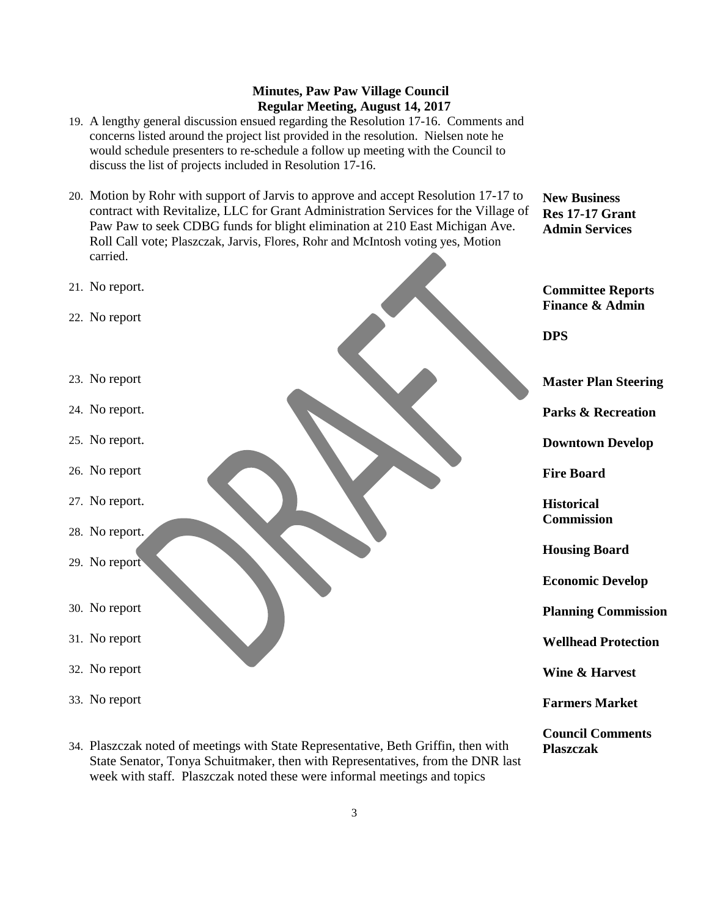**New Business Res 17-17 Grant Admin Services**

**Council Comments**

**Plaszczak** 

- 19. A lengthy general discussion ensued regarding the Resolution 17-16. Comments and concerns listed around the project list provided in the resolution. Nielsen note he would schedule presenters to re-schedule a follow up meeting with the Council to discuss the list of projects included in Resolution 17-16.
- 20. Motion by Rohr with support of Jarvis to approve and accept Resolution 17-17 to contract with Revitalize, LLC for Grant Administration Services for the Village of Paw Paw to seek CDBG funds for blight elimination at 210 East Michigan Ave. Roll Call vote; Plaszczak, Jarvis, Flores, Rohr and McIntosh voting yes, Motion carried.



34. Plaszczak noted of meetings with State Representative, Beth Griffin, then with State Senator, Tonya Schuitmaker, then with Representatives, from the DNR last week with staff. Plaszczak noted these were informal meetings and topics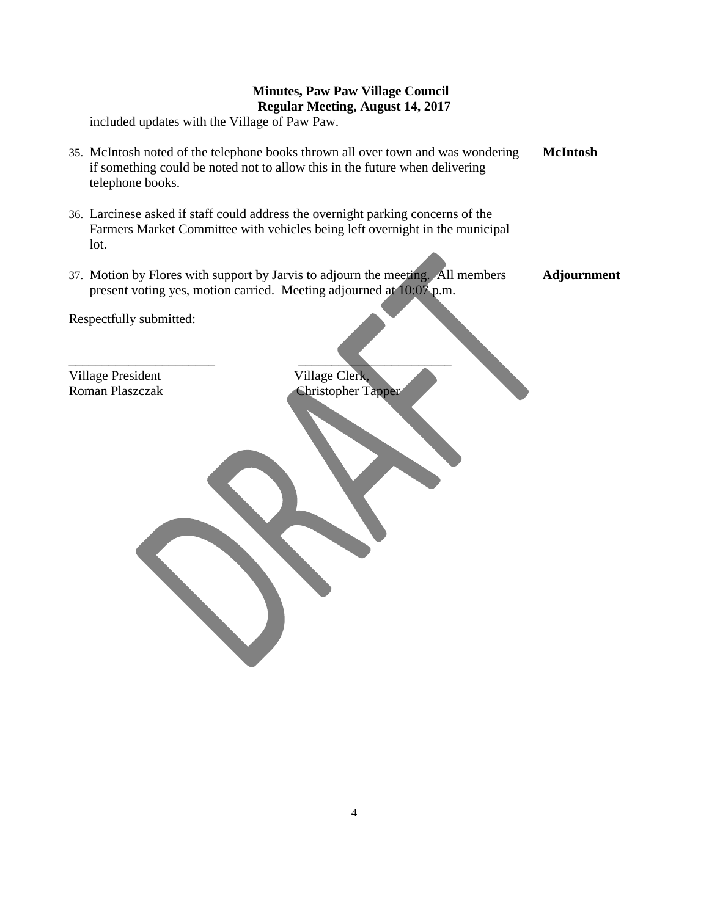included updates with the Village of Paw Paw.

- 35. McIntosh noted of the telephone books thrown all over town and was wondering if something could be noted not to allow this in the future when delivering telephone books. **McIntosh**
- 36. Larcinese asked if staff could address the overnight parking concerns of the Farmers Market Committee with vehicles being left overnight in the municipal lot.

 $\overline{\phantom{a}}$  , and the contract of the contract of the contract of the contract of the contract of the contract of the contract of the contract of the contract of the contract of the contract of the contract of the contrac

37. Motion by Flores with support by Jarvis to adjourn the meeting. All members present voting yes, motion carried. Meeting adjourned at 10:07 p.m. **Adjournment**

Respectfully submitted:

Village President Village Clerk,

Roman Plaszczak Christopher Tapper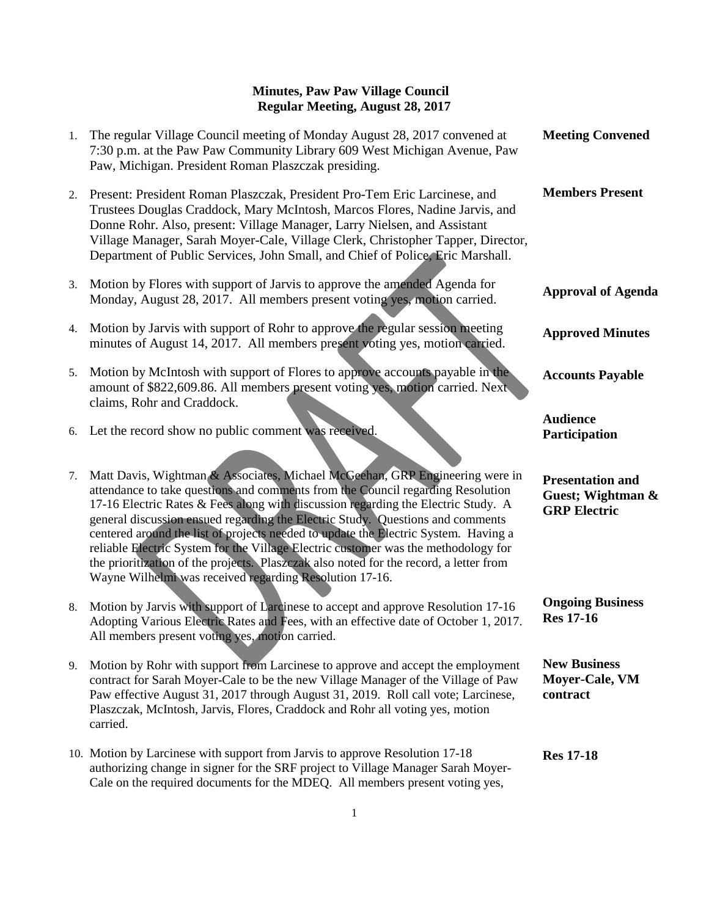| 1. | The regular Village Council meeting of Monday August 28, 2017 convened at<br>7:30 p.m. at the Paw Paw Community Library 609 West Michigan Avenue, Paw<br>Paw, Michigan. President Roman Plaszczak presiding.                                                                                                                                                                                                                                                                                                                                                                                                                                                             | <b>Meeting Convened</b>                                             |
|----|--------------------------------------------------------------------------------------------------------------------------------------------------------------------------------------------------------------------------------------------------------------------------------------------------------------------------------------------------------------------------------------------------------------------------------------------------------------------------------------------------------------------------------------------------------------------------------------------------------------------------------------------------------------------------|---------------------------------------------------------------------|
| 2. | Present: President Roman Plaszczak, President Pro-Tem Eric Larcinese, and<br>Trustees Douglas Craddock, Mary McIntosh, Marcos Flores, Nadine Jarvis, and<br>Donne Rohr. Also, present: Village Manager, Larry Nielsen, and Assistant<br>Village Manager, Sarah Moyer-Cale, Village Clerk, Christopher Tapper, Director,<br>Department of Public Services, John Small, and Chief of Police, Eric Marshall.                                                                                                                                                                                                                                                                | <b>Members Present</b>                                              |
| 3. | Motion by Flores with support of Jarvis to approve the amended Agenda for<br>Monday, August 28, 2017. All members present voting yes, motion carried.                                                                                                                                                                                                                                                                                                                                                                                                                                                                                                                    | <b>Approval of Agenda</b>                                           |
| 4. | Motion by Jarvis with support of Rohr to approve the regular session meeting<br>minutes of August 14, 2017. All members present voting yes, motion carried.                                                                                                                                                                                                                                                                                                                                                                                                                                                                                                              | <b>Approved Minutes</b>                                             |
| 5. | Motion by McIntosh with support of Flores to approve accounts payable in the<br>amount of \$822,609.86. All members present voting yes, motion carried. Next<br>claims, Rohr and Craddock.                                                                                                                                                                                                                                                                                                                                                                                                                                                                               | <b>Accounts Payable</b>                                             |
|    | 6. Let the record show no public comment was received.                                                                                                                                                                                                                                                                                                                                                                                                                                                                                                                                                                                                                   | <b>Audience</b><br>Participation                                    |
| 7. | Matt Davis, Wightman & Associates, Michael McGeehan, GRP Engineering were in<br>attendance to take questions and comments from the Council regarding Resolution<br>17-16 Electric Rates & Fees along with discussion regarding the Electric Study. A<br>general discussion ensued regarding the Electric Study. Questions and comments<br>centered around the list of projects needed to update the Electric System. Having a<br>reliable Electric System for the Village Electric customer was the methodology for<br>the prioritization of the projects. Plaszczak also noted for the record, a letter from<br>Wayne Wilhelmi was received regarding Resolution 17-16. | <b>Presentation and</b><br>Guest; Wightman &<br><b>GRP</b> Electric |
| 8. | Motion by Jarvis with support of Larcinese to accept and approve Resolution 17-16<br>Adopting Various Electric Rates and Fees, with an effective date of October 1, 2017.<br>All members present voting yes, motion carried.                                                                                                                                                                                                                                                                                                                                                                                                                                             | <b>Ongoing Business</b><br><b>Res 17-16</b>                         |
| 9. | Motion by Rohr with support from Larcinese to approve and accept the employment<br>contract for Sarah Moyer-Cale to be the new Village Manager of the Village of Paw<br>Paw effective August 31, 2017 through August 31, 2019. Roll call vote; Larcinese,<br>Plaszczak, McIntosh, Jarvis, Flores, Craddock and Rohr all voting yes, motion<br>carried.                                                                                                                                                                                                                                                                                                                   | <b>New Business</b><br>Moyer-Cale, VM<br>contract                   |
|    | 10. Motion by Larcinese with support from Jarvis to approve Resolution 17-18<br>authorizing change in signer for the SRF project to Village Manager Sarah Moyer-<br>Cale on the required documents for the MDEQ. All members present voting yes,                                                                                                                                                                                                                                                                                                                                                                                                                         | <b>Res 17-18</b>                                                    |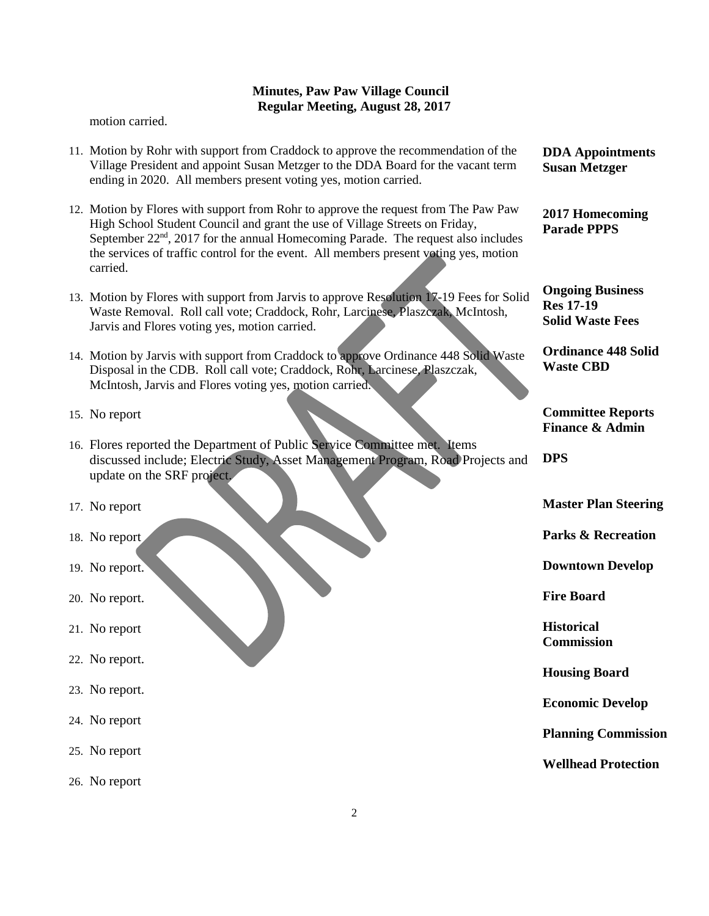motion carried.

- 11. Motion by Rohr with support from Craddock to approve the recommendation of the Village President and appoint Susan Metzger to the DDA Board for the vacant term ending in 2020. All members present voting yes, motion carried.
- 12. Motion by Flores with support from Rohr to approve the request from The Paw Paw High School Student Council and grant the use of Village Streets on Friday, September  $22<sup>nd</sup>$ , 2017 for the annual Homecoming Parade. The request also includes the services of traffic control for the event. All members present voting yes, motion carried.
- 13. Motion by Flores with support from Jarvis to approve Resolution 17-19 Fees for Solid Waste Removal. Roll call vote; Craddock, Rohr, Larcinese, Plaszczak, McIntosh, Jarvis and Flores voting yes, motion carried.
- 14. Motion by Jarvis with support from Craddock to approve Ordinance 448 Solid Waste Disposal in the CDB. Roll call vote; Craddock, Rohr, Larcinese, Plaszczak, McIntosh, Jarvis and Flores voting yes, motion carried.
- 15. No report
- 16. Flores reported the Department of Public Service Committee met. Items discussed include; Electric Study, Asset Management Program, Road Projects and update on the SRF project.
- 17. No report
- 18. No report
- 19. No report.
- 20. No report.
- 21. No report
- 22. No report.
- 23. No report.
- 24. No report
- 25. No report
- 26. No report

**DDA Appointments Susan Metzger**

**2017 Homecoming Parade PPPS**

**Ongoing Business Res 17-19 Solid Waste Fees**

**Ordinance 448 Solid Waste CBD**

**Committee Reports Finance & Admin**

**DPS**

**Master Plan Steering**

**Parks & Recreation**

**Downtown Develop**

**Fire Board**

**Historical Commission**

**Housing Board**

**Economic Develop**

**Planning Commission**

**Wellhead Protection**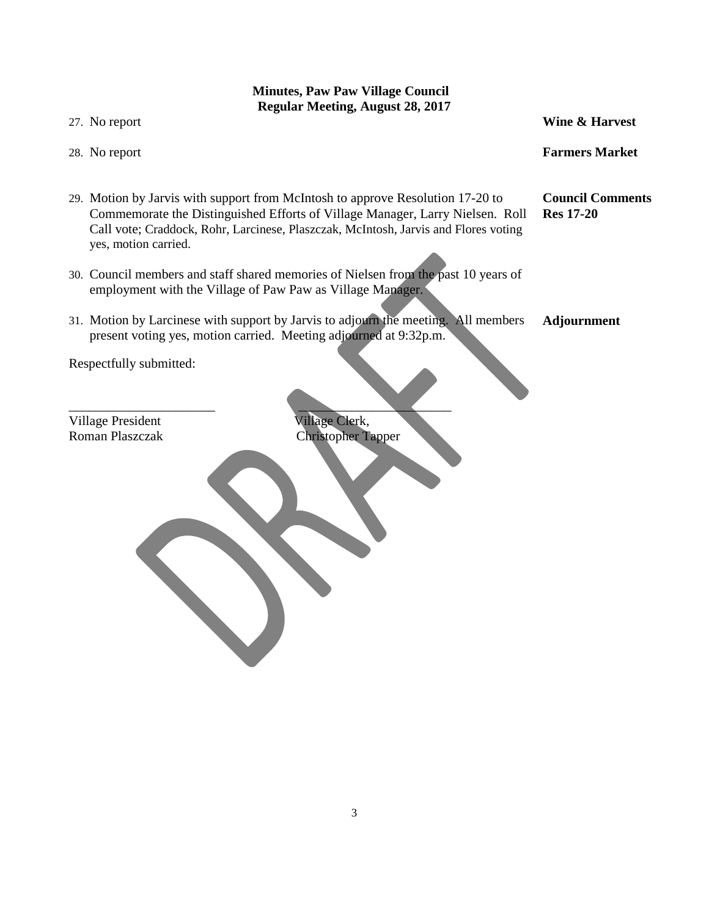# **Minutes, Paw Paw Village Council Regular Meeting, August 28, 2017** 27. No report 28. No report 29. Motion by Jarvis with support from McIntosh to approve Resolution 17-20 to Commemorate the Distinguished Efforts of Village Manager, Larry Nielsen. Roll Call vote; Craddock, Rohr, Larcinese, Plaszczak, McIntosh, Jarvis and Flores voting yes, motion carried. 30. Council members and staff shared memories of Nielsen from the past 10 years of employment with the Village of Paw Paw as Village Manager. 31. Motion by Larcinese with support by Jarvis to adjourn the meeting. All members present voting yes, motion carried. Meeting adjourned at 9:32p.m. Respectfully submitted:  $\overline{\phantom{a}}$  , and the contract of the contract of the contract of the contract of the contract of the contract of the contract of the contract of the contract of the contract of the contract of the contract of the contrac Village President Village Clerk, Roman Plaszczak Christopher Tapper **Wine & Harvest Farmers Market Council Comments Res 17-20 Adjournment**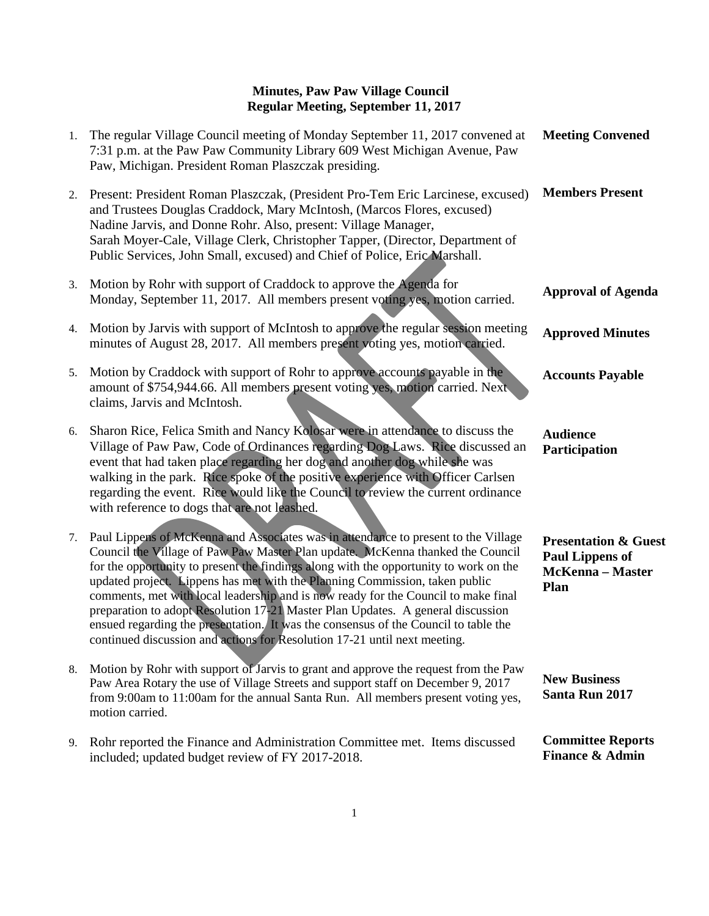| 1. | The regular Village Council meeting of Monday September 11, 2017 convened at<br>7:31 p.m. at the Paw Paw Community Library 609 West Michigan Avenue, Paw<br>Paw, Michigan. President Roman Plaszczak presiding.                                                                                                                                                                                                                                                                                                                                                                                                                                                                           | <b>Meeting Convened</b>                                                                      |
|----|-------------------------------------------------------------------------------------------------------------------------------------------------------------------------------------------------------------------------------------------------------------------------------------------------------------------------------------------------------------------------------------------------------------------------------------------------------------------------------------------------------------------------------------------------------------------------------------------------------------------------------------------------------------------------------------------|----------------------------------------------------------------------------------------------|
| 2. | Present: President Roman Plaszczak, (President Pro-Tem Eric Larcinese, excused)<br>and Trustees Douglas Craddock, Mary McIntosh, (Marcos Flores, excused)<br>Nadine Jarvis, and Donne Rohr. Also, present: Village Manager,<br>Sarah Moyer-Cale, Village Clerk, Christopher Tapper, (Director, Department of<br>Public Services, John Small, excused) and Chief of Police, Eric Marshall.                                                                                                                                                                                                                                                                                                 | <b>Members Present</b>                                                                       |
| 3. | Motion by Rohr with support of Craddock to approve the Agenda for<br>Monday, September 11, 2017. All members present voting yes, motion carried.                                                                                                                                                                                                                                                                                                                                                                                                                                                                                                                                          | <b>Approval of Agenda</b>                                                                    |
| 4. | Motion by Jarvis with support of McIntosh to approve the regular session meeting<br>minutes of August 28, 2017. All members present voting yes, motion carried.                                                                                                                                                                                                                                                                                                                                                                                                                                                                                                                           | <b>Approved Minutes</b>                                                                      |
| 5. | Motion by Craddock with support of Rohr to approve accounts payable in the<br>amount of \$754,944.66. All members present voting yes, motion carried. Next<br>claims, Jarvis and McIntosh.                                                                                                                                                                                                                                                                                                                                                                                                                                                                                                | <b>Accounts Payable</b>                                                                      |
| 6. | Sharon Rice, Felica Smith and Nancy Kolosar were in attendance to discuss the<br>Village of Paw Paw, Code of Ordinances regarding Dog Laws. Rice discussed an<br>event that had taken place regarding her dog and another dog while she was<br>walking in the park. Rice spoke of the positive experience with Officer Carlsen<br>regarding the event. Rice would like the Council to review the current ordinance<br>with reference to dogs that are not leashed.                                                                                                                                                                                                                        | <b>Audience</b><br>Participation                                                             |
| 7. | Paul Lippens of McKenna and Associates was in attendance to present to the Village<br>Council the Village of Paw Paw Master Plan update. McKenna thanked the Council<br>for the opportunity to present the findings along with the opportunity to work on the<br>updated project. Lippens has met with the Planning Commission, taken public<br>comments, met with local leadership and is now ready for the Council to make final<br>preparation to adopt Resolution 17-21 Master Plan Updates. A general discussion<br>ensued regarding the presentation. It was the consensus of the Council to table the<br>continued discussion and actions for Resolution 17-21 until next meeting. | <b>Presentation &amp; Guest</b><br><b>Paul Lippens of</b><br><b>McKenna</b> - Master<br>Plan |
| 8. | Motion by Rohr with support of Jarvis to grant and approve the request from the Paw<br>Paw Area Rotary the use of Village Streets and support staff on December 9, 2017<br>from 9:00am to 11:00am for the annual Santa Run. All members present voting yes,<br>motion carried.                                                                                                                                                                                                                                                                                                                                                                                                            | <b>New Business</b><br>Santa Run 2017                                                        |
| 9. | Rohr reported the Finance and Administration Committee met. Items discussed<br>included; updated budget review of FY 2017-2018.                                                                                                                                                                                                                                                                                                                                                                                                                                                                                                                                                           | <b>Committee Reports</b><br><b>Finance &amp; Admin</b>                                       |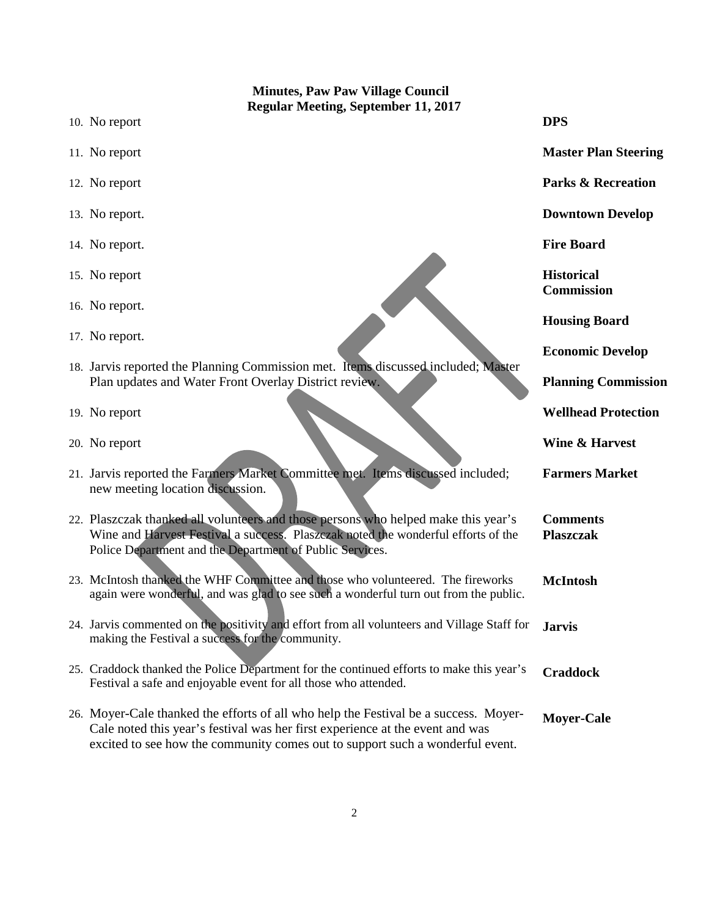| <b>Minutes, Paw Paw Village Council</b> |                                                                                                                                                                                                                                                        |                                        |
|-----------------------------------------|--------------------------------------------------------------------------------------------------------------------------------------------------------------------------------------------------------------------------------------------------------|----------------------------------------|
|                                         | <b>Regular Meeting, September 11, 2017</b><br>10. No report                                                                                                                                                                                            | <b>DPS</b>                             |
|                                         | 11. No report                                                                                                                                                                                                                                          | <b>Master Plan Steering</b>            |
|                                         | 12. No report                                                                                                                                                                                                                                          | <b>Parks &amp; Recreation</b>          |
|                                         | 13. No report.                                                                                                                                                                                                                                         | <b>Downtown Develop</b>                |
|                                         | 14. No report.                                                                                                                                                                                                                                         | <b>Fire Board</b>                      |
|                                         | 15. No report                                                                                                                                                                                                                                          | <b>Historical</b><br><b>Commission</b> |
|                                         | 16. No report.                                                                                                                                                                                                                                         | <b>Housing Board</b>                   |
|                                         | 17. No report.                                                                                                                                                                                                                                         | <b>Economic Develop</b>                |
|                                         | 18. Jarvis reported the Planning Commission met. Items discussed included; Master<br>Plan updates and Water Front Overlay District review.                                                                                                             | <b>Planning Commission</b>             |
|                                         | 19. No report                                                                                                                                                                                                                                          | <b>Wellhead Protection</b>             |
|                                         | 20. No report                                                                                                                                                                                                                                          | <b>Wine &amp; Harvest</b>              |
|                                         | 21. Jarvis reported the Farmers Market Committee met. Items discussed included;<br>new meeting location discussion.                                                                                                                                    | <b>Farmers Market</b>                  |
|                                         | 22. Plaszczak thanked all volunteers and those persons who helped make this year's<br>Wine and Harvest Festival a success. Plaszczak noted the wonderful efforts of the<br>Police Department and the Department of Public Services.                    | <b>Comments</b><br><b>Plaszczak</b>    |
|                                         | 23. McIntosh thanked the WHF Committee and those who volunteered. The fireworks<br>again were wonderful, and was glad to see such a wonderful turn out from the public.                                                                                | <b>McIntosh</b>                        |
|                                         | 24. Jarvis commented on the positivity and effort from all volunteers and Village Staff for<br>making the Festival a success for the community.                                                                                                        | <b>Jarvis</b>                          |
|                                         | 25. Craddock thanked the Police Department for the continued efforts to make this year's<br>Festival a safe and enjoyable event for all those who attended.                                                                                            | <b>Craddock</b>                        |
|                                         | 26. Moyer-Cale thanked the efforts of all who help the Festival be a success. Moyer-<br>Cale noted this year's festival was her first experience at the event and was<br>excited to see how the community comes out to support such a wonderful event. | <b>Moyer-Cale</b>                      |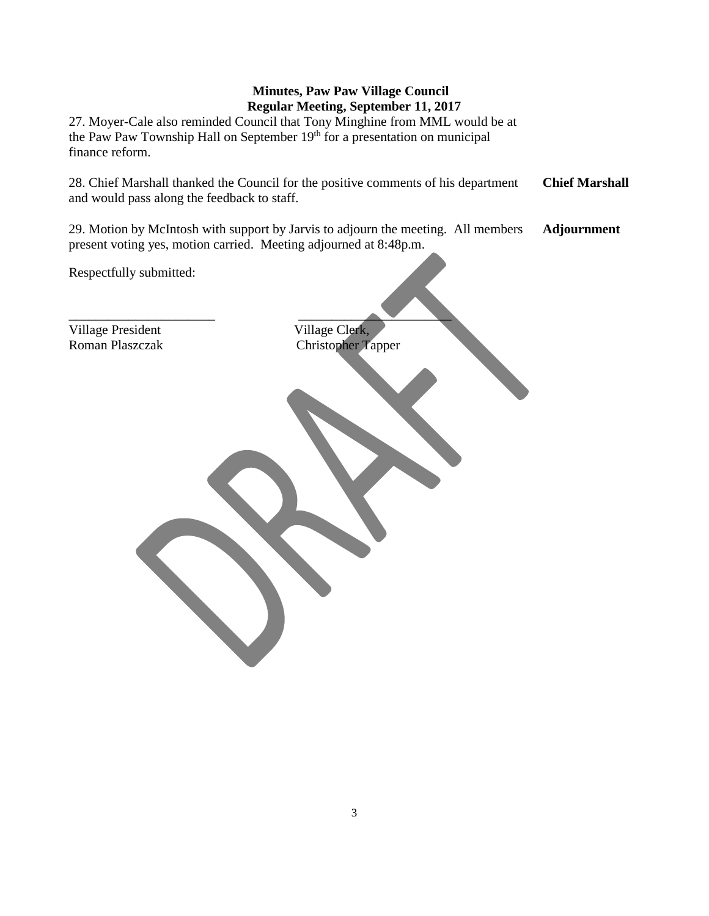27. Moyer-Cale also reminded Council that Tony Minghine from MML would be at the Paw Paw Township Hall on September 19<sup>th</sup> for a presentation on municipal finance reform.

28. Chief Marshall thanked the Council for the positive comments of his department and would pass along the feedback to staff. **Chief Marshall**

29. Motion by McIntosh with support by Jarvis to adjourn the meeting. All members present voting yes, motion carried. Meeting adjourned at 8:48p.m. **Adjournment**

Respectfully submitted:

Village President Village Clerk,<br>
Roman Plaszczak Christopher T

 $\overline{\phantom{a}}$  , and the contract of the contract of the contract of the contract of the contract of the contract of the contract of the contract of the contract of the contract of the contract of the contract of the contrac Christopher Tapper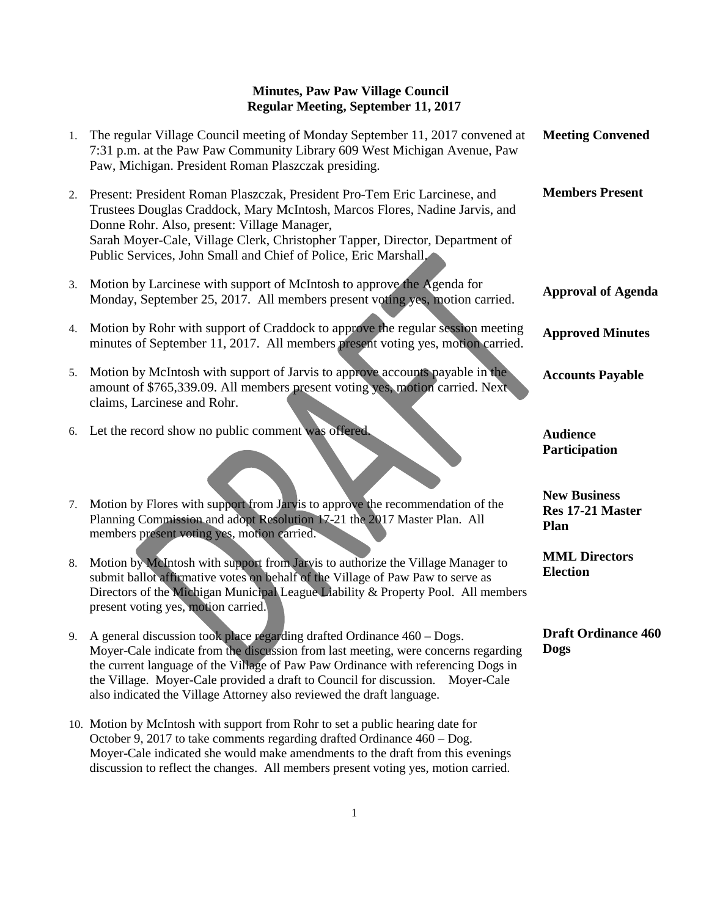| 1. | The regular Village Council meeting of Monday September 11, 2017 convened at<br>7:31 p.m. at the Paw Paw Community Library 609 West Michigan Avenue, Paw<br>Paw, Michigan. President Roman Plaszczak presiding.                                                                                                                                                                                                  | <b>Meeting Convened</b>                         |
|----|------------------------------------------------------------------------------------------------------------------------------------------------------------------------------------------------------------------------------------------------------------------------------------------------------------------------------------------------------------------------------------------------------------------|-------------------------------------------------|
| 2. | Present: President Roman Plaszczak, President Pro-Tem Eric Larcinese, and<br>Trustees Douglas Craddock, Mary McIntosh, Marcos Flores, Nadine Jarvis, and<br>Donne Rohr. Also, present: Village Manager,<br>Sarah Moyer-Cale, Village Clerk, Christopher Tapper, Director, Department of<br>Public Services, John Small and Chief of Police, Eric Marshall,                                                       | <b>Members Present</b>                          |
| 3. | Motion by Larcinese with support of McIntosh to approve the Agenda for<br>Monday, September 25, 2017. All members present voting yes, motion carried.                                                                                                                                                                                                                                                            | <b>Approval of Agenda</b>                       |
| 4. | Motion by Rohr with support of Craddock to approve the regular session meeting<br>minutes of September 11, 2017. All members present voting yes, motion carried.                                                                                                                                                                                                                                                 | <b>Approved Minutes</b>                         |
| 5. | Motion by McIntosh with support of Jarvis to approve accounts payable in the<br>amount of \$765,339.09. All members present voting yes, motion carried. Next<br>claims, Larcinese and Rohr.                                                                                                                                                                                                                      | <b>Accounts Payable</b>                         |
| 6. | Let the record show no public comment was offered.                                                                                                                                                                                                                                                                                                                                                               | <b>Audience</b><br>Participation                |
| 7. | Motion by Flores with support from Jarvis to approve the recommendation of the<br>Planning Commission and adopt Resolution 17-21 the 2017 Master Plan. All<br>members present voting yes, motion carried.                                                                                                                                                                                                        | <b>New Business</b><br>Res 17-21 Master<br>Plan |
| 8. | Motion by McIntosh with support from Jarvis to authorize the Village Manager to<br>submit ballot affirmative votes on behalf of the Village of Paw Paw to serve as<br>Directors of the Michigan Municipal League Liability & Property Pool. All members<br>present voting yes, motion carried.                                                                                                                   | <b>MML Directors</b><br><b>Election</b>         |
| 9. | A general discussion took place regarding drafted Ordinance 460 - Dogs.<br>Moyer-Cale indicate from the discussion from last meeting, were concerns regarding<br>the current language of the Village of Paw Paw Ordinance with referencing Dogs in<br>the Village. Moyer-Cale provided a draft to Council for discussion.<br>Moyer-Cale<br>also indicated the Village Attorney also reviewed the draft language. | <b>Draft Ordinance 460</b><br>Dogs              |
|    | 10. Motion by McIntosh with support from Rohr to set a public hearing date for<br>October 9, 2017 to take comments regarding drafted Ordinance $460 -$ Dog.<br>Moyer-Cale indicated she would make amendments to the draft from this evenings                                                                                                                                                                    |                                                 |

discussion to reflect the changes. All members present voting yes, motion carried.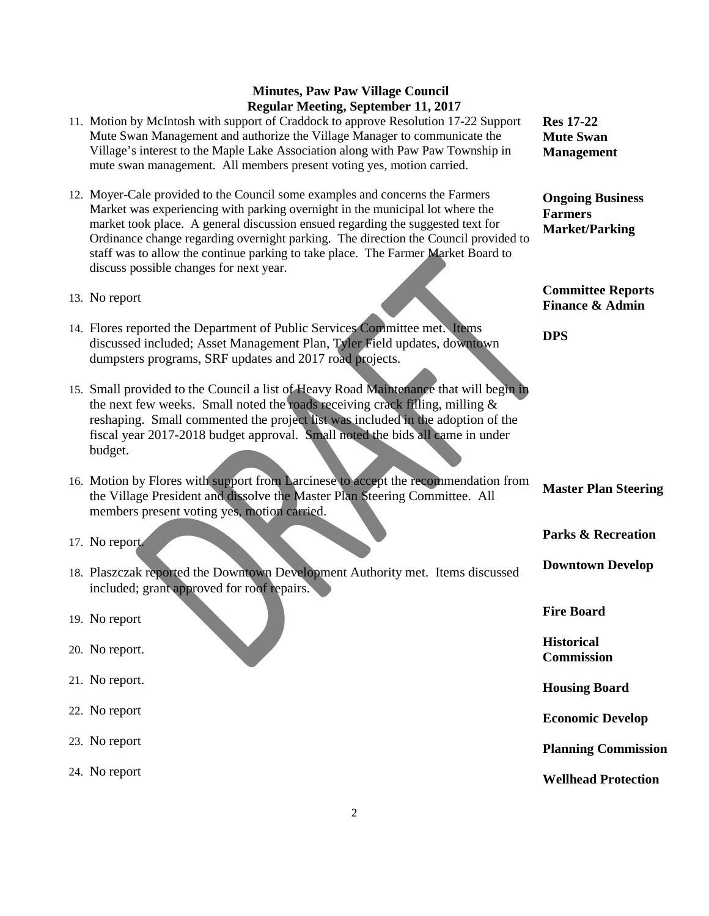- 11. Motion by McIntosh with support of Craddock to approve Resolution 17-22 Support Mute Swan Management and authorize the Village Manager to communicate the Village's interest to the Maple Lake Association along with Paw Paw Township in mute swan management. All members present voting yes, motion carried.
- 12. Moyer-Cale provided to the Council some examples and concerns the Farmers Market was experiencing with parking overnight in the municipal lot where the market took place. A general discussion ensued regarding the suggested text for Ordinance change regarding overnight parking. The direction the Council provided to staff was to allow the continue parking to take place. The Farmer Market Board to discuss possible changes for next year.
- 13. No report
- 14. Flores reported the Department of Public Services Committee met. Items discussed included; Asset Management Plan, Tyler Field updates, downtown dumpsters programs, SRF updates and 2017 road projects.
- 15. Small provided to the Council a list of Heavy Road Maintenance that will begin in the next few weeks. Small noted the roads receiving crack filling, milling  $\&$ reshaping. Small commented the project list was included in the adoption of the fiscal year 2017-2018 budget approval. Small noted the bids all came in under budget.

16. Motion by Flores with support from Larcinese to accept the recommendation from the Village President and dissolve the Master Plan Steering Committee. All members present voting yes, motion carried.

- 17. No report.
- 18. Plaszczak reported the Downtown Development Authority met. Items discussed included; grant approved for roof repairs.

19. No report

- 20. No report.
- 21. No report.
- 22. No report
- 23. No report
- 24. No report

**Res 17-22 Mute Swan Management**

**Ongoing Business Farmers Market/Parking**

**Committee Reports Finance & Admin**

**DPS**

**Master Plan Steering**

**Parks & Recreation**

**Downtown Develop**

**Fire Board**

**Historical Commission**

**Housing Board**

**Economic Develop**

**Planning Commission**

**Wellhead Protection**